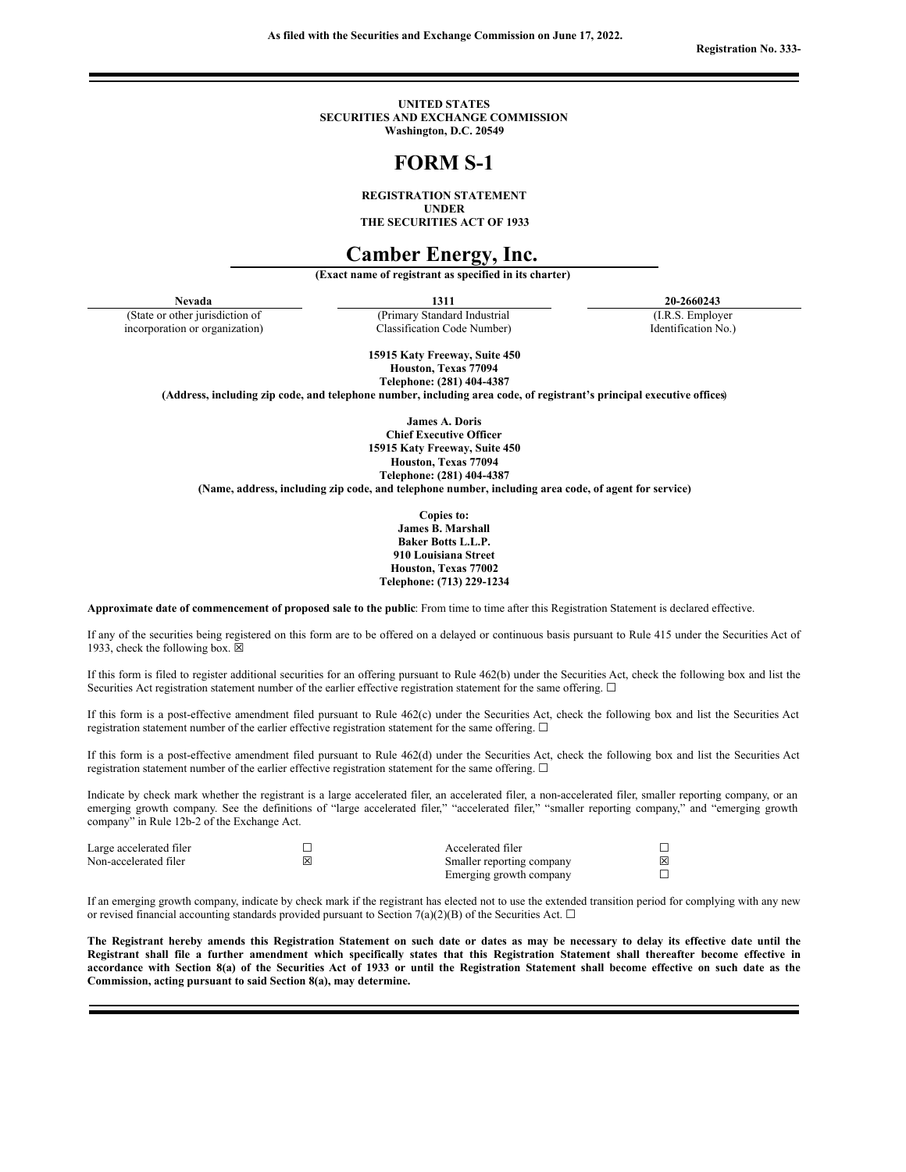**As filed with the Securities and Exchange Commission on June 17, 2022.**

**Registration No. 333-**

**UNITED STATES SECURITIES AND EXCHANGE COMMISSION Washington, D.C. 20549**

# **FORM S-1**

**REGISTRATION STATEMENT UNDER**

**THE SECURITIES ACT OF 1933**

# **Camber Energy, Inc.**

**(Exact name of registrant as specified in its charter)**

(State or other jurisdiction of incorporation or organization)

(Primary Standard Industrial Classification Code Number)

**Nevada 1311 20-2660243** (I.R.S. Employer

Identification No.)

**15915 Katy Freeway, Suite 450 Houston, Texas 77094 Telephone: (281) 404-4387**

**(Address, including zip code, and telephone number, including area code, of registrant's principal executive offices**)

**James A. Doris Chief Executive Officer 15915 Katy Freeway, Suite 450 Houston, Texas 77094 Telephone: (281) 404-4387**

**(Name, address, including zip code, and telephone number, including area code, of agent for service)**

**Copies to: James B. Marshall Baker Botts L.L.P. 910 Louisiana Street Houston, Texas 77002 Telephone: (713) 229-1234**

**Approximate date of commencement of proposed sale to the public**: From time to time after this Registration Statement is declared effective.

If any of the securities being registered on this form are to be offered on a delayed or continuous basis pursuant to Rule 415 under the Securities Act of 1933, check the following box.  $\boxtimes$ 

If this form is filed to register additional securities for an offering pursuant to Rule 462(b) under the Securities Act, check the following box and list the Securities Act registration statement number of the earlier effective registration statement for the same offering. □

If this form is a post-effective amendment filed pursuant to Rule 462(c) under the Securities Act, check the following box and list the Securities Act registration statement number of the earlier effective registration statement for the same offering.  $\Box$ 

If this form is a post-effective amendment filed pursuant to Rule 462(d) under the Securities Act, check the following box and list the Securities Act registration statement number of the earlier effective registration statement for the same offering.  $\Box$ 

Indicate by check mark whether the registrant is a large accelerated filer, an accelerated filer, a non-accelerated filer, smaller reporting company, or an emerging growth company. See the definitions of "large accelerated filer," "accelerated filer," "smaller reporting company," and "emerging growth company" in Rule 12b-2 of the Exchange Act.

| Large accelerated filer |   | Accelerated filer         |   |
|-------------------------|---|---------------------------|---|
| Non-accelerated filer   | ⋈ | Smaller reporting company | 冈 |
|                         |   | Emerging growth company   |   |

If an emerging growth company, indicate by check mark if the registrant has elected not to use the extended transition period for complying with any new or revised financial accounting standards provided pursuant to Section 7(a)(2)(B) of the Securities Act.  $\Box$ 

The Registrant hereby amends this Registration Statement on such date or dates as may be necessary to delay its effective date until the Registrant shall file a further amendment which specifically states that this Registration Statement shall thereafter become effective in accordance with Section 8(a) of the Securities Act of 1933 or until the Registration Statement shall become effective on such date as the **Commission, acting pursuant to said Section 8(a), may determine.**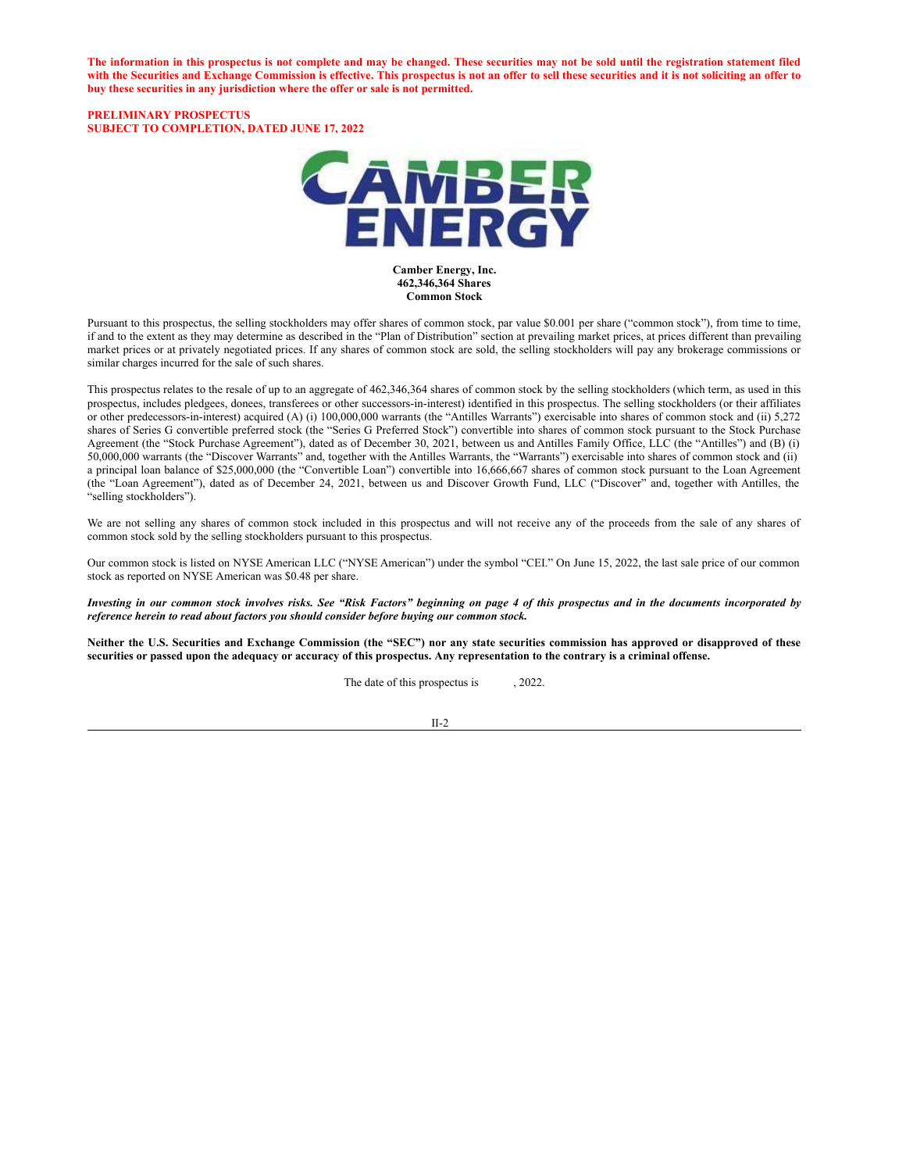The information in this prospectus is not complete and may be changed. These securities may not be sold until the registration statement filed with the Securities and Exchange Commission is effective. This prospectus is not an offer to sell these securities and it is not soliciting an offer to **buy these securities in any jurisdiction where the offer or sale is not permitted.**

#### **PRELIMINARY PROSPECTUS SUBJECT TO COMPLETION, DATED JUNE 17, 2022**



**Camber Energy, Inc. 462,346,364 Shares Common Stock**

Pursuant to this prospectus, the selling stockholders may offer shares of common stock, par value \$0.001 per share ("common stock"), from time to time, if and to the extent as they may determine as described in the "Plan of Distribution" section at prevailing market prices, at prices different than prevailing market prices or at privately negotiated prices. If any shares of common stock are sold, the selling stockholders will pay any brokerage commissions or similar charges incurred for the sale of such shares.

This prospectus relates to the resale of up to an aggregate of 462,346,364 shares of common stock by the selling stockholders (which term, as used in this prospectus, includes pledgees, donees, transferees or other successors-in-interest) identified in this prospectus. The selling stockholders (or their affiliates or other predecessors-in-interest) acquired (A) (i) 100,000,000 warrants (the "Antilles Warrants") exercisable into shares of common stock and (ii) 5,272 shares of Series G convertible preferred stock (the "Series G Preferred Stock") convertible into shares of common stock pursuant to the Stock Purchase Agreement (the "Stock Purchase Agreement"), dated as of December 30, 2021, between us and Antilles Family Office, LLC (the "Antilles") and (B) (i) 50,000,000 warrants (the "Discover Warrants" and, together with the Antilles Warrants, the "Warrants") exercisable into shares of common stock and (ii) a principal loan balance of \$25,000,000 (the "Convertible Loan") convertible into 16,666,667 shares of common stock pursuant to the Loan Agreement (the "Loan Agreement"), dated as of December 24, 2021, between us and Discover Growth Fund, LLC ("Discover" and, together with Antilles, the "selling stockholders").

We are not selling any shares of common stock included in this prospectus and will not receive any of the proceeds from the sale of any shares of common stock sold by the selling stockholders pursuant to this prospectus.

Our common stock is listed on NYSE American LLC ("NYSE American") under the symbol "CEI." On June 15, 2022, the last sale price of our common stock as reported on NYSE American was \$0.48 per share.

Investing in our common stock involves risks. See "Risk Factors" beginning on page 4 of this prospectus and in the documents incorporated by *reference herein to read about factors you should consider before buying our common stock.*

Neither the U.S. Securities and Exchange Commission (the "SEC") nor any state securities commission has approved or disapproved of these securities or passed upon the adequacy or accuracy of this prospectus. Any representation to the contrary is a criminal offense.

The date of this prospectus is  $, 2022$ .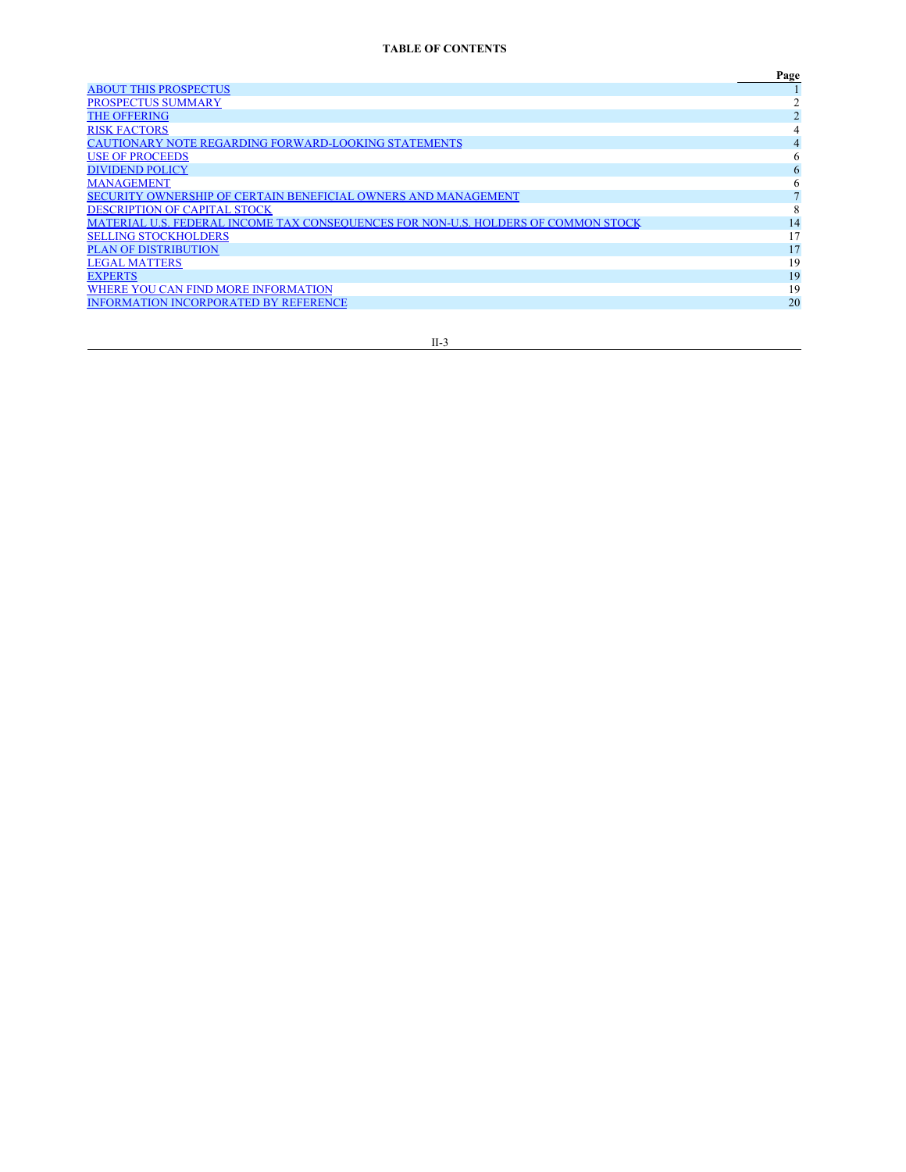<span id="page-2-0"></span>

|                                                                                    | Page |
|------------------------------------------------------------------------------------|------|
| <b>ABOUT THIS PROSPECTUS</b>                                                       |      |
| PROSPECTUS SUMMARY                                                                 |      |
| <b>THE OFFERING</b>                                                                |      |
| <b>RISK FACTORS</b>                                                                | 4    |
| <b>CAUTIONARY NOTE REGARDING FORWARD-LOOKING STATEMENTS</b>                        | 4    |
| <b>USE OF PROCEEDS</b>                                                             | 6    |
| <b>DIVIDEND POLICY</b>                                                             | 6    |
| <b>MANAGEMENT</b>                                                                  | 6    |
| SECURITY OWNERSHIP OF CERTAIN BENEFICIAL OWNERS AND MANAGEMENT                     |      |
| DESCRIPTION OF CAPITAL STOCK                                                       | 8    |
| MATERIAL U.S. FEDERAL INCOME TAX CONSEQUENCES FOR NON-U.S. HOLDERS OF COMMON STOCK | 14   |
| <b>SELLING STOCKHOLDERS</b>                                                        | 17   |
| <b>PLAN OF DISTRIBUTION</b>                                                        | 17   |
| <b>LEGAL MATTERS</b>                                                               | 19   |
| <b>EXPERTS</b>                                                                     | 19   |
| WHERE YOU CAN FIND MORE INFORMATION                                                | 19   |
| <b>INFORMATION INCORPORATED BY REFERENCE</b>                                       | 20   |
|                                                                                    |      |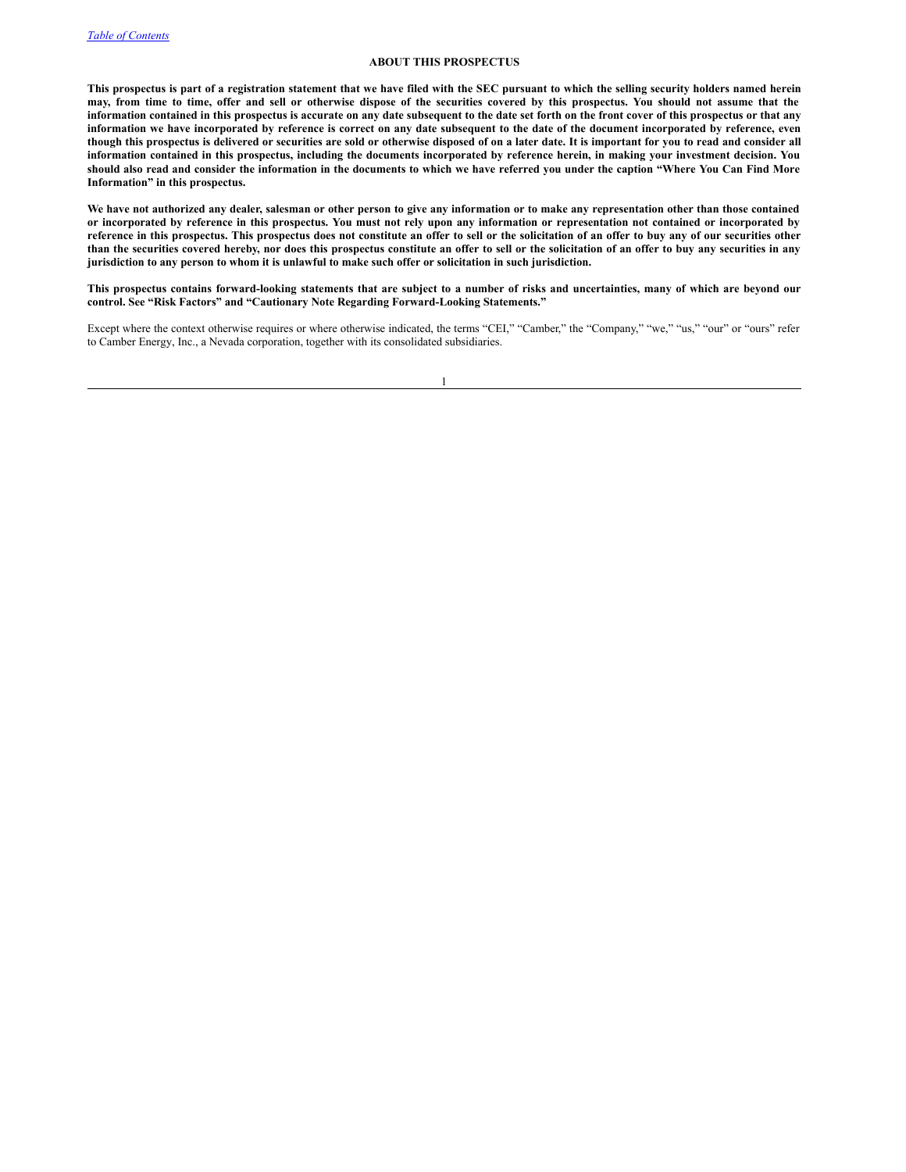### <span id="page-3-0"></span>**ABOUT THIS PROSPECTUS**

This prospectus is part of a registration statement that we have filed with the SEC pursuant to which the selling security holders named herein may, from time to time, offer and sell or otherwise dispose of the securities covered by this prospectus. You should not assume that the information contained in this prospectus is accurate on any date subsequent to the date set forth on the front cover of this prospectus or that any information we have incorporated by reference is correct on any date subsequent to the date of the document incorporated by reference, even though this prospectus is delivered or securities are sold or otherwise disposed of on a later date. It is important for you to read and consider all information contained in this prospectus, including the documents incorporated by reference herein, in making your investment decision. You should also read and consider the information in the documents to which we have referred you under the caption "Where You Can Find More **Information" in this prospectus.**

We have not authorized any dealer, salesman or other person to give any information or to make any representation other than those contained or incorporated by reference in this prospectus. You must not rely upon any information or representation not contained or incorporated by reference in this prospectus. This prospectus does not constitute an offer to sell or the solicitation of an offer to buy any of our securities other than the securities covered hereby, nor does this prospectus constitute an offer to sell or the solicitation of an offer to buy any securities in any jurisdiction to any person to whom it is unlawful to make such offer or solicitation in such jurisdiction.

This prospectus contains forward-looking statements that are subject to a number of risks and uncertainties, many of which are beyond our **control. See "Risk Factors" and "Cautionary Note Regarding Forward-Looking Statements."**

Except where the context otherwise requires or where otherwise indicated, the terms "CEI," "Camber," the "Company," "we," "us," "our" or "ours" refer to Camber Energy, Inc., a Nevada corporation, together with its consolidated subsidiaries.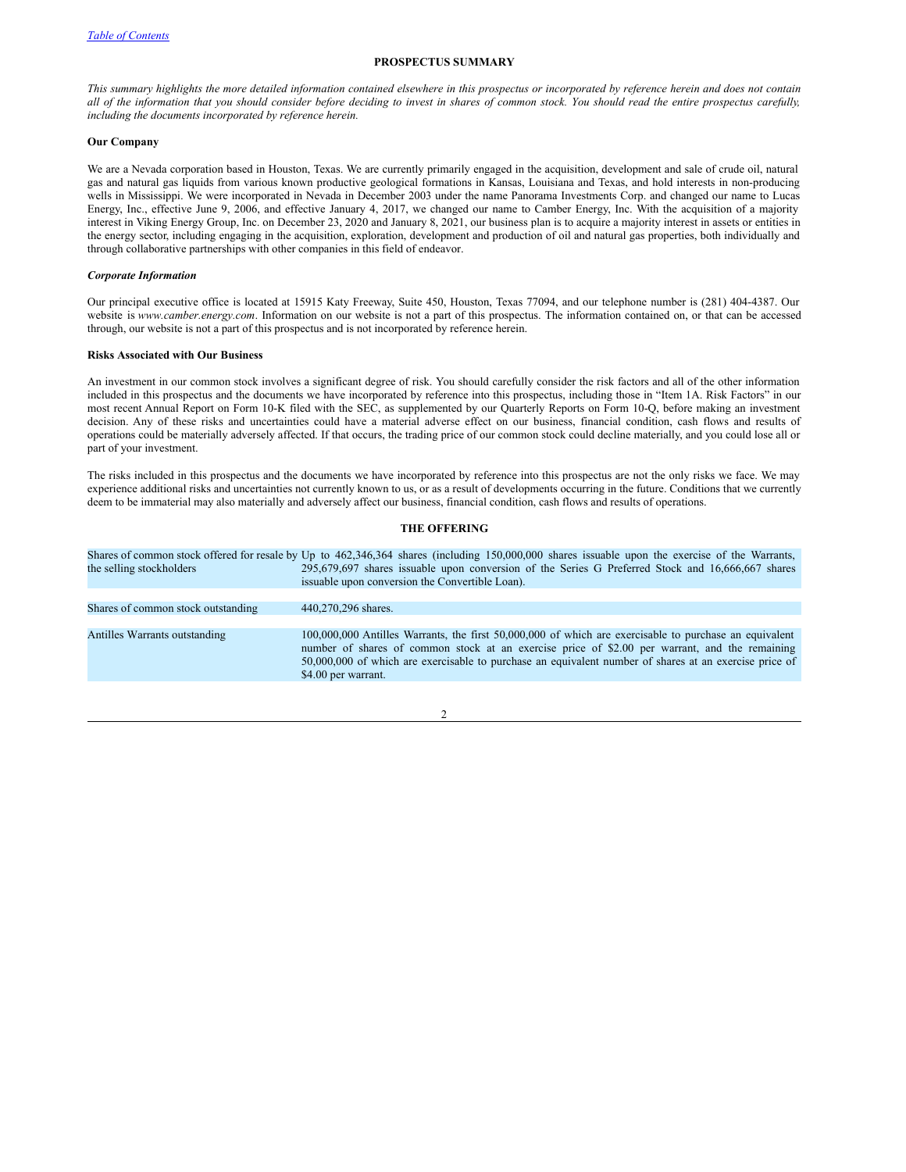# <span id="page-4-0"></span>**PROSPECTUS SUMMARY**

This summary highlights the more detailed information contained elsewhere in this prospectus or incorporated by reference herein and does not contain all of the information that you should consider before deciding to invest in shares of common stock. You should read the entire prospectus carefully, *including the documents incorporated by reference herein.*

#### **Our Company**

We are a Nevada corporation based in Houston, Texas. We are currently primarily engaged in the acquisition, development and sale of crude oil, natural gas and natural gas liquids from various known productive geological formations in Kansas, Louisiana and Texas, and hold interests in non-producing wells in Mississippi. We were incorporated in Nevada in December 2003 under the name Panorama Investments Corp. and changed our name to Lucas Energy, Inc., effective June 9, 2006, and effective January 4, 2017, we changed our name to Camber Energy, Inc. With the acquisition of a majority interest in Viking Energy Group, Inc. on December 23, 2020 and January 8, 2021, our business plan is to acquire a majority interest in assets or entities in the energy sector, including engaging in the acquisition, exploration, development and production of oil and natural gas properties, both individually and through collaborative partnerships with other companies in this field of endeavor.

#### *Corporate Information*

Our principal executive office is located at 15915 Katy Freeway, Suite 450, Houston, Texas 77094, and our telephone number is (281) 404-4387. Our website is *www.camber.energy.com*. Information on our website is not a part of this prospectus. The information contained on, or that can be accessed through, our website is not a part of this prospectus and is not incorporated by reference herein.

# **Risks Associated with Our Business**

An investment in our common stock involves a significant degree of risk. You should carefully consider the risk factors and all of the other information included in this prospectus and the documents we have incorporated by reference into this prospectus, including those in "Item 1A. Risk Factors" in our most recent Annual Report on Form 10-K filed with the SEC, as supplemented by our Quarterly Reports on Form 10-Q, before making an investment decision. Any of these risks and uncertainties could have a material adverse effect on our business, financial condition, cash flows and results of operations could be materially adversely affected. If that occurs, the trading price of our common stock could decline materially, and you could lose all or part of your investment.

The risks included in this prospectus and the documents we have incorporated by reference into this prospectus are not the only risks we face. We may experience additional risks and uncertainties not currently known to us, or as a result of developments occurring in the future. Conditions that we currently deem to be immaterial may also materially and adversely affect our business, financial condition, cash flows and results of operations.

#### <span id="page-4-1"></span>**THE OFFERING**

Shares of common stock offered for resale by Up to 462,346,364 shares (including 150,000,000 shares issuable upon the exercise of the Warrants, the selling stockholders 295,679,697 shares issuable upon conversion of the Series G Preferred Stock and 16,666,667 shares issuable upon conversion the Convertible Loan). Shares of common stock outstanding 440,270,296 shares. Antilles Warrants outstanding 100,000,000 Antilles Warrants, the first 50,000,000 of which are exercisable to purchase an equivalent number of shares of common stock at an exercise price of \$2.00 per warrant, and the remaining 50,000,000 of which are exercisable to purchase an equivalent number of shares at an exercise price of \$4.00 per warrant.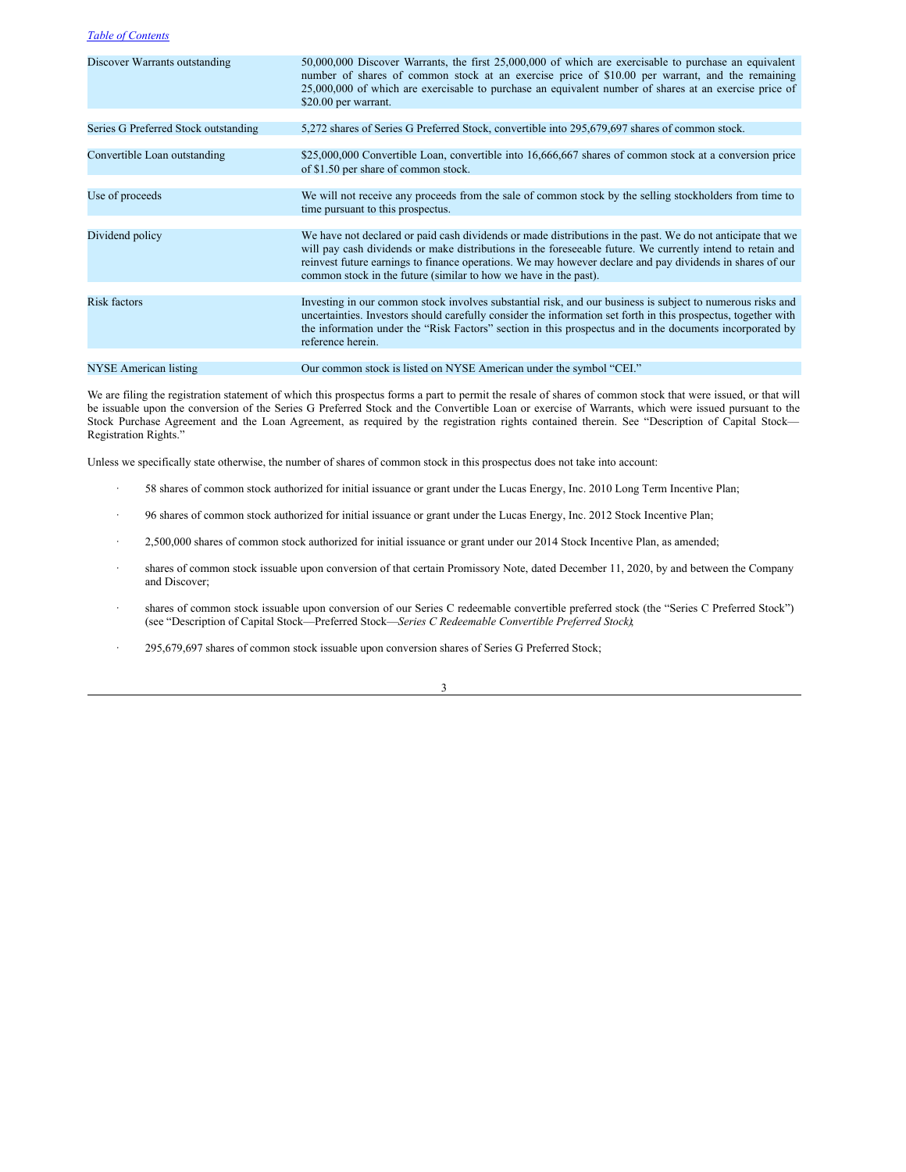| Discover Warrants outstanding        | 50,000,000 Discover Warrants, the first 25,000,000 of which are exercisable to purchase an equivalent<br>number of shares of common stock at an exercise price of \$10.00 per warrant, and the remaining<br>25,000,000 of which are exercisable to purchase an equivalent number of shares at an exercise price of<br>\$20.00 per warrant.                                                                 |
|--------------------------------------|------------------------------------------------------------------------------------------------------------------------------------------------------------------------------------------------------------------------------------------------------------------------------------------------------------------------------------------------------------------------------------------------------------|
|                                      |                                                                                                                                                                                                                                                                                                                                                                                                            |
| Series G Preferred Stock outstanding | 5,272 shares of Series G Preferred Stock, convertible into 295,679,697 shares of common stock.                                                                                                                                                                                                                                                                                                             |
|                                      |                                                                                                                                                                                                                                                                                                                                                                                                            |
| Convertible Loan outstanding         | \$25,000,000 Convertible Loan, convertible into 16,666,667 shares of common stock at a conversion price<br>of \$1.50 per share of common stock.                                                                                                                                                                                                                                                            |
|                                      |                                                                                                                                                                                                                                                                                                                                                                                                            |
| Use of proceeds                      | We will not receive any proceeds from the sale of common stock by the selling stockholders from time to<br>time pursuant to this prospectus.                                                                                                                                                                                                                                                               |
|                                      |                                                                                                                                                                                                                                                                                                                                                                                                            |
| Dividend policy                      | We have not declared or paid cash dividends or made distributions in the past. We do not anticipate that we<br>will pay cash dividends or make distributions in the foreseeable future. We currently intend to retain and<br>reinvest future earnings to finance operations. We may however declare and pay dividends in shares of our<br>common stock in the future (similar to how we have in the past). |
|                                      |                                                                                                                                                                                                                                                                                                                                                                                                            |
| <b>Risk factors</b>                  | Investing in our common stock involves substantial risk, and our business is subject to numerous risks and<br>uncertainties. Investors should carefully consider the information set forth in this prospectus, together with<br>the information under the "Risk Factors" section in this prospectus and in the documents incorporated by<br>reference herein.                                              |
|                                      |                                                                                                                                                                                                                                                                                                                                                                                                            |
| NYSE American listing                | Our common stock is listed on NYSE American under the symbol "CEI."                                                                                                                                                                                                                                                                                                                                        |

We are filing the registration statement of which this prospectus forms a part to permit the resale of shares of common stock that were issued, or that will be issuable upon the conversion of the Series G Preferred Stock and the Convertible Loan or exercise of Warrants, which were issued pursuant to the Stock Purchase Agreement and the Loan Agreement, as required by the registration rights contained therein. See "Description of Capital Stock— Registration Rights."

Unless we specifically state otherwise, the number of shares of common stock in this prospectus does not take into account:

- · 58 shares of common stock authorized for initial issuance or grant under the Lucas Energy, Inc. 2010 Long Term Incentive Plan;
- · 96 shares of common stock authorized for initial issuance or grant under the Lucas Energy, Inc. 2012 Stock Incentive Plan;
- · 2,500,000 shares of common stock authorized for initial issuance or grant under our 2014 Stock Incentive Plan, as amended;
- · shares of common stock issuable upon conversion of that certain Promissory Note, dated December 11, 2020, by and between the Company and Discover;
- · shares of common stock issuable upon conversion of our Series C redeemable convertible preferred stock (the "Series C Preferred Stock") (see "Description of Capital Stock—Preferred Stock—*Series C Redeemable Convertible Preferred Stock)*;
- 295,679,697 shares of common stock issuable upon conversion shares of Series G Preferred Stock;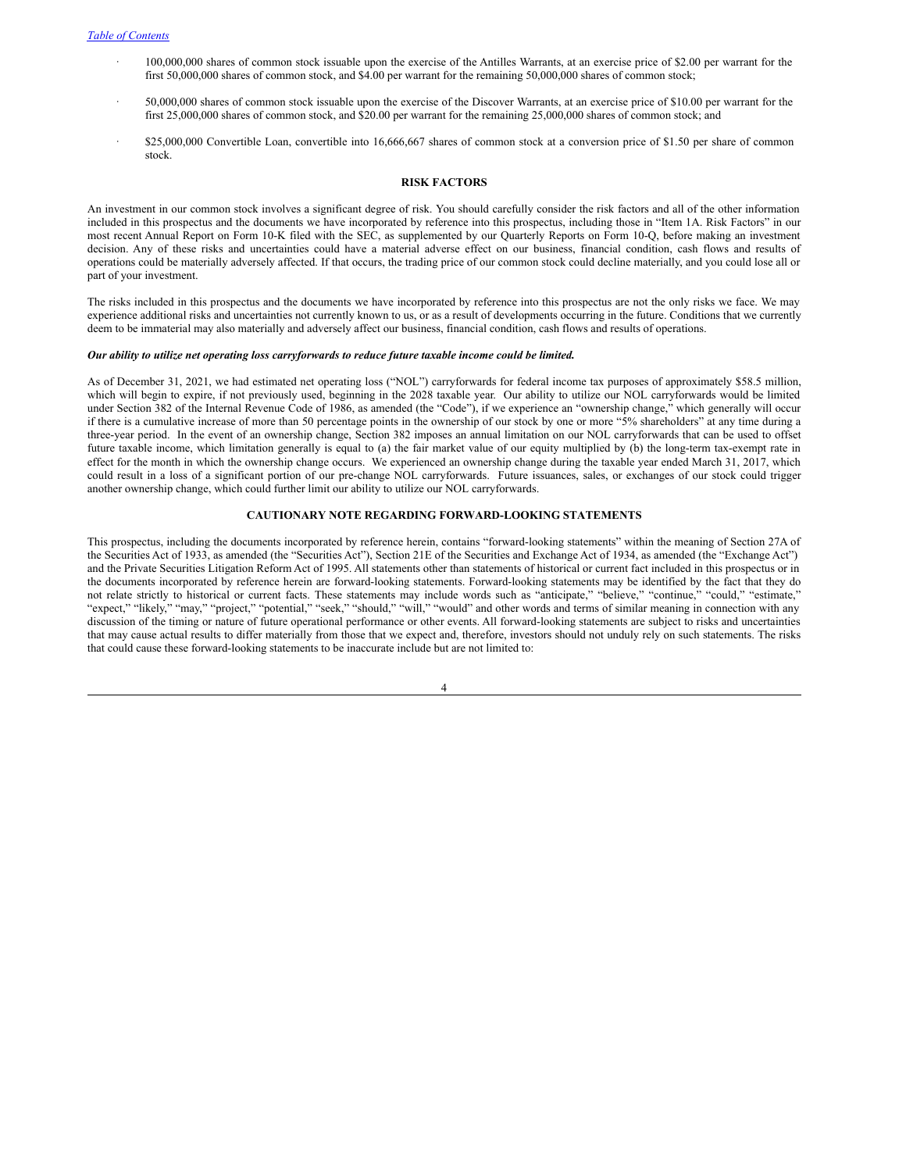- · 100,000,000 shares of common stock issuable upon the exercise of the Antilles Warrants, at an exercise price of \$2.00 per warrant for the first 50,000,000 shares of common stock, and \$4.00 per warrant for the remaining 50,000,000 shares of common stock;
- · 50,000,000 shares of common stock issuable upon the exercise of the Discover Warrants, at an exercise price of \$10.00 per warrant for the first 25,000,000 shares of common stock, and \$20.00 per warrant for the remaining 25,000,000 shares of common stock; and
- · \$25,000,000 Convertible Loan, convertible into 16,666,667 shares of common stock at a conversion price of \$1.50 per share of common stock.

#### <span id="page-6-0"></span>**RISK FACTORS**

An investment in our common stock involves a significant degree of risk. You should carefully consider the risk factors and all of the other information included in this prospectus and the documents we have incorporated by reference into this prospectus, including those in "Item 1A. Risk Factors" in our most recent Annual Report on Form 10-K filed with the SEC, as supplemented by our Quarterly Reports on Form 10-Q, before making an investment decision. Any of these risks and uncertainties could have a material adverse effect on our business, financial condition, cash flows and results of operations could be materially adversely affected. If that occurs, the trading price of our common stock could decline materially, and you could lose all or part of your investment.

The risks included in this prospectus and the documents we have incorporated by reference into this prospectus are not the only risks we face. We may experience additional risks and uncertainties not currently known to us, or as a result of developments occurring in the future. Conditions that we currently deem to be immaterial may also materially and adversely affect our business, financial condition, cash flows and results of operations.

# *Our ability to utilize net operating loss carryforwards to reduce future taxable income could be limited.*

As of December 31, 2021, we had estimated net operating loss ("NOL") carryforwards for federal income tax purposes of approximately \$58.5 million, which will begin to expire, if not previously used, beginning in the 2028 taxable year. Our ability to utilize our NOL carryforwards would be limited under Section 382 of the Internal Revenue Code of 1986, as amended (the "Code"), if we experience an "ownership change," which generally will occur if there is a cumulative increase of more than 50 percentage points in the ownership of our stock by one or more "5% shareholders" at any time during a three-year period. In the event of an ownership change, Section 382 imposes an annual limitation on our NOL carryforwards that can be used to offset future taxable income, which limitation generally is equal to (a) the fair market value of our equity multiplied by (b) the long-term tax-exempt rate in effect for the month in which the ownership change occurs. We experienced an ownership change during the taxable year ended March 31, 2017, which could result in a loss of a significant portion of our pre-change NOL carryforwards. Future issuances, sales, or exchanges of our stock could trigger another ownership change, which could further limit our ability to utilize our NOL carryforwards.

# <span id="page-6-1"></span>**CAUTIONARY NOTE REGARDING FORWARD-LOOKING STATEMENTS**

This prospectus, including the documents incorporated by reference herein, contains "forward-looking statements" within the meaning of Section 27A of the Securities Act of 1933, as amended (the "Securities Act"), Section 21E of the Securities and Exchange Act of 1934, as amended (the "Exchange Act") and the Private Securities Litigation Reform Act of 1995. All statements other than statements of historical or current fact included in this prospectus or in the documents incorporated by reference herein are forward-looking statements. Forward-looking statements may be identified by the fact that they do not relate strictly to historical or current facts. These statements may include words such as "anticipate," "believe," "continue," "could," "estimate," "expect," "likely," "may," "project," "potential," "seek," "should," "will," "would" and other words and terms of similar meaning in connection with any discussion of the timing or nature of future operational performance or other events. All forward-looking statements are subject to risks and uncertainties that may cause actual results to differ materially from those that we expect and, therefore, investors should not unduly rely on such statements. The risks that could cause these forward-looking statements to be inaccurate include but are not limited to: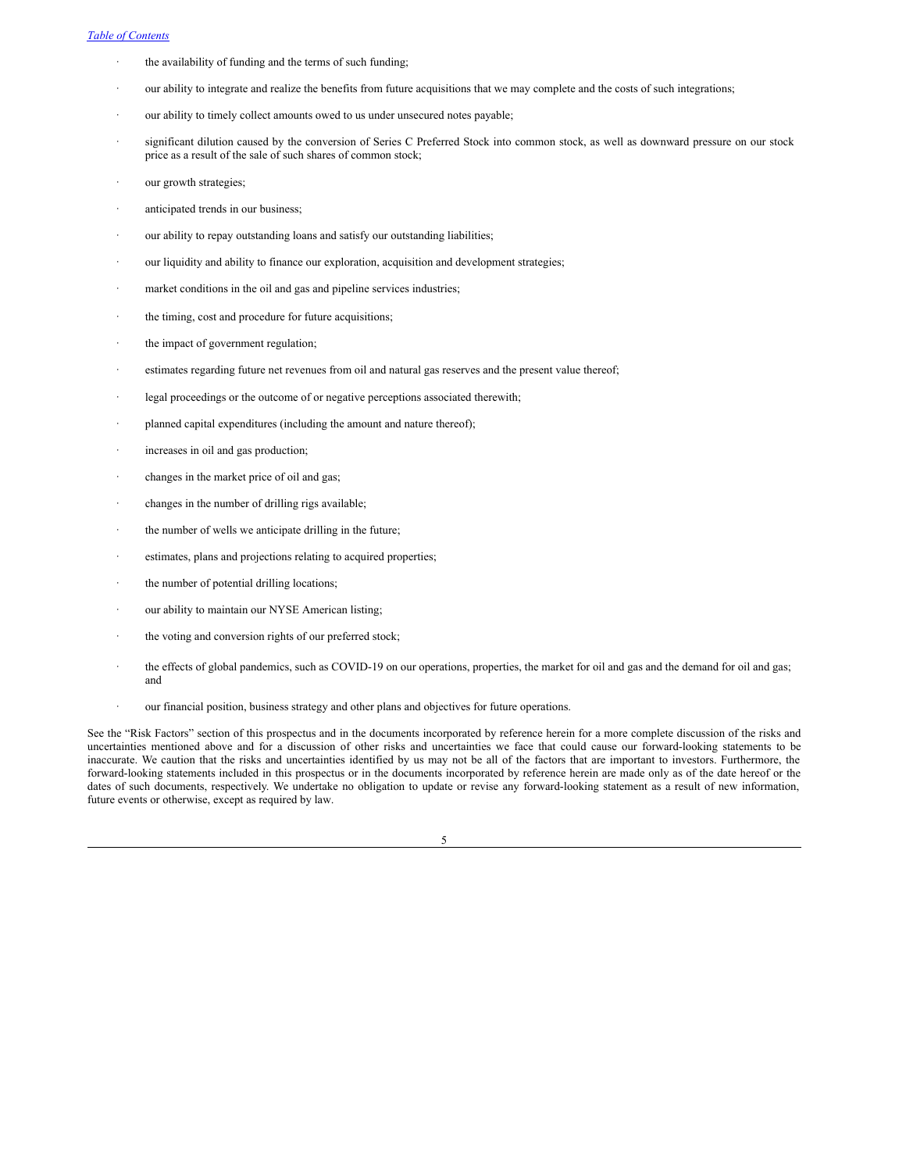- the availability of funding and the terms of such funding;
- our ability to integrate and realize the benefits from future acquisitions that we may complete and the costs of such integrations;
- our ability to timely collect amounts owed to us under unsecured notes payable;
- significant dilution caused by the conversion of Series C Preferred Stock into common stock, as well as downward pressure on our stock price as a result of the sale of such shares of common stock;
- our growth strategies;
- anticipated trends in our business;
- our ability to repay outstanding loans and satisfy our outstanding liabilities;
- our liquidity and ability to finance our exploration, acquisition and development strategies;
- market conditions in the oil and gas and pipeline services industries;
- the timing, cost and procedure for future acquisitions;
- the impact of government regulation;
- estimates regarding future net revenues from oil and natural gas reserves and the present value thereof;
- legal proceedings or the outcome of or negative perceptions associated therewith;
- planned capital expenditures (including the amount and nature thereof);
- increases in oil and gas production;
- changes in the market price of oil and gas;
- changes in the number of drilling rigs available;
- the number of wells we anticipate drilling in the future;
- estimates, plans and projections relating to acquired properties;
- the number of potential drilling locations;
- our ability to maintain our NYSE American listing;
- the voting and conversion rights of our preferred stock;
- · the effects of global pandemics, such as COVID-19 on our operations, properties, the market for oil and gas and the demand for oil and gas; and
- our financial position, business strategy and other plans and objectives for future operations.

See the "Risk Factors" section of this prospectus and in the documents incorporated by reference herein for a more complete discussion of the risks and uncertainties mentioned above and for a discussion of other risks and uncertainties we face that could cause our forward-looking statements to be inaccurate. We caution that the risks and uncertainties identified by us may not be all of the factors that are important to investors. Furthermore, the forward-looking statements included in this prospectus or in the documents incorporated by reference herein are made only as of the date hereof or the dates of such documents, respectively. We undertake no obligation to update or revise any forward-looking statement as a result of new information, future events or otherwise, except as required by law.

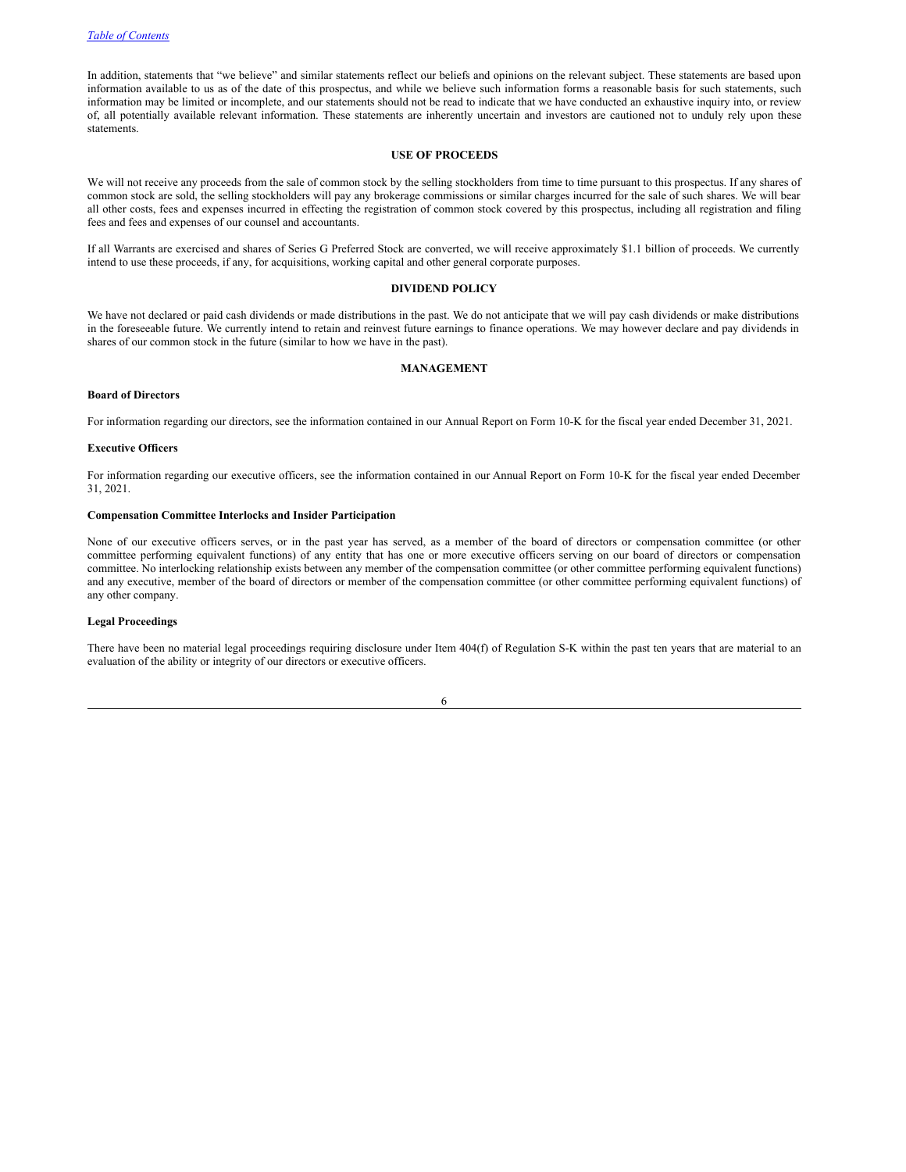In addition, statements that "we believe" and similar statements reflect our beliefs and opinions on the relevant subject. These statements are based upon information available to us as of the date of this prospectus, and while we believe such information forms a reasonable basis for such statements, such information may be limited or incomplete, and our statements should not be read to indicate that we have conducted an exhaustive inquiry into, or review of, all potentially available relevant information. These statements are inherently uncertain and investors are cautioned not to unduly rely upon these statements.

## <span id="page-8-0"></span>**USE OF PROCEEDS**

We will not receive any proceeds from the sale of common stock by the selling stockholders from time to time pursuant to this prospectus. If any shares of common stock are sold, the selling stockholders will pay any brokerage commissions or similar charges incurred for the sale of such shares. We will bear all other costs, fees and expenses incurred in effecting the registration of common stock covered by this prospectus, including all registration and filing fees and fees and expenses of our counsel and accountants.

If all Warrants are exercised and shares of Series G Preferred Stock are converted, we will receive approximately \$1.1 billion of proceeds. We currently intend to use these proceeds, if any, for acquisitions, working capital and other general corporate purposes.

#### <span id="page-8-1"></span>**DIVIDEND POLICY**

We have not declared or paid cash dividends or made distributions in the past. We do not anticipate that we will pay cash dividends or make distributions in the foreseeable future. We currently intend to retain and reinvest future earnings to finance operations. We may however declare and pay dividends in shares of our common stock in the future (similar to how we have in the past).

#### <span id="page-8-2"></span>**MANAGEMENT**

# **Board of Directors**

For information regarding our directors, see the information contained in our Annual Report on Form 10-K for the fiscal year ended December 31, 2021.

## **Executive Officers**

For information regarding our executive officers, see the information contained in our Annual Report on Form 10-K for the fiscal year ended December 31, 2021.

## **Compensation Committee Interlocks and Insider Participation**

None of our executive officers serves, or in the past year has served, as a member of the board of directors or compensation committee (or other committee performing equivalent functions) of any entity that has one or more executive officers serving on our board of directors or compensation committee. No interlocking relationship exists between any member of the compensation committee (or other committee performing equivalent functions) and any executive, member of the board of directors or member of the compensation committee (or other committee performing equivalent functions) of any other company.

#### **Legal Proceedings**

There have been no material legal proceedings requiring disclosure under Item 404(f) of Regulation S-K within the past ten years that are material to an evaluation of the ability or integrity of our directors or executive officers.

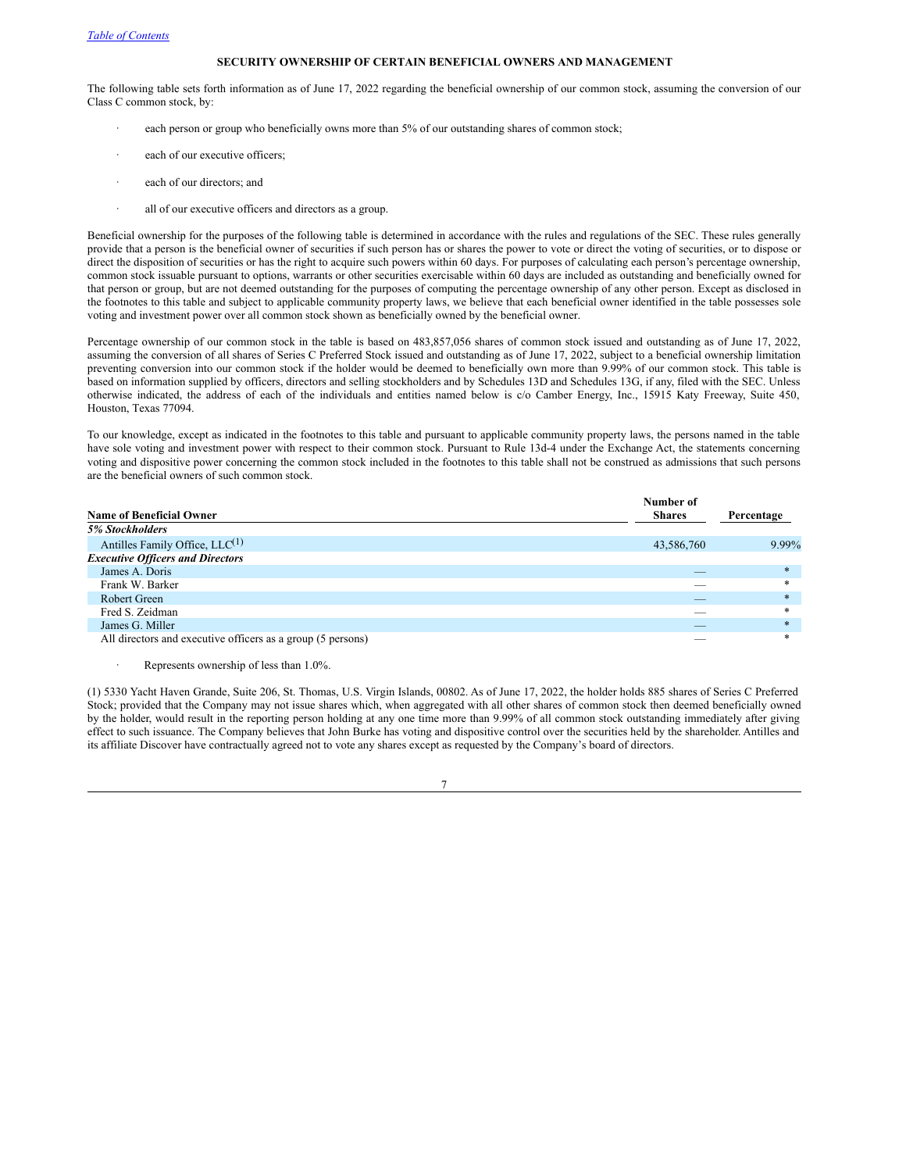# <span id="page-9-0"></span>**SECURITY OWNERSHIP OF CERTAIN BENEFICIAL OWNERS AND MANAGEMENT**

The following table sets forth information as of June 17, 2022 regarding the beneficial ownership of our common stock, assuming the conversion of our Class C common stock, by:

- each person or group who beneficially owns more than 5% of our outstanding shares of common stock;
- each of our executive officers;
- each of our directors; and
- all of our executive officers and directors as a group.

Beneficial ownership for the purposes of the following table is determined in accordance with the rules and regulations of the SEC. These rules generally provide that a person is the beneficial owner of securities if such person has or shares the power to vote or direct the voting of securities, or to dispose or direct the disposition of securities or has the right to acquire such powers within 60 days. For purposes of calculating each person's percentage ownership, common stock issuable pursuant to options, warrants or other securities exercisable within 60 days are included as outstanding and beneficially owned for that person or group, but are not deemed outstanding for the purposes of computing the percentage ownership of any other person. Except as disclosed in the footnotes to this table and subject to applicable community property laws, we believe that each beneficial owner identified in the table possesses sole voting and investment power over all common stock shown as beneficially owned by the beneficial owner.

Percentage ownership of our common stock in the table is based on 483,857,056 shares of common stock issued and outstanding as of June 17, 2022, assuming the conversion of all shares of Series C Preferred Stock issued and outstanding as of June 17, 2022, subject to a beneficial ownership limitation preventing conversion into our common stock if the holder would be deemed to beneficially own more than 9.99% of our common stock. This table is based on information supplied by officers, directors and selling stockholders and by Schedules 13D and Schedules 13G, if any, filed with the SEC. Unless otherwise indicated, the address of each of the individuals and entities named below is c/o Camber Energy, Inc., 15915 Katy Freeway, Suite 450, Houston, Texas 77094.

To our knowledge, except as indicated in the footnotes to this table and pursuant to applicable community property laws, the persons named in the table have sole voting and investment power with respect to their common stock. Pursuant to Rule 13d-4 under the Exchange Act, the statements concerning voting and dispositive power concerning the common stock included in the footnotes to this table shall not be construed as admissions that such persons are the beneficial owners of such common stock.

|                                                             | Number of                |            |
|-------------------------------------------------------------|--------------------------|------------|
| <b>Name of Beneficial Owner</b>                             | <b>Shares</b>            | Percentage |
| <b>5% Stockholders</b>                                      |                          |            |
| Antilles Family Office, $LLC^{(1)}$                         | 43,586,760               | 9.99%      |
| <b>Executive Officers and Directors</b>                     |                          |            |
| James A. Doris                                              |                          | $\ast$     |
| Frank W. Barker                                             |                          | $*$        |
| Robert Green                                                |                          | $*$        |
| Fred S. Zeidman                                             |                          | $*$        |
| James G. Miller                                             | $\overline{\phantom{a}}$ | $*$        |
| All directors and executive officers as a group (5 persons) |                          | $\ast$     |

Represents ownership of less than 1.0%.

(1) 5330 Yacht Haven Grande, Suite 206, St. Thomas, U.S. Virgin Islands, 00802. As of June 17, 2022, the holder holds 885 shares of Series C Preferred Stock; provided that the Company may not issue shares which, when aggregated with all other shares of common stock then deemed beneficially owned by the holder, would result in the reporting person holding at any one time more than 9.99% of all common stock outstanding immediately after giving effect to such issuance. The Company believes that John Burke has voting and dispositive control over the securities held by the shareholder. Antilles and its affiliate Discover have contractually agreed not to vote any shares except as requested by the Company's board of directors.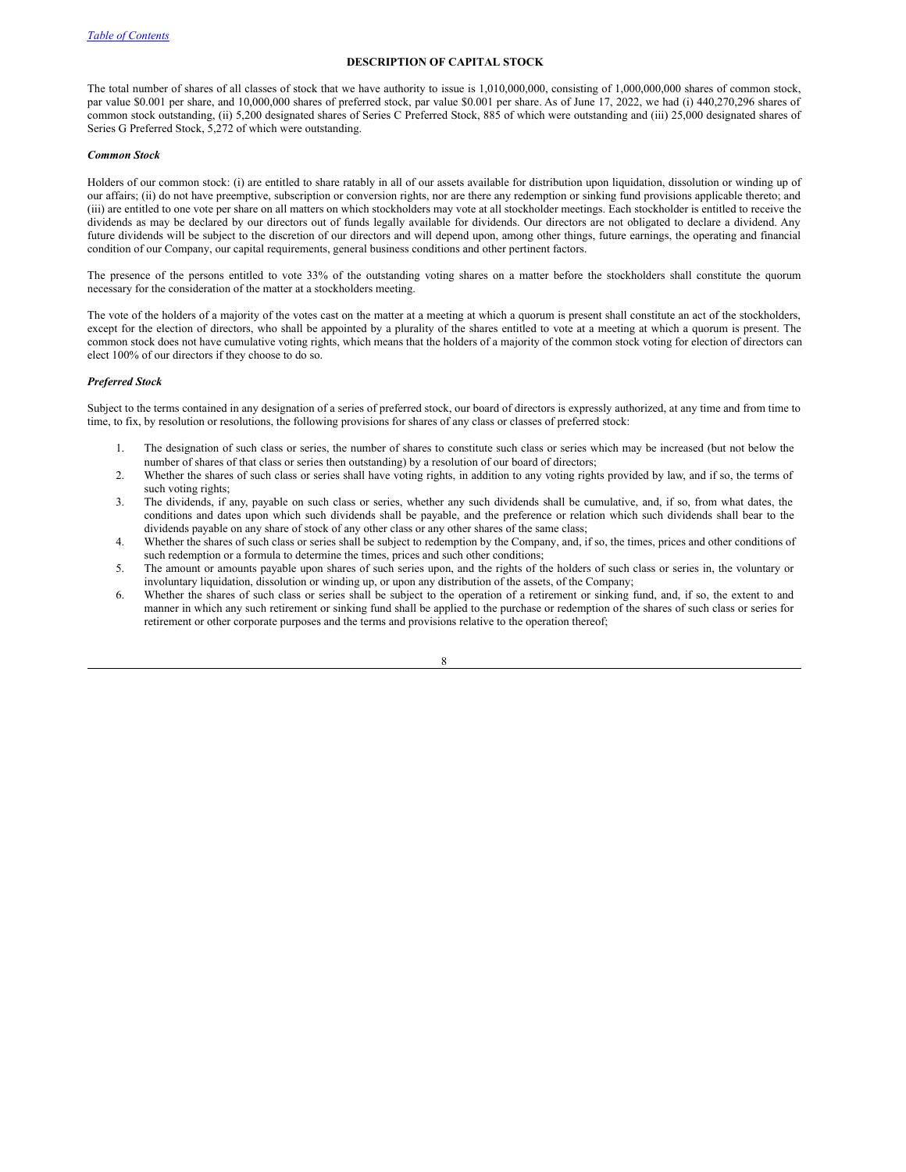### <span id="page-10-0"></span>**DESCRIPTION OF CAPITAL STOCK**

The total number of shares of all classes of stock that we have authority to issue is 1,010,000,000, consisting of 1,000,000,000 shares of common stock, par value \$0.001 per share, and 10,000,000 shares of preferred stock, par value \$0.001 per share. As of June 17, 2022, we had (i) 440,270,296 shares of common stock outstanding, (ii) 5,200 designated shares of Series C Preferred Stock, 885 of which were outstanding and (iii) 25,000 designated shares of Series G Preferred Stock, 5,272 of which were outstanding.

#### *Common Stock*

Holders of our common stock: (i) are entitled to share ratably in all of our assets available for distribution upon liquidation, dissolution or winding up of our affairs; (ii) do not have preemptive, subscription or conversion rights, nor are there any redemption or sinking fund provisions applicable thereto; and (iii) are entitled to one vote per share on all matters on which stockholders may vote at all stockholder meetings. Each stockholder is entitled to receive the dividends as may be declared by our directors out of funds legally available for dividends. Our directors are not obligated to declare a dividend. Any future dividends will be subject to the discretion of our directors and will depend upon, among other things, future earnings, the operating and financial condition of our Company, our capital requirements, general business conditions and other pertinent factors.

The presence of the persons entitled to vote 33% of the outstanding voting shares on a matter before the stockholders shall constitute the quorum necessary for the consideration of the matter at a stockholders meeting.

The vote of the holders of a majority of the votes cast on the matter at a meeting at which a quorum is present shall constitute an act of the stockholders, except for the election of directors, who shall be appointed by a plurality of the shares entitled to vote at a meeting at which a quorum is present. The common stock does not have cumulative voting rights, which means that the holders of a majority of the common stock voting for election of directors can elect 100% of our directors if they choose to do so.

# *Preferred Stock*

Subject to the terms contained in any designation of a series of preferred stock, our board of directors is expressly authorized, at any time and from time to time, to fix, by resolution or resolutions, the following provisions for shares of any class or classes of preferred stock:

- 1. The designation of such class or series, the number of shares to constitute such class or series which may be increased (but not below the number of shares of that class or series then outstanding) by a resolution of our board of directors;
- 2. Whether the shares of such class or series shall have voting rights, in addition to any voting rights provided by law, and if so, the terms of such voting rights;
- 3. The dividends, if any, payable on such class or series, whether any such dividends shall be cumulative, and, if so, from what dates, the conditions and dates upon which such dividends shall be payable, and the preference or relation which such dividends shall bear to the dividends payable on any share of stock of any other class or any other shares of the same class;
- 4. Whether the shares of such class or series shall be subject to redemption by the Company, and, if so, the times, prices and other conditions of such redemption or a formula to determine the times, prices and such other conditions;
- 5. The amount or amounts payable upon shares of such series upon, and the rights of the holders of such class or series in, the voluntary or involuntary liquidation, dissolution or winding up, or upon any distribution of the assets, of the Company;
- 6. Whether the shares of such class or series shall be subject to the operation of a retirement or sinking fund, and, if so, the extent to and manner in which any such retirement or sinking fund shall be applied to the purchase or redemption of the shares of such class or series for retirement or other corporate purposes and the terms and provisions relative to the operation thereof;

| I |  |  |
|---|--|--|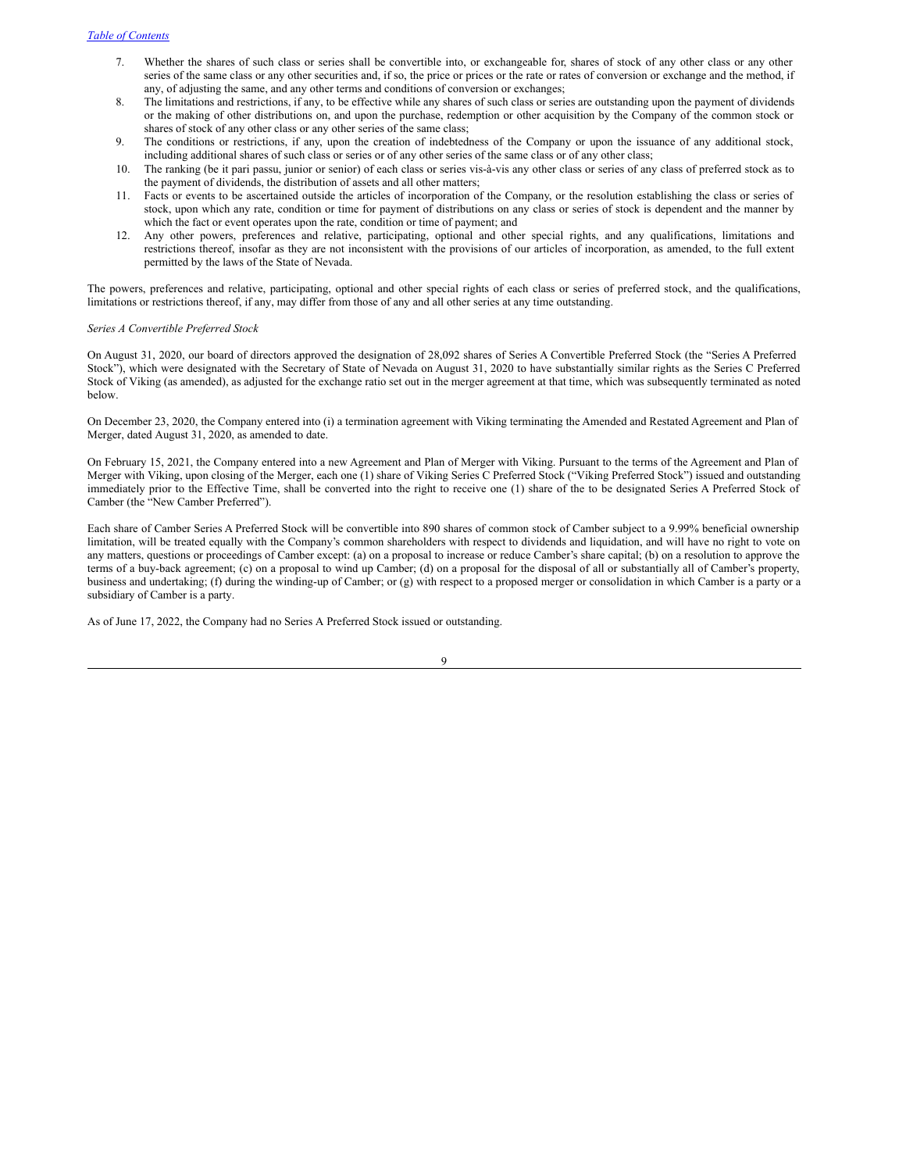- 7. Whether the shares of such class or series shall be convertible into, or exchangeable for, shares of stock of any other class or any other series of the same class or any other securities and, if so, the price or prices or the rate or rates of conversion or exchange and the method, if any, of adjusting the same, and any other terms and conditions of conversion or exchanges;
- 8. The limitations and restrictions, if any, to be effective while any shares of such class or series are outstanding upon the payment of dividends or the making of other distributions on, and upon the purchase, redemption or other acquisition by the Company of the common stock or shares of stock of any other class or any other series of the same class;
- 9. The conditions or restrictions, if any, upon the creation of indebtedness of the Company or upon the issuance of any additional stock, including additional shares of such class or series or of any other series of the same class or of any other class;
- 10. The ranking (be it pari passu, junior or senior) of each class or series vis-à-vis any other class or series of any class of preferred stock as to the payment of dividends, the distribution of assets and all other matters;
- 11. Facts or events to be ascertained outside the articles of incorporation of the Company, or the resolution establishing the class or series of stock, upon which any rate, condition or time for payment of distributions on any class or series of stock is dependent and the manner by which the fact or event operates upon the rate, condition or time of payment; and
- 12. Any other powers, preferences and relative, participating, optional and other special rights, and any qualifications, limitations and restrictions thereof, insofar as they are not inconsistent with the provisions of our articles of incorporation, as amended, to the full extent permitted by the laws of the State of Nevada.

The powers, preferences and relative, participating, optional and other special rights of each class or series of preferred stock, and the qualifications, limitations or restrictions thereof, if any, may differ from those of any and all other series at any time outstanding.

# *Series A Convertible Preferred Stock*

On August 31, 2020, our board of directors approved the designation of 28,092 shares of Series A Convertible Preferred Stock (the "Series A Preferred Stock"), which were designated with the Secretary of State of Nevada on August 31, 2020 to have substantially similar rights as the Series C Preferred Stock of Viking (as amended), as adjusted for the exchange ratio set out in the merger agreement at that time, which was subsequently terminated as noted below.

On December 23, 2020, the Company entered into (i) a termination agreement with Viking terminating the Amended and Restated Agreement and Plan of Merger, dated August 31, 2020, as amended to date.

On February 15, 2021, the Company entered into a new Agreement and Plan of Merger with Viking. Pursuant to the terms of the Agreement and Plan of Merger with Viking, upon closing of the Merger, each one (1) share of Viking Series C Preferred Stock ("Viking Preferred Stock") issued and outstanding immediately prior to the Effective Time, shall be converted into the right to receive one (1) share of the to be designated Series A Preferred Stock of Camber (the "New Camber Preferred").

Each share of Camber Series A Preferred Stock will be convertible into 890 shares of common stock of Camber subject to a 9.99% beneficial ownership limitation, will be treated equally with the Company's common shareholders with respect to dividends and liquidation, and will have no right to vote on any matters, questions or proceedings of Camber except: (a) on a proposal to increase or reduce Camber's share capital; (b) on a resolution to approve the terms of a buy-back agreement; (c) on a proposal to wind up Camber; (d) on a proposal for the disposal of all or substantially all of Camber's property, business and undertaking; (f) during the winding-up of Camber; or (g) with respect to a proposed merger or consolidation in which Camber is a party or a subsidiary of Camber is a party.

As of June 17, 2022, the Company had no Series A Preferred Stock issued or outstanding.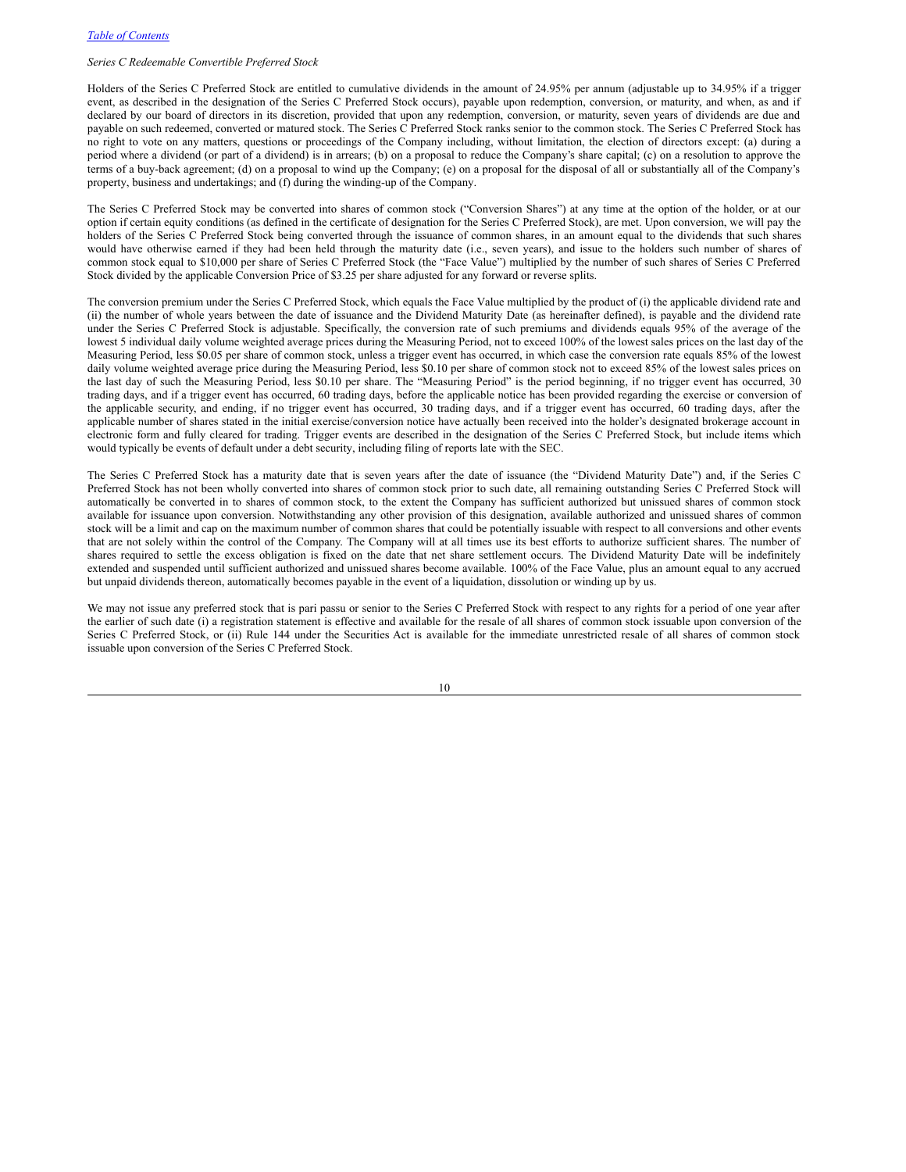# *Series C Redeemable Convertible Preferred Stock*

Holders of the Series C Preferred Stock are entitled to cumulative dividends in the amount of 24.95% per annum (adjustable up to 34.95% if a trigger event, as described in the designation of the Series C Preferred Stock occurs), payable upon redemption, conversion, or maturity, and when, as and if declared by our board of directors in its discretion, provided that upon any redemption, conversion, or maturity, seven years of dividends are due and payable on such redeemed, converted or matured stock. The Series C Preferred Stock ranks senior to the common stock. The Series C Preferred Stock has no right to vote on any matters, questions or proceedings of the Company including, without limitation, the election of directors except: (a) during a period where a dividend (or part of a dividend) is in arrears; (b) on a proposal to reduce the Company's share capital; (c) on a resolution to approve the terms of a buy-back agreement; (d) on a proposal to wind up the Company; (e) on a proposal for the disposal of all or substantially all of the Company's property, business and undertakings; and (f) during the winding-up of the Company.

The Series C Preferred Stock may be converted into shares of common stock ("Conversion Shares") at any time at the option of the holder, or at our option if certain equity conditions (as defined in the certificate of designation for the Series C Preferred Stock), are met. Upon conversion, we will pay the holders of the Series C Preferred Stock being converted through the issuance of common shares, in an amount equal to the dividends that such shares would have otherwise earned if they had been held through the maturity date (i.e., seven years), and issue to the holders such number of shares of common stock equal to \$10,000 per share of Series C Preferred Stock (the "Face Value") multiplied by the number of such shares of Series C Preferred Stock divided by the applicable Conversion Price of \$3.25 per share adjusted for any forward or reverse splits.

The conversion premium under the Series C Preferred Stock, which equals the Face Value multiplied by the product of (i) the applicable dividend rate and (ii) the number of whole years between the date of issuance and the Dividend Maturity Date (as hereinafter defined), is payable and the dividend rate under the Series C Preferred Stock is adjustable. Specifically, the conversion rate of such premiums and dividends equals 95% of the average of the lowest 5 individual daily volume weighted average prices during the Measuring Period, not to exceed 100% of the lowest sales prices on the last day of the Measuring Period, less \$0.05 per share of common stock, unless a trigger event has occurred, in which case the conversion rate equals 85% of the lowest daily volume weighted average price during the Measuring Period, less \$0.10 per share of common stock not to exceed 85% of the lowest sales prices on the last day of such the Measuring Period, less \$0.10 per share. The "Measuring Period" is the period beginning, if no trigger event has occurred, 30 trading days, and if a trigger event has occurred, 60 trading days, before the applicable notice has been provided regarding the exercise or conversion of the applicable security, and ending, if no trigger event has occurred, 30 trading days, and if a trigger event has occurred, 60 trading days, after the applicable number of shares stated in the initial exercise/conversion notice have actually been received into the holder's designated brokerage account in electronic form and fully cleared for trading. Trigger events are described in the designation of the Series C Preferred Stock, but include items which would typically be events of default under a debt security, including filing of reports late with the SEC.

The Series C Preferred Stock has a maturity date that is seven years after the date of issuance (the "Dividend Maturity Date") and, if the Series C Preferred Stock has not been wholly converted into shares of common stock prior to such date, all remaining outstanding Series C Preferred Stock will automatically be converted in to shares of common stock, to the extent the Company has sufficient authorized but unissued shares of common stock available for issuance upon conversion. Notwithstanding any other provision of this designation, available authorized and unissued shares of common stock will be a limit and cap on the maximum number of common shares that could be potentially issuable with respect to all conversions and other events that are not solely within the control of the Company. The Company will at all times use its best efforts to authorize sufficient shares. The number of shares required to settle the excess obligation is fixed on the date that net share settlement occurs. The Dividend Maturity Date will be indefinitely extended and suspended until sufficient authorized and unissued shares become available. 100% of the Face Value, plus an amount equal to any accrued but unpaid dividends thereon, automatically becomes payable in the event of a liquidation, dissolution or winding up by us.

We may not issue any preferred stock that is pari passu or senior to the Series C Preferred Stock with respect to any rights for a period of one year after the earlier of such date (i) a registration statement is effective and available for the resale of all shares of common stock issuable upon conversion of the Series C Preferred Stock, or (ii) Rule 144 under the Securities Act is available for the immediate unrestricted resale of all shares of common stock issuable upon conversion of the Series C Preferred Stock.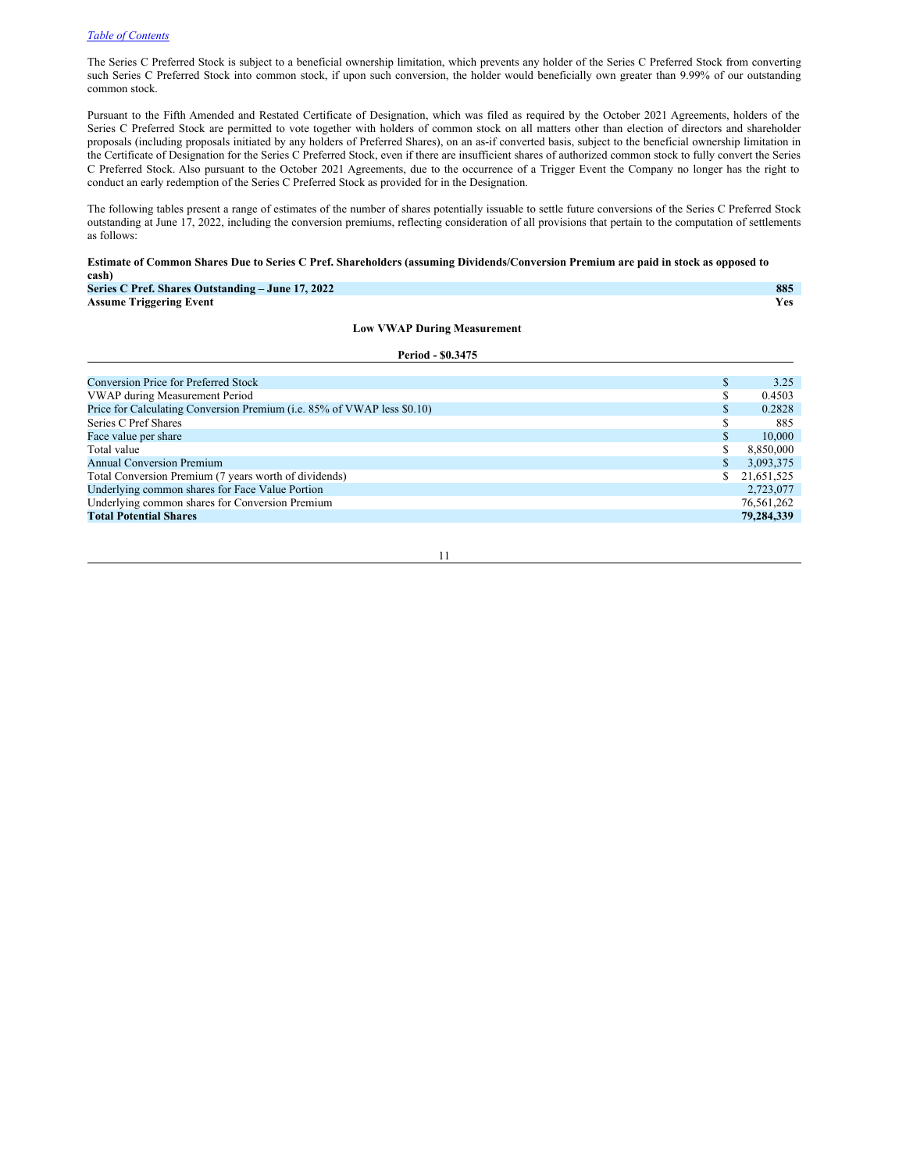$Total Potential **Shares**$ </mark>

The Series C Preferred Stock is subject to a beneficial ownership limitation, which prevents any holder of the Series C Preferred Stock from converting such Series C Preferred Stock into common stock, if upon such conversion, the holder would beneficially own greater than 9.99% of our outstanding common stock.

Pursuant to the Fifth Amended and Restated Certificate of Designation, which was filed as required by the October 2021 Agreements, holders of the Series C Preferred Stock are permitted to vote together with holders of common stock on all matters other than election of directors and shareholder proposals (including proposals initiated by any holders of Preferred Shares), on an as-if converted basis, subject to the beneficial ownership limitation in the Certificate of Designation for the Series C Preferred Stock, even if there are insufficient shares of authorized common stock to fully convert the Series C Preferred Stock. Also pursuant to the October 2021 Agreements, due to the occurrence of a Trigger Event the Company no longer has the right to conduct an early redemption of the Series C Preferred Stock as provided for in the Designation.

The following tables present a range of estimates of the number of shares potentially issuable to settle future conversions of the Series C Preferred Stock outstanding at June 17, 2022, including the conversion premiums, reflecting consideration of all provisions that pertain to the computation of settlements as follows:

#### Estimate of Common Shares Due to Series C Pref. Shareholders (assuming Dividends/Conversion Premium are paid in stock as opposed to **cash)**

| Series C Pref. Shares Outstanding – June 17, 2022                       |   | 885        |
|-------------------------------------------------------------------------|---|------------|
| <b>Assume Triggering Event</b>                                          |   | Yes        |
| <b>Low VWAP During Measurement</b>                                      |   |            |
| Period - \$0.3475                                                       |   |            |
|                                                                         |   |            |
| <b>Conversion Price for Preferred Stock</b>                             | S | 3.25       |
| VWAP during Measurement Period                                          |   | 0.4503     |
| Price for Calculating Conversion Premium (i.e. 85% of VWAP less \$0.10) |   | 0.2828     |
| Series C Pref Shares                                                    |   | 885        |
| Face value per share                                                    |   | 10,000     |
| Total value                                                             |   | 8,850,000  |
| <b>Annual Conversion Premium</b>                                        |   | 3,093,375  |
| Total Conversion Premium (7 years worth of dividends)                   |   | 21,651,525 |

11

Underlying common shares for Face Value Portion 2,723,077<br>
Underlying common shares for Conversion Premium 26,561,262 Underlying common shares for Conversion Premium 76,561,262<br> **Total Potential Shares** 79,284,339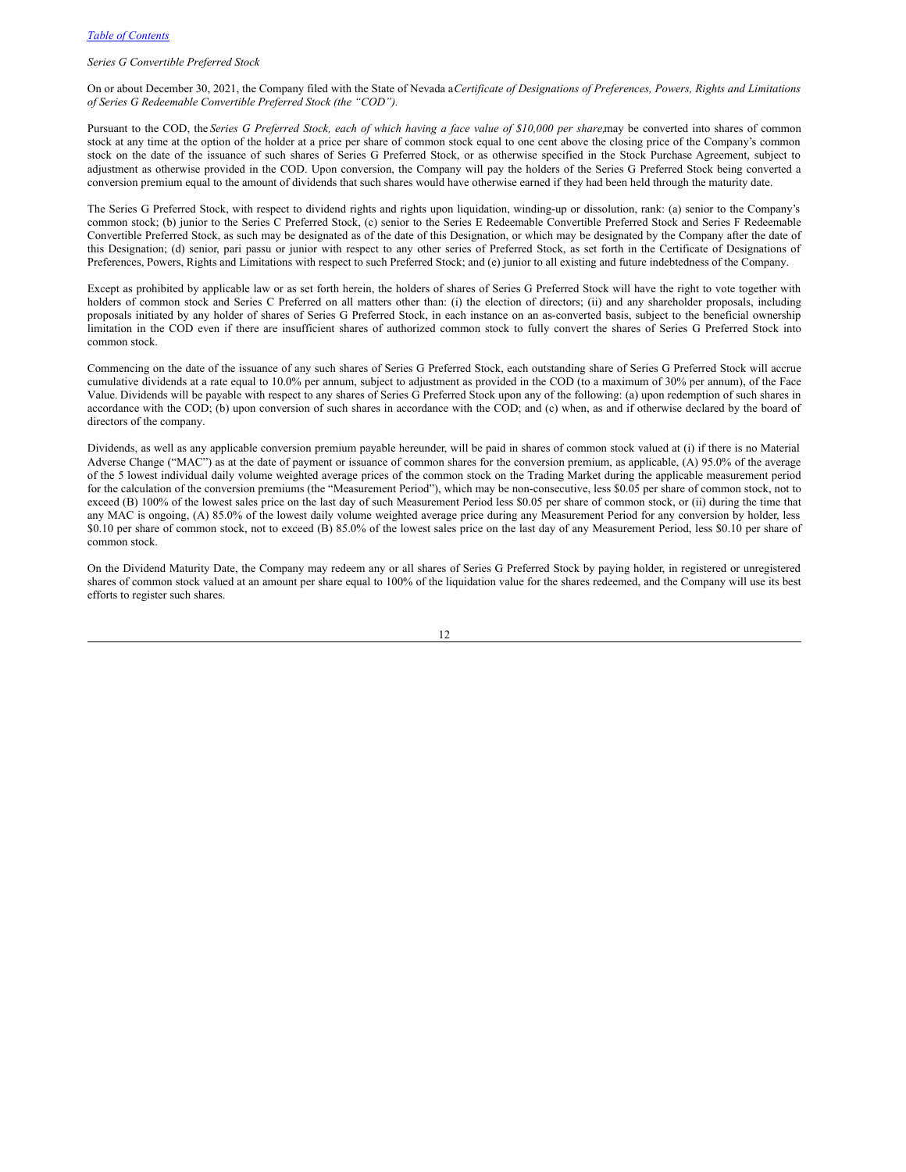# *Series G Convertible Preferred Stock*

On or about December 30, 2021, the Company filed with the State of Nevada a*Certificate of Designations of Preferences, Powers, Rights and Limitations of Series G Redeemable Convertible Preferred Stock (the "COD").*

Pursuant to the COD, the Series G Preferred Stock, each of which having a face value of \$10,000 per share, may be converted into shares of common stock at any time at the option of the holder at a price per share of common stock equal to one cent above the closing price of the Company's common stock on the date of the issuance of such shares of Series G Preferred Stock, or as otherwise specified in the Stock Purchase Agreement, subject to adjustment as otherwise provided in the COD. Upon conversion, the Company will pay the holders of the Series G Preferred Stock being converted a conversion premium equal to the amount of dividends that such shares would have otherwise earned if they had been held through the maturity date.

The Series G Preferred Stock, with respect to dividend rights and rights upon liquidation, winding-up or dissolution, rank: (a) senior to the Company's common stock; (b) junior to the Series C Preferred Stock, (c) senior to the Series E Redeemable Convertible Preferred Stock and Series F Redeemable Convertible Preferred Stock, as such may be designated as of the date of this Designation, or which may be designated by the Company after the date of this Designation; (d) senior, pari passu or junior with respect to any other series of Preferred Stock, as set forth in the Certificate of Designations of Preferences, Powers, Rights and Limitations with respect to such Preferred Stock; and (e) junior to all existing and future indebtedness of the Company.

Except as prohibited by applicable law or as set forth herein, the holders of shares of Series G Preferred Stock will have the right to vote together with holders of common stock and Series C Preferred on all matters other than: (i) the election of directors; (ii) and any shareholder proposals, including proposals initiated by any holder of shares of Series G Preferred Stock, in each instance on an as-converted basis, subject to the beneficial ownership limitation in the COD even if there are insufficient shares of authorized common stock to fully convert the shares of Series G Preferred Stock into common stock.

Commencing on the date of the issuance of any such shares of Series G Preferred Stock, each outstanding share of Series G Preferred Stock will accrue cumulative dividends at a rate equal to 10.0% per annum, subject to adjustment as provided in the COD (to a maximum of 30% per annum), of the Face Value. Dividends will be payable with respect to any shares of Series G Preferred Stock upon any of the following: (a) upon redemption of such shares in accordance with the COD; (b) upon conversion of such shares in accordance with the COD; and (c) when, as and if otherwise declared by the board of directors of the company.

Dividends, as well as any applicable conversion premium payable hereunder, will be paid in shares of common stock valued at (i) if there is no Material Adverse Change ("MAC") as at the date of payment or issuance of common shares for the conversion premium, as applicable, (A) 95.0% of the average of the 5 lowest individual daily volume weighted average prices of the common stock on the Trading Market during the applicable measurement period for the calculation of the conversion premiums (the "Measurement Period"), which may be non-consecutive, less \$0.05 per share of common stock, not to exceed (B) 100% of the lowest sales price on the last day of such Measurement Period less \$0.05 per share of common stock, or (ii) during the time that any MAC is ongoing, (A) 85.0% of the lowest daily volume weighted average price during any Measurement Period for any conversion by holder, less \$0.10 per share of common stock, not to exceed (B) 85.0% of the lowest sales price on the last day of any Measurement Period, less \$0.10 per share of common stock.

On the Dividend Maturity Date, the Company may redeem any or all shares of Series G Preferred Stock by paying holder, in registered or unregistered shares of common stock valued at an amount per share equal to 100% of the liquidation value for the shares redeemed, and the Company will use its best efforts to register such shares.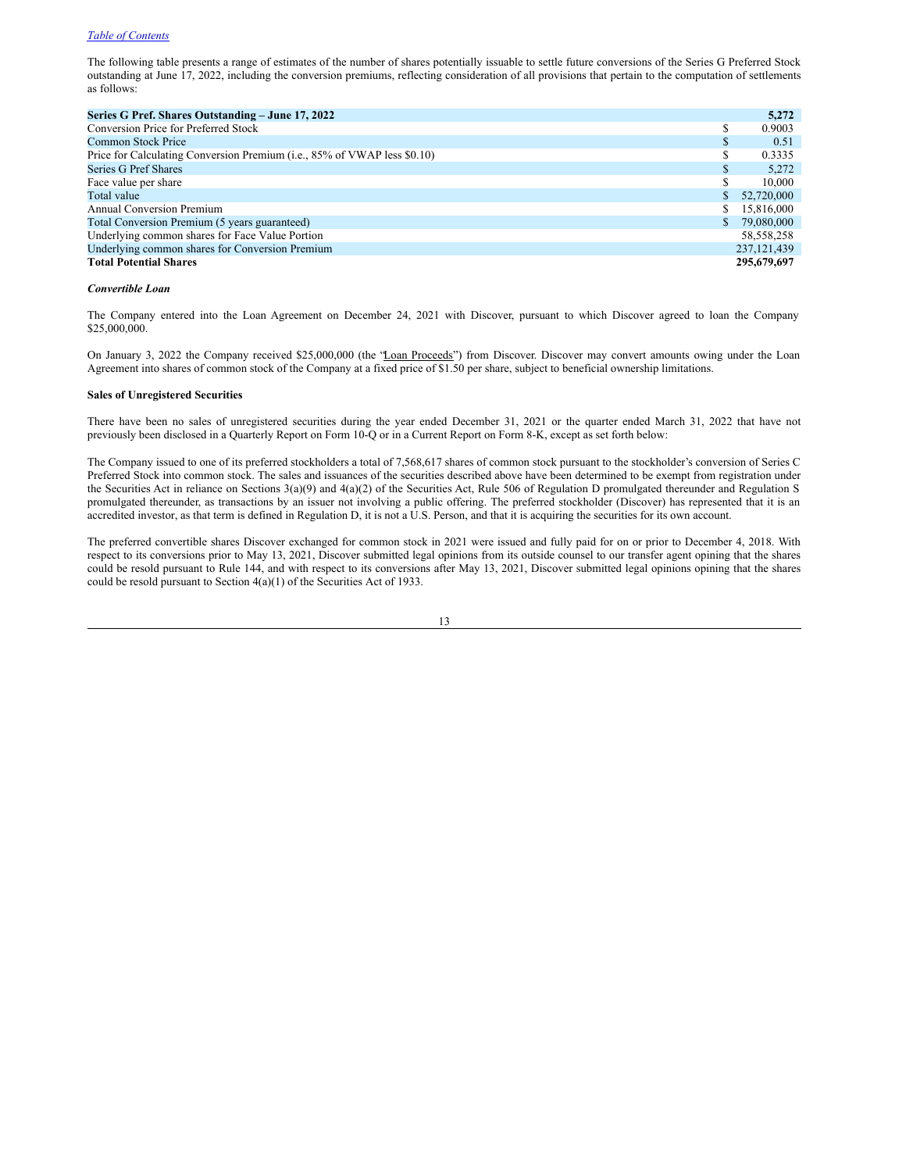The following table presents a range of estimates of the number of shares potentially issuable to settle future conversions of the Series G Preferred Stock outstanding at June 17, 2022, including the conversion premiums, reflecting consideration of all provisions that pertain to the computation of settlements as follows:

| Series G Pref. Shares Outstanding – June 17, 2022                        |    | 5,272         |
|--------------------------------------------------------------------------|----|---------------|
| Conversion Price for Preferred Stock                                     |    | 0.9003        |
| Common Stock Price                                                       | Ф  | 0.51          |
| Price for Calculating Conversion Premium (i.e., 85% of VWAP less \$0.10) |    | 0.3335        |
| Series G Pref Shares                                                     | S  | 5,272         |
| Face value per share                                                     |    | 10,000        |
| Total value                                                              |    | 52,720,000    |
| <b>Annual Conversion Premium</b>                                         | S. | 15,816,000    |
| Total Conversion Premium (5 years guaranteed)                            |    | 79,080,000    |
| Underlying common shares for Face Value Portion                          |    | 58, 558, 258  |
| Underlying common shares for Conversion Premium                          |    | 237, 121, 439 |
| <b>Total Potential Shares</b>                                            |    | 295,679,697   |

#### *Convertible Loan*

The Company entered into the Loan Agreement on December 24, 2021 with Discover, pursuant to which Discover agreed to loan the Company \$25,000,000.

On January 3, 2022 the Company received \$25,000,000 (the 'Loan Proceeds') from Discover. Discover may convert amounts owing under the Loan Agreement into shares of common stock of the Company at a fixed price of \$1.50 per share, subject to beneficial ownership limitations.

#### **Sales of Unregistered Securities**

There have been no sales of unregistered securities during the year ended December 31, 2021 or the quarter ended March 31, 2022 that have not previously been disclosed in a Quarterly Report on Form 10-Q or in a Current Report on Form 8-K, except as set forth below:

The Company issued to one of its preferred stockholders a total of 7,568,617 shares of common stock pursuant to the stockholder's conversion of Series C Preferred Stock into common stock. The sales and issuances of the securities described above have been determined to be exempt from registration under the Securities Act in reliance on Sections 3(a)(9) and 4(a)(2) of the Securities Act, Rule 506 of Regulation D promulgated thereunder and Regulation S promulgated thereunder, as transactions by an issuer not involving a public offering. The preferred stockholder (Discover) has represented that it is an accredited investor, as that term is defined in Regulation D, it is not a U.S. Person, and that it is acquiring the securities for its own account.

The preferred convertible shares Discover exchanged for common stock in 2021 were issued and fully paid for on or prior to December 4, 2018. With respect to its conversions prior to May 13, 2021, Discover submitted legal opinions from its outside counsel to our transfer agent opining that the shares could be resold pursuant to Rule 144, and with respect to its conversions after May 13, 2021, Discover submitted legal opinions opining that the shares could be resold pursuant to Section 4(a)(1) of the Securities Act of 1933.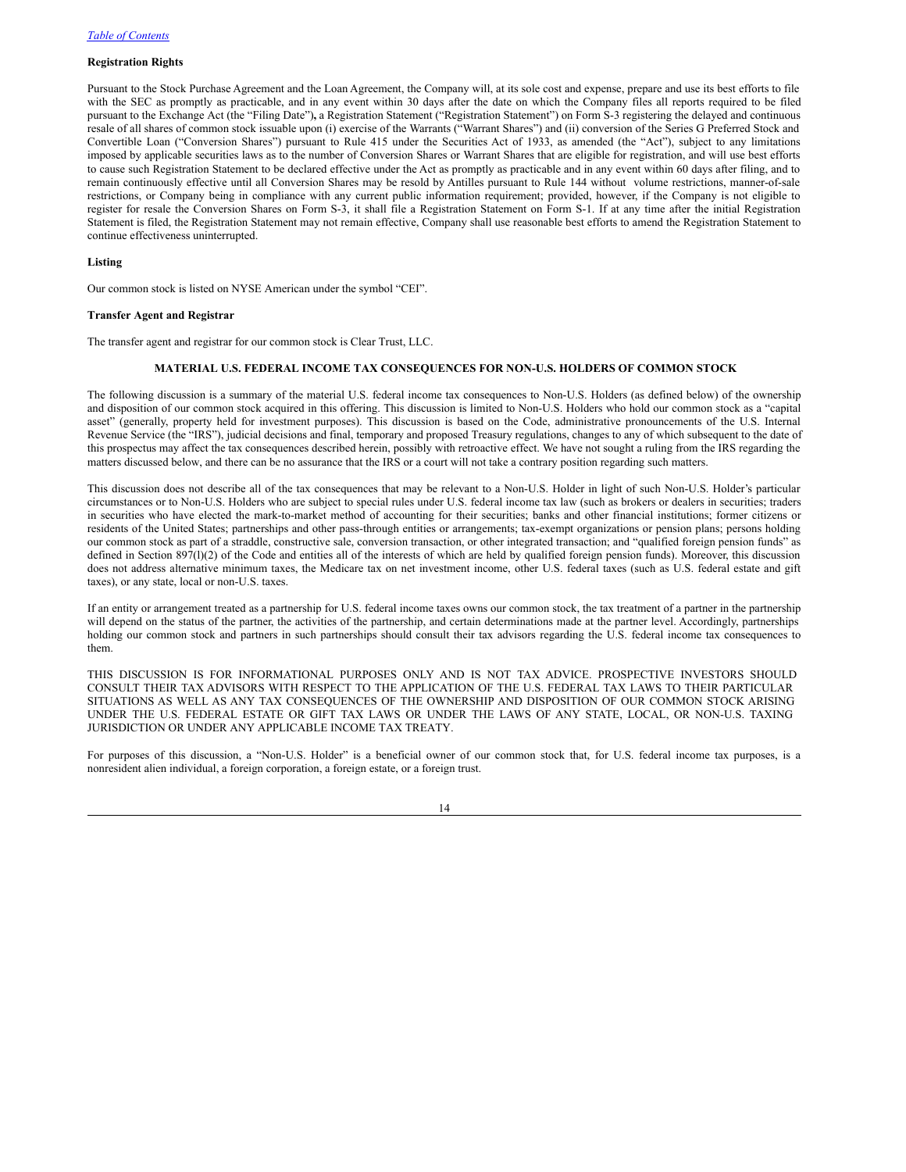# **Registration Rights**

Pursuant to the Stock Purchase Agreement and the Loan Agreement, the Company will, at its sole cost and expense, prepare and use its best efforts to file with the SEC as promptly as practicable, and in any event within 30 days after the date on which the Company files all reports required to be filed pursuant to the Exchange Act (the "Filing Date")**,** a Registration Statement ("Registration Statement") on Form S-3 registering the delayed and continuous resale of all shares of common stock issuable upon (i) exercise of the Warrants ("Warrant Shares") and (ii) conversion of the Series G Preferred Stock and Convertible Loan ("Conversion Shares") pursuant to Rule 415 under the Securities Act of 1933, as amended (the "Act"), subject to any limitations imposed by applicable securities laws as to the number of Conversion Shares or Warrant Shares that are eligible for registration, and will use best efforts to cause such Registration Statement to be declared effective under the Act as promptly as practicable and in any event within 60 days after filing, and to remain continuously effective until all Conversion Shares may be resold by Antilles pursuant to Rule 144 without volume restrictions, manner-of-sale restrictions, or Company being in compliance with any current public information requirement; provided, however, if the Company is not eligible to register for resale the Conversion Shares on Form S-3, it shall file a Registration Statement on Form S-1. If at any time after the initial Registration Statement is filed, the Registration Statement may not remain effective, Company shall use reasonable best efforts to amend the Registration Statement to continue effectiveness uninterrupted.

# **Listing**

Our common stock is listed on NYSE American under the symbol "CEI".

# **Transfer Agent and Registrar**

The transfer agent and registrar for our common stock is Clear Trust, LLC.

## <span id="page-16-0"></span>**MATERIAL U.S. FEDERAL INCOME TAX CONSEQUENCES FOR NON-U.S. HOLDERS OF COMMON STOCK**

The following discussion is a summary of the material U.S. federal income tax consequences to Non-U.S. Holders (as defined below) of the ownership and disposition of our common stock acquired in this offering. This discussion is limited to Non-U.S. Holders who hold our common stock as a "capital asset" (generally, property held for investment purposes). This discussion is based on the Code, administrative pronouncements of the U.S. Internal Revenue Service (the "IRS"), judicial decisions and final, temporary and proposed Treasury regulations, changes to any of which subsequent to the date of this prospectus may affect the tax consequences described herein, possibly with retroactive effect. We have not sought a ruling from the IRS regarding the matters discussed below, and there can be no assurance that the IRS or a court will not take a contrary position regarding such matters.

This discussion does not describe all of the tax consequences that may be relevant to a Non-U.S. Holder in light of such Non-U.S. Holder's particular circumstances or to Non-U.S. Holders who are subject to special rules under U.S. federal income tax law (such as brokers or dealers in securities; traders in securities who have elected the mark-to-market method of accounting for their securities; banks and other financial institutions; former citizens or residents of the United States; partnerships and other pass-through entities or arrangements; tax-exempt organizations or pension plans; persons holding our common stock as part of a straddle, constructive sale, conversion transaction, or other integrated transaction; and "qualified foreign pension funds" as defined in Section 897(l)(2) of the Code and entities all of the interests of which are held by qualified foreign pension funds). Moreover, this discussion does not address alternative minimum taxes, the Medicare tax on net investment income, other U.S. federal taxes (such as U.S. federal estate and gift taxes), or any state, local or non-U.S. taxes.

If an entity or arrangement treated as a partnership for U.S. federal income taxes owns our common stock, the tax treatment of a partner in the partnership will depend on the status of the partner, the activities of the partnership, and certain determinations made at the partner level. Accordingly, partnerships holding our common stock and partners in such partnerships should consult their tax advisors regarding the U.S. federal income tax consequences to them.

THIS DISCUSSION IS FOR INFORMATIONAL PURPOSES ONLY AND IS NOT TAX ADVICE. PROSPECTIVE INVESTORS SHOULD CONSULT THEIR TAX ADVISORS WITH RESPECT TO THE APPLICATION OF THE U.S. FEDERAL TAX LAWS TO THEIR PARTICULAR SITUATIONS AS WELL AS ANY TAX CONSEQUENCES OF THE OWNERSHIP AND DISPOSITION OF OUR COMMON STOCK ARISING UNDER THE U.S. FEDERAL ESTATE OR GIFT TAX LAWS OR UNDER THE LAWS OF ANY STATE, LOCAL, OR NON-U.S. TAXING JURISDICTION OR UNDER ANY APPLICABLE INCOME TAX TREATY.

For purposes of this discussion, a "Non-U.S. Holder" is a beneficial owner of our common stock that, for U.S. federal income tax purposes, is a nonresident alien individual, a foreign corporation, a foreign estate, or a foreign trust.

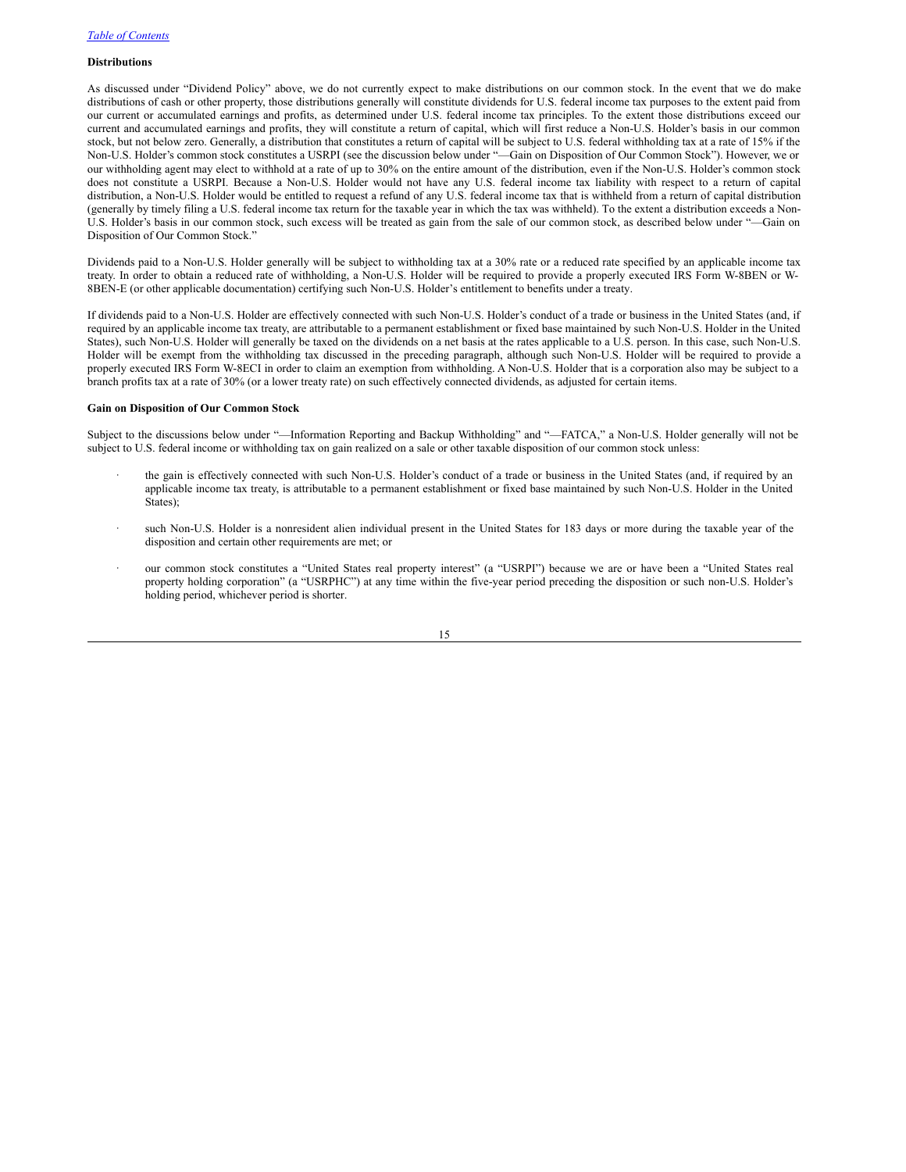# **Distributions**

As discussed under "Dividend Policy" above, we do not currently expect to make distributions on our common stock. In the event that we do make distributions of cash or other property, those distributions generally will constitute dividends for U.S. federal income tax purposes to the extent paid from our current or accumulated earnings and profits, as determined under U.S. federal income tax principles. To the extent those distributions exceed our current and accumulated earnings and profits, they will constitute a return of capital, which will first reduce a Non-U.S. Holder's basis in our common stock, but not below zero. Generally, a distribution that constitutes a return of capital will be subject to U.S. federal withholding tax at a rate of 15% if the Non-U.S. Holder's common stock constitutes a USRPI (see the discussion below under "—Gain on Disposition of Our Common Stock"). However, we or our withholding agent may elect to withhold at a rate of up to 30% on the entire amount of the distribution, even if the Non-U.S. Holder's common stock does not constitute a USRPI. Because a Non-U.S. Holder would not have any U.S. federal income tax liability with respect to a return of capital distribution, a Non-U.S. Holder would be entitled to request a refund of any U.S. federal income tax that is withheld from a return of capital distribution (generally by timely filing a U.S. federal income tax return for the taxable year in which the tax was withheld). To the extent a distribution exceeds a Non-U.S. Holder's basis in our common stock, such excess will be treated as gain from the sale of our common stock, as described below under "—Gain on Disposition of Our Common Stock."

Dividends paid to a Non-U.S. Holder generally will be subject to withholding tax at a 30% rate or a reduced rate specified by an applicable income tax treaty. In order to obtain a reduced rate of withholding, a Non-U.S. Holder will be required to provide a properly executed IRS Form W-8BEN or W-8BEN-E (or other applicable documentation) certifying such Non-U.S. Holder's entitlement to benefits under a treaty.

If dividends paid to a Non-U.S. Holder are effectively connected with such Non-U.S. Holder's conduct of a trade or business in the United States (and, if required by an applicable income tax treaty, are attributable to a permanent establishment or fixed base maintained by such Non-U.S. Holder in the United States), such Non-U.S. Holder will generally be taxed on the dividends on a net basis at the rates applicable to a U.S. person. In this case, such Non-U.S. Holder will be exempt from the withholding tax discussed in the preceding paragraph, although such Non-U.S. Holder will be required to provide a properly executed IRS Form W-8ECI in order to claim an exemption from withholding. A Non-U.S. Holder that is a corporation also may be subject to a branch profits tax at a rate of 30% (or a lower treaty rate) on such effectively connected dividends, as adjusted for certain items.

#### **Gain on Disposition of Our Common Stock**

Subject to the discussions below under "—Information Reporting and Backup Withholding" and "—FATCA," a Non-U.S. Holder generally will not be subject to U.S. federal income or withholding tax on gain realized on a sale or other taxable disposition of our common stock unless:

- the gain is effectively connected with such Non-U.S. Holder's conduct of a trade or business in the United States (and, if required by an applicable income tax treaty, is attributable to a permanent establishment or fixed base maintained by such Non-U.S. Holder in the United States);
- such Non-U.S. Holder is a nonresident alien individual present in the United States for 183 days or more during the taxable year of the disposition and certain other requirements are met; or
- · our common stock constitutes a "United States real property interest" (a "USRPI") because we are or have been a "United States real property holding corporation" (a "USRPHC") at any time within the five-year period preceding the disposition or such non-U.S. Holder's holding period, whichever period is shorter.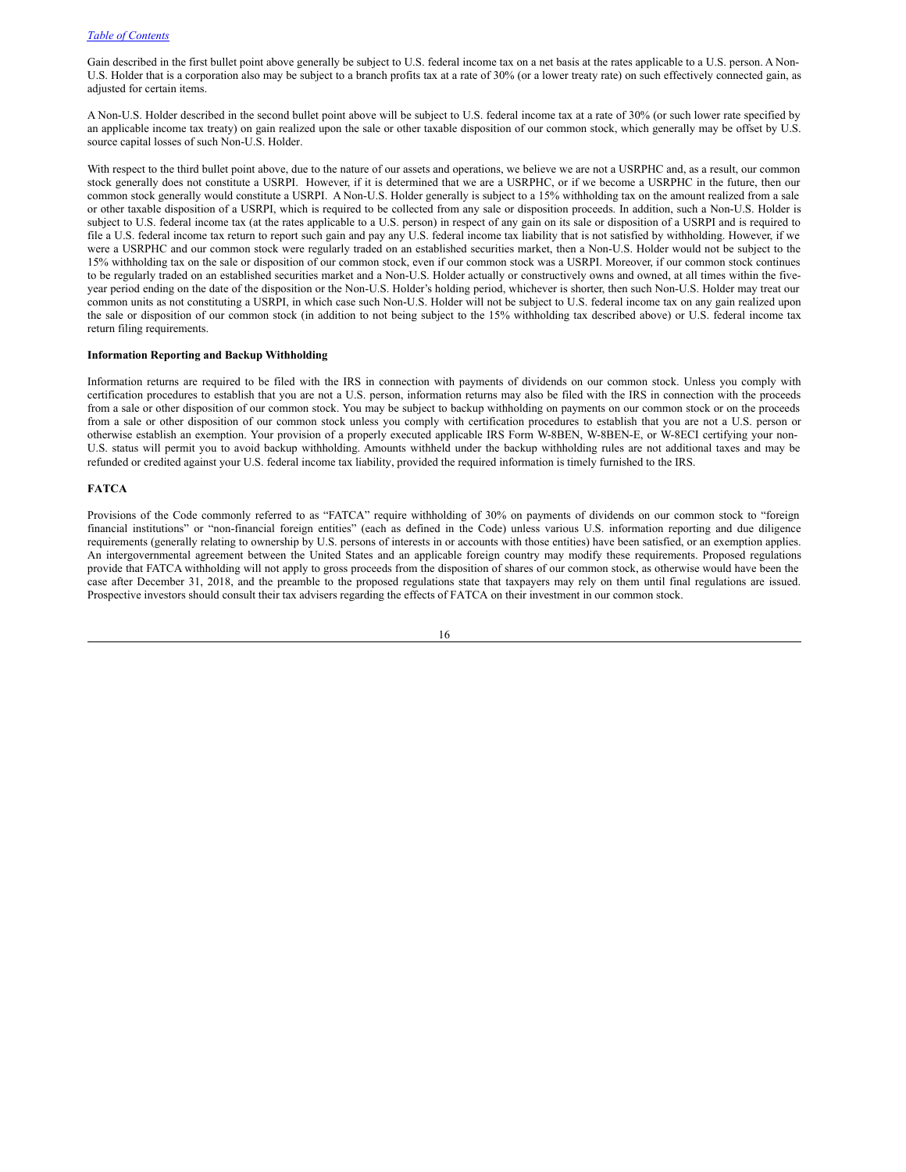Gain described in the first bullet point above generally be subject to U.S. federal income tax on a net basis at the rates applicable to a U.S. person. A Non-U.S. Holder that is a corporation also may be subject to a branch profits tax at a rate of 30% (or a lower treaty rate) on such effectively connected gain, as adjusted for certain items.

A Non-U.S. Holder described in the second bullet point above will be subject to U.S. federal income tax at a rate of 30% (or such lower rate specified by an applicable income tax treaty) on gain realized upon the sale or other taxable disposition of our common stock, which generally may be offset by U.S. source capital losses of such Non-U.S. Holder.

With respect to the third bullet point above, due to the nature of our assets and operations, we believe we are not a USRPHC and, as a result, our common stock generally does not constitute a USRPI. However, if it is determined that we are a USRPHC, or if we become a USRPHC in the future, then our common stock generally would constitute a USRPI. A Non-U.S. Holder generally is subject to a 15% withholding tax on the amount realized from a sale or other taxable disposition of a USRPI, which is required to be collected from any sale or disposition proceeds. In addition, such a Non-U.S. Holder is subject to U.S. federal income tax (at the rates applicable to a U.S. person) in respect of any gain on its sale or disposition of a USRPI and is required to file a U.S. federal income tax return to report such gain and pay any U.S. federal income tax liability that is not satisfied by withholding. However, if we were a USRPHC and our common stock were regularly traded on an established securities market, then a Non-U.S. Holder would not be subject to the 15% withholding tax on the sale or disposition of our common stock, even if our common stock was a USRPI. Moreover, if our common stock continues to be regularly traded on an established securities market and a Non-U.S. Holder actually or constructively owns and owned, at all times within the fiveyear period ending on the date of the disposition or the Non-U.S. Holder's holding period, whichever is shorter, then such Non-U.S. Holder may treat our common units as not constituting a USRPI, in which case such Non-U.S. Holder will not be subject to U.S. federal income tax on any gain realized upon the sale or disposition of our common stock (in addition to not being subject to the 15% withholding tax described above) or U.S. federal income tax return filing requirements.

# **Information Reporting and Backup Withholding**

Information returns are required to be filed with the IRS in connection with payments of dividends on our common stock. Unless you comply with certification procedures to establish that you are not a U.S. person, information returns may also be filed with the IRS in connection with the proceeds from a sale or other disposition of our common stock. You may be subject to backup withholding on payments on our common stock or on the proceeds from a sale or other disposition of our common stock unless you comply with certification procedures to establish that you are not a U.S. person or otherwise establish an exemption. Your provision of a properly executed applicable IRS Form W-8BEN, W-8BEN-E, or W-8ECI certifying your non-U.S. status will permit you to avoid backup withholding. Amounts withheld under the backup withholding rules are not additional taxes and may be refunded or credited against your U.S. federal income tax liability, provided the required information is timely furnished to the IRS.

# **FATCA**

Provisions of the Code commonly referred to as "FATCA" require withholding of 30% on payments of dividends on our common stock to "foreign financial institutions" or "non-financial foreign entities" (each as defined in the Code) unless various U.S. information reporting and due diligence requirements (generally relating to ownership by U.S. persons of interests in or accounts with those entities) have been satisfied, or an exemption applies. An intergovernmental agreement between the United States and an applicable foreign country may modify these requirements. Proposed regulations provide that FATCA withholding will not apply to gross proceeds from the disposition of shares of our common stock, as otherwise would have been the case after December 31, 2018, and the preamble to the proposed regulations state that taxpayers may rely on them until final regulations are issued. Prospective investors should consult their tax advisers regarding the effects of FATCA on their investment in our common stock.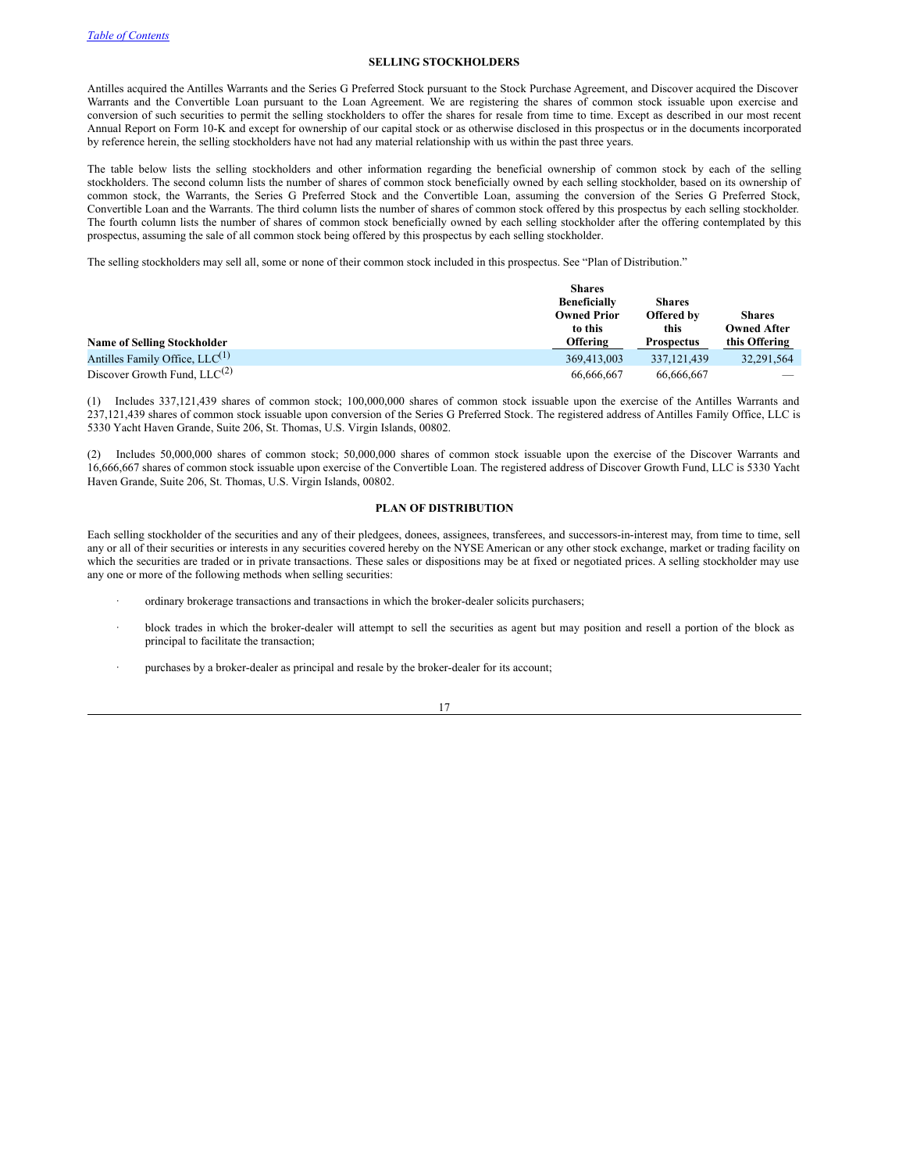# <span id="page-19-0"></span>**SELLING STOCKHOLDERS**

Antilles acquired the Antilles Warrants and the Series G Preferred Stock pursuant to the Stock Purchase Agreement, and Discover acquired the Discover Warrants and the Convertible Loan pursuant to the Loan Agreement. We are registering the shares of common stock issuable upon exercise and conversion of such securities to permit the selling stockholders to offer the shares for resale from time to time. Except as described in our most recent Annual Report on Form 10-K and except for ownership of our capital stock or as otherwise disclosed in this prospectus or in the documents incorporated by reference herein, the selling stockholders have not had any material relationship with us within the past three years.

The table below lists the selling stockholders and other information regarding the beneficial ownership of common stock by each of the selling stockholders. The second column lists the number of shares of common stock beneficially owned by each selling stockholder, based on its ownership of common stock, the Warrants, the Series G Preferred Stock and the Convertible Loan, assuming the conversion of the Series G Preferred Stock, Convertible Loan and the Warrants. The third column lists the number of shares of common stock offered by this prospectus by each selling stockholder. The fourth column lists the number of shares of common stock beneficially owned by each selling stockholder after the offering contemplated by this prospectus, assuming the sale of all common stock being offered by this prospectus by each selling stockholder.

The selling stockholders may sell all, some or none of their common stock included in this prospectus. See "Plan of Distribution."

|                                     | <b>Shares</b>       |                   |                    |  |
|-------------------------------------|---------------------|-------------------|--------------------|--|
|                                     | <b>Beneficially</b> | <b>Shares</b>     |                    |  |
|                                     | <b>Owned Prior</b>  | <b>Offered by</b> | <b>Shares</b>      |  |
|                                     | to this             | this              | <b>Owned After</b> |  |
| <b>Name of Selling Stockholder</b>  | <b>Offering</b>     | <b>Prospectus</b> | this Offering      |  |
| Antilles Family Office, $LLC^{(1)}$ | 369,413,003         | 337, 121, 439     | 32.291.564         |  |
| Discover Growth Fund, $LLC^{(2)}$   | 66,666,667          | 66,666,667        |                    |  |

(1) Includes 337,121,439 shares of common stock; 100,000,000 shares of common stock issuable upon the exercise of the Antilles Warrants and 237,121,439 shares of common stock issuable upon conversion of the Series G Preferred Stock. The registered address of Antilles Family Office, LLC is 5330 Yacht Haven Grande, Suite 206, St. Thomas, U.S. Virgin Islands, 00802.

(2) Includes 50,000,000 shares of common stock; 50,000,000 shares of common stock issuable upon the exercise of the Discover Warrants and 16,666,667 shares of common stock issuable upon exercise of the Convertible Loan. The registered address of Discover Growth Fund, LLC is 5330 Yacht Haven Grande, Suite 206, St. Thomas, U.S. Virgin Islands, 00802.

# **PLAN OF DISTRIBUTION**

Each selling stockholder of the securities and any of their pledgees, donees, assignees, transferees, and successors-in-interest may, from time to time, sell any or all of their securities or interests in any securities covered hereby on the NYSE American or any other stock exchange, market or trading facility on which the securities are traded or in private transactions. These sales or dispositions may be at fixed or negotiated prices. A selling stockholder may use any one or more of the following methods when selling securities:

- ordinary brokerage transactions and transactions in which the broker-dealer solicits purchasers;
- · block trades in which the broker-dealer will attempt to sell the securities as agent but may position and resell a portion of the block as principal to facilitate the transaction;
- purchases by a broker-dealer as principal and resale by the broker-dealer for its account;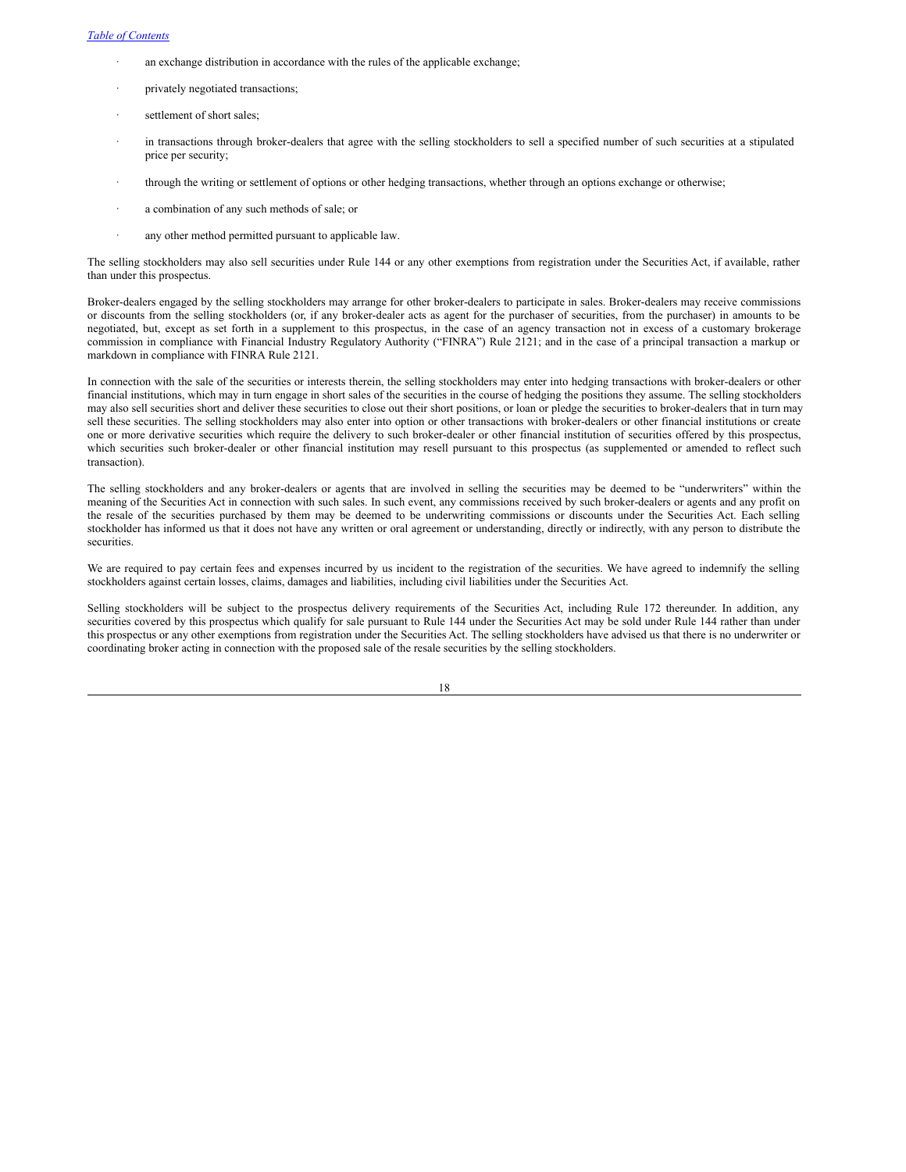- an exchange distribution in accordance with the rules of the applicable exchange;
- privately negotiated transactions;
- settlement of short sales;
- in transactions through broker-dealers that agree with the selling stockholders to sell a specified number of such securities at a stipulated price per security;
- · through the writing or settlement of options or other hedging transactions, whether through an options exchange or otherwise;
- a combination of any such methods of sale; or
- any other method permitted pursuant to applicable law.

The selling stockholders may also sell securities under Rule 144 or any other exemptions from registration under the Securities Act, if available, rather than under this prospectus.

Broker-dealers engaged by the selling stockholders may arrange for other broker-dealers to participate in sales. Broker-dealers may receive commissions or discounts from the selling stockholders (or, if any broker-dealer acts as agent for the purchaser of securities, from the purchaser) in amounts to be negotiated, but, except as set forth in a supplement to this prospectus, in the case of an agency transaction not in excess of a customary brokerage commission in compliance with Financial Industry Regulatory Authority ("FINRA") Rule 2121; and in the case of a principal transaction a markup or markdown in compliance with FINRA Rule 2121.

In connection with the sale of the securities or interests therein, the selling stockholders may enter into hedging transactions with broker-dealers or other financial institutions, which may in turn engage in short sales of the securities in the course of hedging the positions they assume. The selling stockholders may also sell securities short and deliver these securities to close out their short positions, or loan or pledge the securities to broker-dealers that in turn may sell these securities. The selling stockholders may also enter into option or other transactions with broker-dealers or other financial institutions or create one or more derivative securities which require the delivery to such broker-dealer or other financial institution of securities offered by this prospectus, which securities such broker-dealer or other financial institution may resell pursuant to this prospectus (as supplemented or amended to reflect such transaction).

The selling stockholders and any broker-dealers or agents that are involved in selling the securities may be deemed to be "underwriters" within the meaning of the Securities Act in connection with such sales. In such event, any commissions received by such broker-dealers or agents and any profit on the resale of the securities purchased by them may be deemed to be underwriting commissions or discounts under the Securities Act. Each selling stockholder has informed us that it does not have any written or oral agreement or understanding, directly or indirectly, with any person to distribute the securities.

We are required to pay certain fees and expenses incurred by us incident to the registration of the securities. We have agreed to indemnify the selling stockholders against certain losses, claims, damages and liabilities, including civil liabilities under the Securities Act.

Selling stockholders will be subject to the prospectus delivery requirements of the Securities Act, including Rule 172 thereunder. In addition, any securities covered by this prospectus which qualify for sale pursuant to Rule 144 under the Securities Act may be sold under Rule 144 rather than under this prospectus or any other exemptions from registration under the Securities Act. The selling stockholders have advised us that there is no underwriter or coordinating broker acting in connection with the proposed sale of the resale securities by the selling stockholders.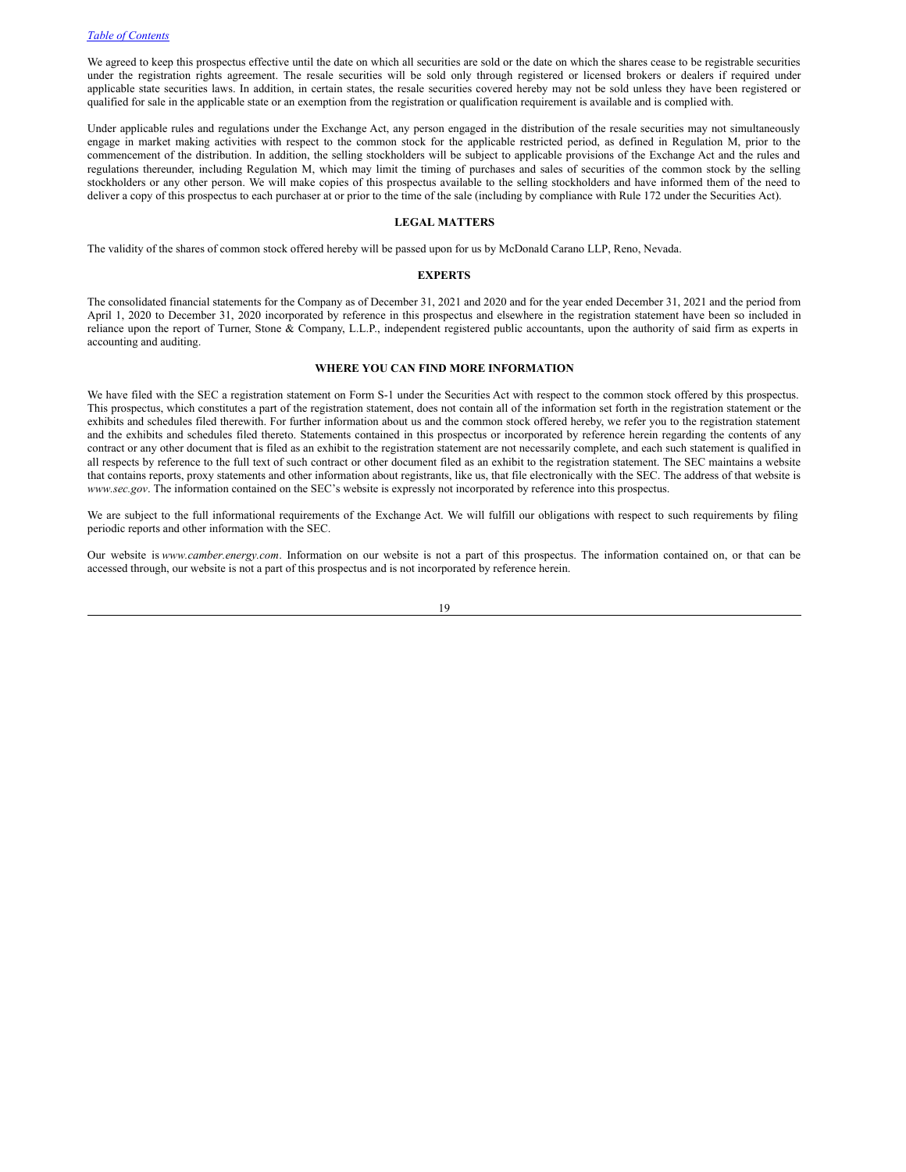We agreed to keep this prospectus effective until the date on which all securities are sold or the date on which the shares cease to be registrable securities under the registration rights agreement. The resale securities will be sold only through registered or licensed brokers or dealers if required under applicable state securities laws. In addition, in certain states, the resale securities covered hereby may not be sold unless they have been registered or qualified for sale in the applicable state or an exemption from the registration or qualification requirement is available and is complied with.

Under applicable rules and regulations under the Exchange Act, any person engaged in the distribution of the resale securities may not simultaneously engage in market making activities with respect to the common stock for the applicable restricted period, as defined in Regulation M, prior to the commencement of the distribution. In addition, the selling stockholders will be subject to applicable provisions of the Exchange Act and the rules and regulations thereunder, including Regulation M, which may limit the timing of purchases and sales of securities of the common stock by the selling stockholders or any other person. We will make copies of this prospectus available to the selling stockholders and have informed them of the need to deliver a copy of this prospectus to each purchaser at or prior to the time of the sale (including by compliance with Rule 172 under the Securities Act).

# <span id="page-21-0"></span>**LEGAL MATTERS**

The validity of the shares of common stock offered hereby will be passed upon for us by McDonald Carano LLP, Reno, Nevada.

#### <span id="page-21-1"></span>**EXPERTS**

The consolidated financial statements for the Company as of December 31, 2021 and 2020 and for the year ended December 31, 2021 and the period from April 1, 2020 to December 31, 2020 incorporated by reference in this prospectus and elsewhere in the registration statement have been so included in reliance upon the report of Turner, Stone & Company, L.L.P., independent registered public accountants, upon the authority of said firm as experts in accounting and auditing.

# <span id="page-21-2"></span>**WHERE YOU CAN FIND MORE INFORMATION**

We have filed with the SEC a registration statement on Form S-1 under the Securities Act with respect to the common stock offered by this prospectus. This prospectus, which constitutes a part of the registration statement, does not contain all of the information set forth in the registration statement or the exhibits and schedules filed therewith. For further information about us and the common stock offered hereby, we refer you to the registration statement and the exhibits and schedules filed thereto. Statements contained in this prospectus or incorporated by reference herein regarding the contents of any contract or any other document that is filed as an exhibit to the registration statement are not necessarily complete, and each such statement is qualified in all respects by reference to the full text of such contract or other document filed as an exhibit to the registration statement. The SEC maintains a website that contains reports, proxy statements and other information about registrants, like us, that file electronically with the SEC. The address of that website is *www.sec.gov*. The information contained on the SEC's website is expressly not incorporated by reference into this prospectus.

We are subject to the full informational requirements of the Exchange Act. We will fulfill our obligations with respect to such requirements by filing periodic reports and other information with the SEC.

Our website is *www.camber.energy.com*. Information on our website is not a part of this prospectus. The information contained on, or that can be accessed through, our website is not a part of this prospectus and is not incorporated by reference herein.

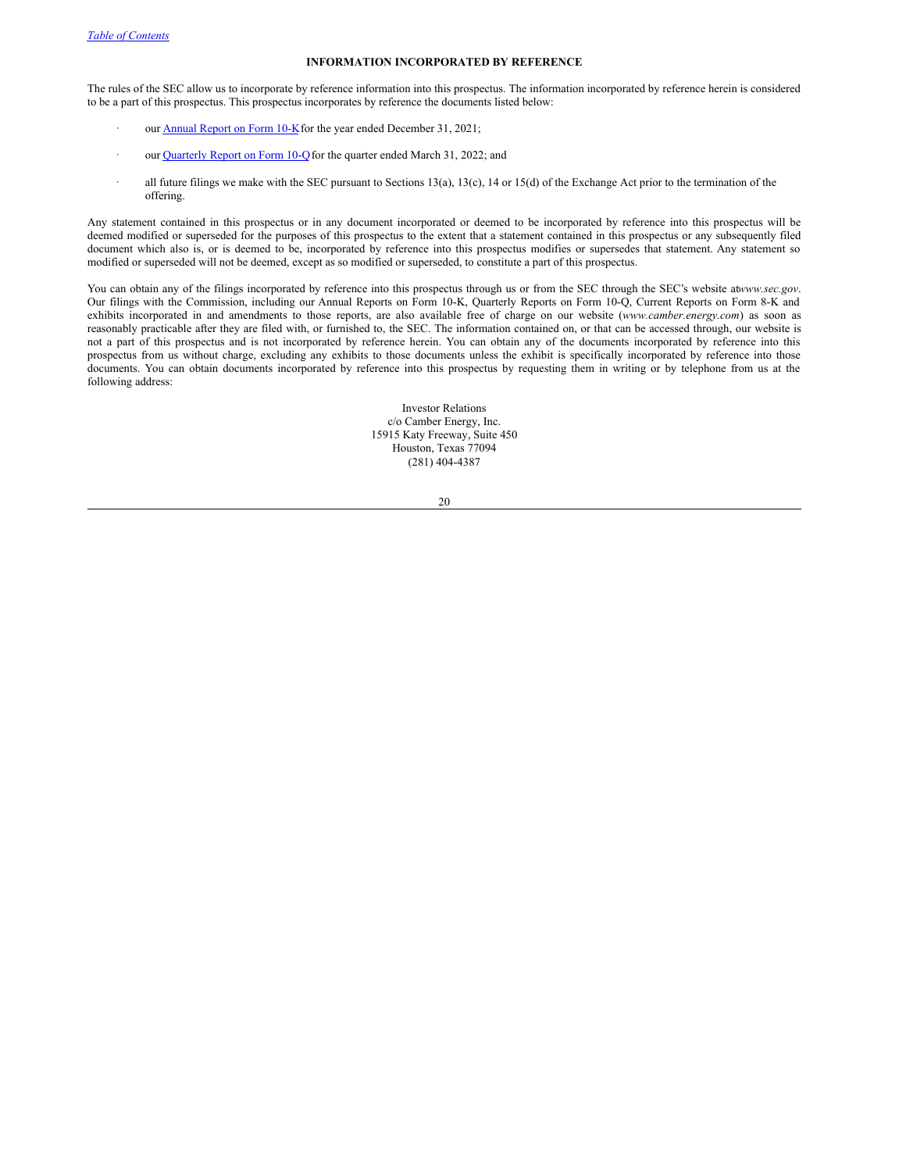#### **INFORMATION INCORPORATED BY REFERENCE**

The rules of the SEC allow us to incorporate by reference information into this prospectus. The information incorporated by reference herein is considered to be a part of this prospectus. This prospectus incorporates by reference the documents listed below:

- our **[Annual](http://www.sec.gov/Archives/edgar/data/1309082/000147793222004240/0001477932-22-004240-index.htm) Report on Form 10-K** for the year ended December 31, 2021;
- our [Quarterly](http://www.sec.gov/Archives/edgar/data/1309082/000147793222004242/0001477932-22-004242-index.htm) Report on Form 10-Q for the quarter ended March 31, 2022; and
- all future filings we make with the SEC pursuant to Sections 13(a), 13(c), 14 or 15(d) of the Exchange Act prior to the termination of the offering.

Any statement contained in this prospectus or in any document incorporated or deemed to be incorporated by reference into this prospectus will be deemed modified or superseded for the purposes of this prospectus to the extent that a statement contained in this prospectus or any subsequently filed document which also is, or is deemed to be, incorporated by reference into this prospectus modifies or supersedes that statement. Any statement so modified or superseded will not be deemed, except as so modified or superseded, to constitute a part of this prospectus.

You can obtain any of the filings incorporated by reference into this prospectus through us or from the SEC through the SEC's website atwww.sec.gov. Our filings with the Commission, including our Annual Reports on Form 10-K, Quarterly Reports on Form 10-Q, Current Reports on Form 8-K and exhibits incorporated in and amendments to those reports, are also available free of charge on our website (*www.camber.energy.com*) as soon as reasonably practicable after they are filed with, or furnished to, the SEC. The information contained on, or that can be accessed through, our website is not a part of this prospectus and is not incorporated by reference herein. You can obtain any of the documents incorporated by reference into this prospectus from us without charge, excluding any exhibits to those documents unless the exhibit is specifically incorporated by reference into those documents. You can obtain documents incorporated by reference into this prospectus by requesting them in writing or by telephone from us at the following address:

> Investor Relations c/o Camber Energy, Inc. 15915 Katy Freeway, Suite 450 Houston, Texas 77094 (281) 404-4387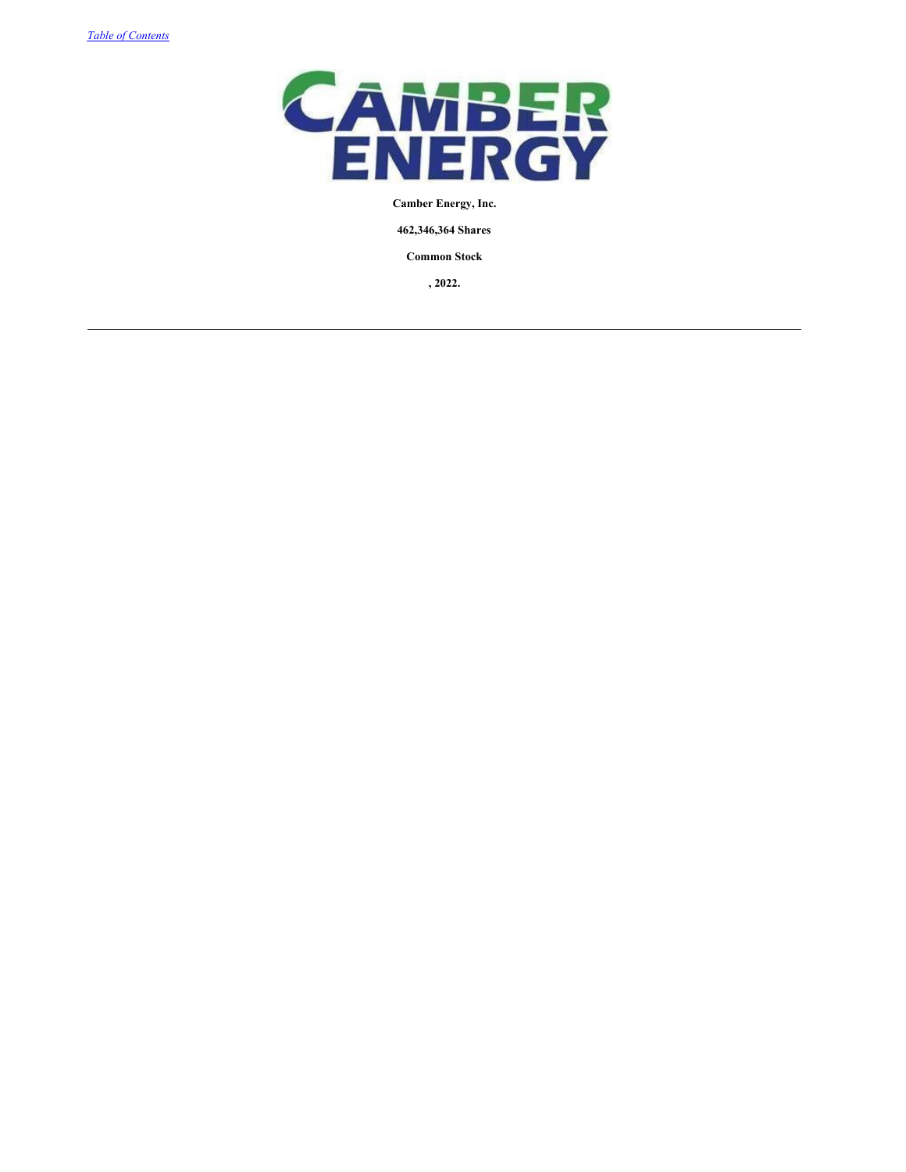

# **Camber Energy, Inc.**

**462,346,364 Shares**

**Common Stock**

**, 2022.**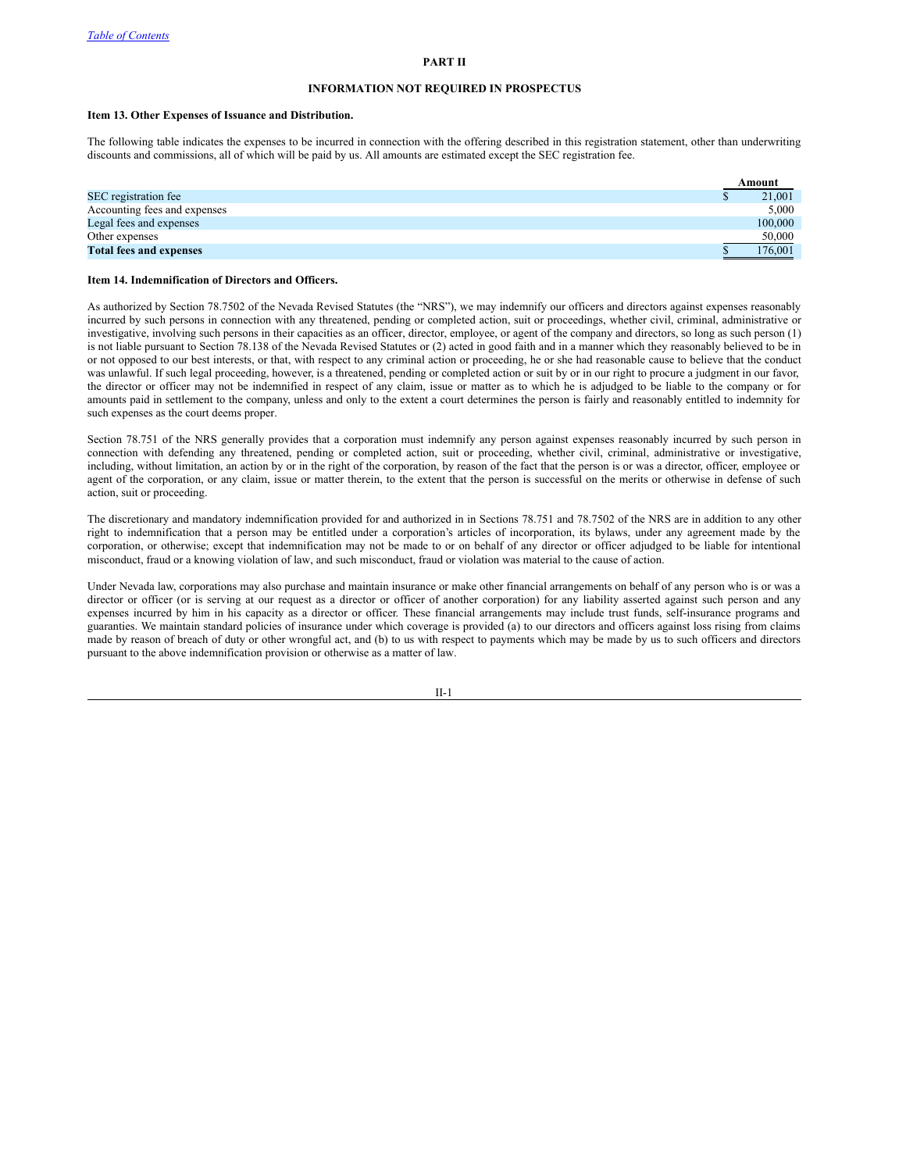#### **PART II**

## <span id="page-24-0"></span>**INFORMATION NOT REQUIRED IN PROSPECTUS**

#### **Item 13. Other Expenses of Issuance and Distribution.**

The following table indicates the expenses to be incurred in connection with the offering described in this registration statement, other than underwriting discounts and commissions, all of which will be paid by us. All amounts are estimated except the SEC registration fee.

|                                | Amount  |
|--------------------------------|---------|
| SEC registration fee           | 21,001  |
| Accounting fees and expenses   | 5.000   |
| Legal fees and expenses        | 100,000 |
| Other expenses                 | 50,000  |
| <b>Total fees and expenses</b> | 176,001 |

#### **Item 14. Indemnification of Directors and Officers.**

As authorized by Section 78.7502 of the Nevada Revised Statutes (the "NRS"), we may indemnify our officers and directors against expenses reasonably incurred by such persons in connection with any threatened, pending or completed action, suit or proceedings, whether civil, criminal, administrative or investigative, involving such persons in their capacities as an officer, director, employee, or agent of the company and directors, so long as such person (1) is not liable pursuant to Section 78.138 of the Nevada Revised Statutes or (2) acted in good faith and in a manner which they reasonably believed to be in or not opposed to our best interests, or that, with respect to any criminal action or proceeding, he or she had reasonable cause to believe that the conduct was unlawful. If such legal proceeding, however, is a threatened, pending or completed action or suit by or in our right to procure a judgment in our favor, the director or officer may not be indemnified in respect of any claim, issue or matter as to which he is adjudged to be liable to the company or for amounts paid in settlement to the company, unless and only to the extent a court determines the person is fairly and reasonably entitled to indemnity for such expenses as the court deems proper.

Section 78.751 of the NRS generally provides that a corporation must indemnify any person against expenses reasonably incurred by such person in connection with defending any threatened, pending or completed action, suit or proceeding, whether civil, criminal, administrative or investigative, including, without limitation, an action by or in the right of the corporation, by reason of the fact that the person is or was a director, officer, employee or agent of the corporation, or any claim, issue or matter therein, to the extent that the person is successful on the merits or otherwise in defense of such action, suit or proceeding.

The discretionary and mandatory indemnification provided for and authorized in in Sections 78.751 and 78.7502 of the NRS are in addition to any other right to indemnification that a person may be entitled under a corporation's articles of incorporation, its bylaws, under any agreement made by the corporation, or otherwise; except that indemnification may not be made to or on behalf of any director or officer adjudged to be liable for intentional misconduct, fraud or a knowing violation of law, and such misconduct, fraud or violation was material to the cause of action.

Under Nevada law, corporations may also purchase and maintain insurance or make other financial arrangements on behalf of any person who is or was a director or officer (or is serving at our request as a director or officer of another corporation) for any liability asserted against such person and any expenses incurred by him in his capacity as a director or officer. These financial arrangements may include trust funds, self-insurance programs and guaranties. We maintain standard policies of insurance under which coverage is provided (a) to our directors and officers against loss rising from claims made by reason of breach of duty or other wrongful act, and (b) to us with respect to payments which may be made by us to such officers and directors pursuant to the above indemnification provision or otherwise as a matter of law.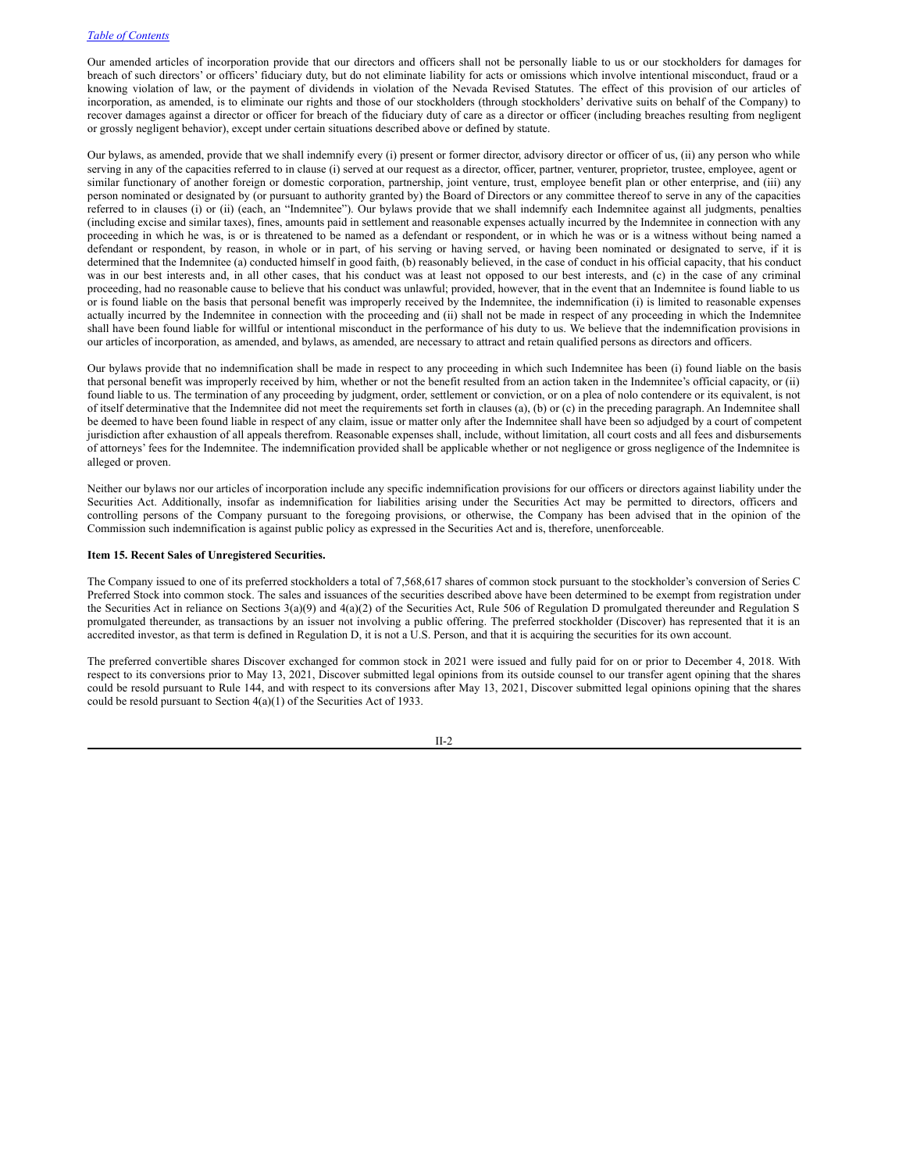Our amended articles of incorporation provide that our directors and officers shall not be personally liable to us or our stockholders for damages for breach of such directors' or officers' fiduciary duty, but do not eliminate liability for acts or omissions which involve intentional misconduct, fraud or a knowing violation of law, or the payment of dividends in violation of the Nevada Revised Statutes. The effect of this provision of our articles of incorporation, as amended, is to eliminate our rights and those of our stockholders (through stockholders' derivative suits on behalf of the Company) to recover damages against a director or officer for breach of the fiduciary duty of care as a director or officer (including breaches resulting from negligent or grossly negligent behavior), except under certain situations described above or defined by statute.

Our bylaws, as amended, provide that we shall indemnify every (i) present or former director, advisory director or officer of us, (ii) any person who while serving in any of the capacities referred to in clause (i) served at our request as a director, officer, partner, venturer, proprietor, trustee, employee, agent or similar functionary of another foreign or domestic corporation, partnership, joint venture, trust, employee benefit plan or other enterprise, and (iii) any person nominated or designated by (or pursuant to authority granted by) the Board of Directors or any committee thereof to serve in any of the capacities referred to in clauses (i) or (ii) (each, an "Indemnitee"). Our bylaws provide that we shall indemnify each Indemnitee against all judgments, penalties (including excise and similar taxes), fines, amounts paid in settlement and reasonable expenses actually incurred by the Indemnitee in connection with any proceeding in which he was, is or is threatened to be named as a defendant or respondent, or in which he was or is a witness without being named a defendant or respondent, by reason, in whole or in part, of his serving or having served, or having been nominated or designated to serve, if it is determined that the Indemnitee (a) conducted himself in good faith, (b) reasonably believed, in the case of conduct in his official capacity, that his conduct was in our best interests and, in all other cases, that his conduct was at least not opposed to our best interests, and (c) in the case of any criminal proceeding, had no reasonable cause to believe that his conduct was unlawful; provided, however, that in the event that an Indemnitee is found liable to us or is found liable on the basis that personal benefit was improperly received by the Indemnitee, the indemnification (i) is limited to reasonable expenses actually incurred by the Indemnitee in connection with the proceeding and (ii) shall not be made in respect of any proceeding in which the Indemnitee shall have been found liable for willful or intentional misconduct in the performance of his duty to us. We believe that the indemnification provisions in our articles of incorporation, as amended, and bylaws, as amended, are necessary to attract and retain qualified persons as directors and officers.

Our bylaws provide that no indemnification shall be made in respect to any proceeding in which such Indemnitee has been (i) found liable on the basis that personal benefit was improperly received by him, whether or not the benefit resulted from an action taken in the Indemnitee's official capacity, or (ii) found liable to us. The termination of any proceeding by judgment, order, settlement or conviction, or on a plea of nolo contendere or its equivalent, is not of itself determinative that the Indemnitee did not meet the requirements set forth in clauses (a), (b) or (c) in the preceding paragraph. An Indemnitee shall be deemed to have been found liable in respect of any claim, issue or matter only after the Indemnitee shall have been so adjudged by a court of competent jurisdiction after exhaustion of all appeals therefrom. Reasonable expenses shall, include, without limitation, all court costs and all fees and disbursements of attorneys' fees for the Indemnitee. The indemnification provided shall be applicable whether or not negligence or gross negligence of the Indemnitee is alleged or proven.

Neither our bylaws nor our articles of incorporation include any specific indemnification provisions for our officers or directors against liability under the Securities Act. Additionally, insofar as indemnification for liabilities arising under the Securities Act may be permitted to directors, officers and controlling persons of the Company pursuant to the foregoing provisions, or otherwise, the Company has been advised that in the opinion of the Commission such indemnification is against public policy as expressed in the Securities Act and is, therefore, unenforceable.

#### **Item 15. Recent Sales of Unregistered Securities.**

The Company issued to one of its preferred stockholders a total of 7,568,617 shares of common stock pursuant to the stockholder's conversion of Series C Preferred Stock into common stock. The sales and issuances of the securities described above have been determined to be exempt from registration under the Securities Act in reliance on Sections 3(a)(9) and 4(a)(2) of the Securities Act, Rule 506 of Regulation D promulgated thereunder and Regulation S promulgated thereunder, as transactions by an issuer not involving a public offering. The preferred stockholder (Discover) has represented that it is an accredited investor, as that term is defined in Regulation D, it is not a U.S. Person, and that it is acquiring the securities for its own account.

The preferred convertible shares Discover exchanged for common stock in 2021 were issued and fully paid for on or prior to December 4, 2018. With respect to its conversions prior to May 13, 2021, Discover submitted legal opinions from its outside counsel to our transfer agent opining that the shares could be resold pursuant to Rule 144, and with respect to its conversions after May 13, 2021, Discover submitted legal opinions opining that the shares could be resold pursuant to Section 4(a)(1) of the Securities Act of 1933.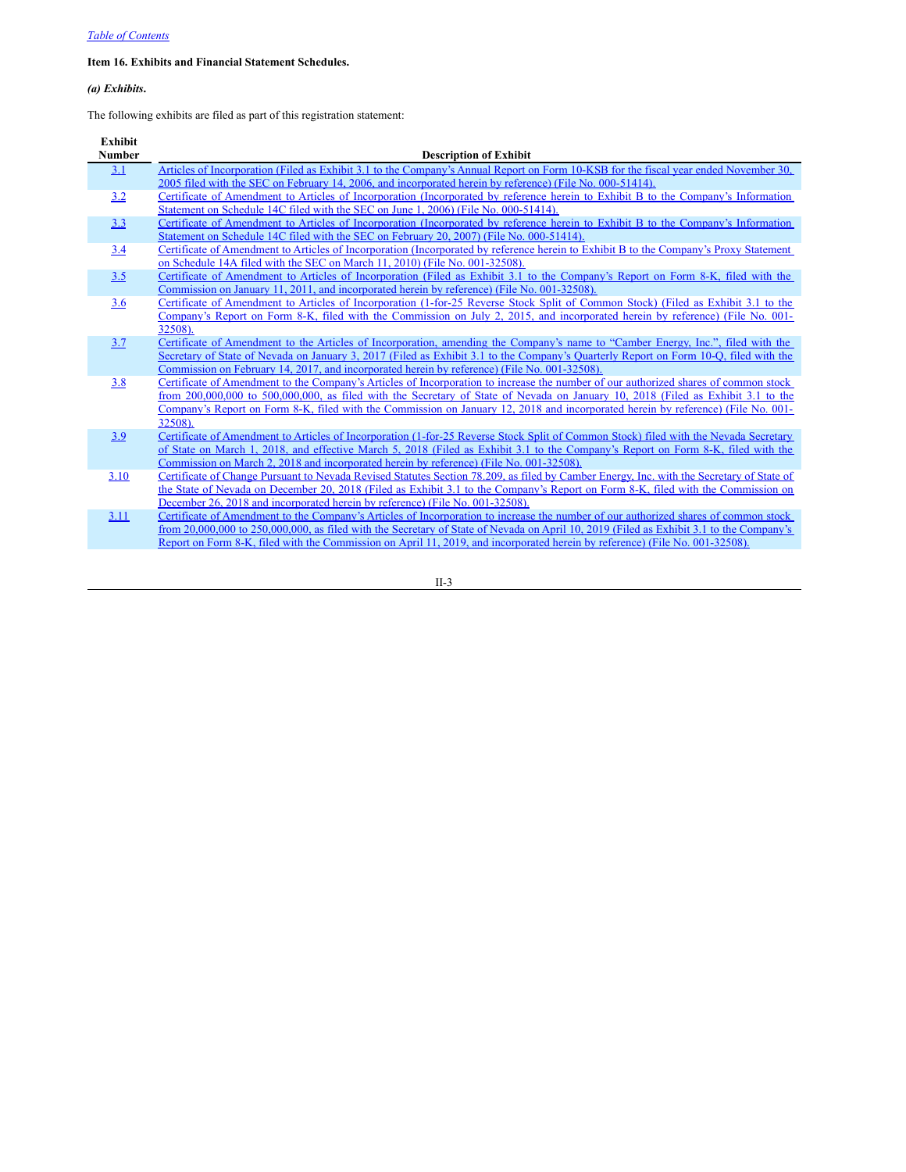# **Item 16. Exhibits and Financial Statement Schedules.**

# *(a) Exhibits***.**

The following exhibits are filed as part of this registration statement:

| <b>Exhibit</b> |                                                                                                                                          |
|----------------|------------------------------------------------------------------------------------------------------------------------------------------|
| <b>Number</b>  | <b>Description of Exhibit</b>                                                                                                            |
| 3.1            | Articles of Incorporation (Filed as Exhibit 3.1 to the Company's Annual Report on Form 10-KSB for the fiscal year ended November 30,     |
|                | 2005 filed with the SEC on February 14, 2006, and incorporated herein by reference) (File No. 000-51414).                                |
| 3.2            | Certificate of Amendment to Articles of Incorporation (Incorporated by reference herein to Exhibit B to the Company's Information        |
|                | Statement on Schedule 14C filed with the SEC on June 1, 2006) (File No. 000-51414).                                                      |
| 3.3            | Certificate of Amendment to Articles of Incorporation (Incorporated by reference herein to Exhibit B to the Company's Information        |
|                | Statement on Schedule 14C filed with the SEC on February 20, 2007) (File No. 000-51414).                                                 |
| 3.4            | Certificate of Amendment to Articles of Incorporation (Incorporated by reference herein to Exhibit B to the Company's Proxy Statement    |
|                | on Schedule 14A filed with the SEC on March 11, 2010) (File No. 001-32508).                                                              |
| 3.5            | Certificate of Amendment to Articles of Incorporation (Filed as Exhibit 3.1 to the Company's Report on Form 8-K, filed with the          |
|                | Commission on January 11, 2011, and incorporated herein by reference) (File No. 001-32508).                                              |
| 3.6            | Certificate of Amendment to Articles of Incorporation (1-for-25 Reverse Stock Split of Common Stock) (Filed as Exhibit 3.1 to the        |
|                | Company's Report on Form 8-K, filed with the Commission on July 2, 2015, and incorporated herein by reference) (File No. 001-            |
|                | 32508).                                                                                                                                  |
| 3.7            | Certificate of Amendment to the Articles of Incorporation, amending the Company's name to "Camber Energy, Inc.", filed with the          |
|                | Secretary of State of Nevada on January 3, 2017 (Filed as Exhibit 3.1 to the Company's Quarterly Report on Form 10-O, filed with the     |
|                | Commission on February 14, 2017, and incorporated herein by reference) (File No. 001-32508).                                             |
| 3.8            | Certificate of Amendment to the Company's Articles of Incorporation to increase the number of our authorized shares of common stock      |
|                | from 200,000,000 to 500,000,000, as filed with the Secretary of State of Nevada on January 10, 2018 (Filed as Exhibit 3.1 to the         |
|                | Company's Report on Form 8-K, filed with the Commission on January 12, 2018 and incorporated herein by reference) (File No. 001-         |
|                | 32508).                                                                                                                                  |
| 3.9            | Certificate of Amendment to Articles of Incorporation (1-for-25 Reverse Stock Split of Common Stock) filed with the Nevada Secretary     |
|                | of State on March 1, 2018, and effective March 5, 2018 (Filed as Exhibit 3.1 to the Company's Report on Form 8-K, filed with the         |
|                | Commission on March 2, 2018 and incorporated herein by reference) (File No. 001-32508).                                                  |
| 3.10           | Certificate of Change Pursuant to Nevada Revised Statutes Section 78.209, as filed by Camber Energy, Inc. with the Secretary of State of |
|                | the State of Nevada on December 20, 2018 (Filed as Exhibit 3.1 to the Company's Report on Form 8-K, filed with the Commission on         |
|                | December 26, 2018 and incorporated herein by reference) (File No. 001-32508).                                                            |
| 3.11           | Certificate of Amendment to the Company's Articles of Incorporation to increase the number of our authorized shares of common stock      |
|                | from 20,000,000 to 250,000,000, as filed with the Secretary of State of Nevada on April 10, 2019 (Filed as Exhibit 3.1 to the Company's  |
|                | Report on Form 8-K, filed with the Commission on April 11, 2019, and incorporated herein by reference) (File No. 001-32508).             |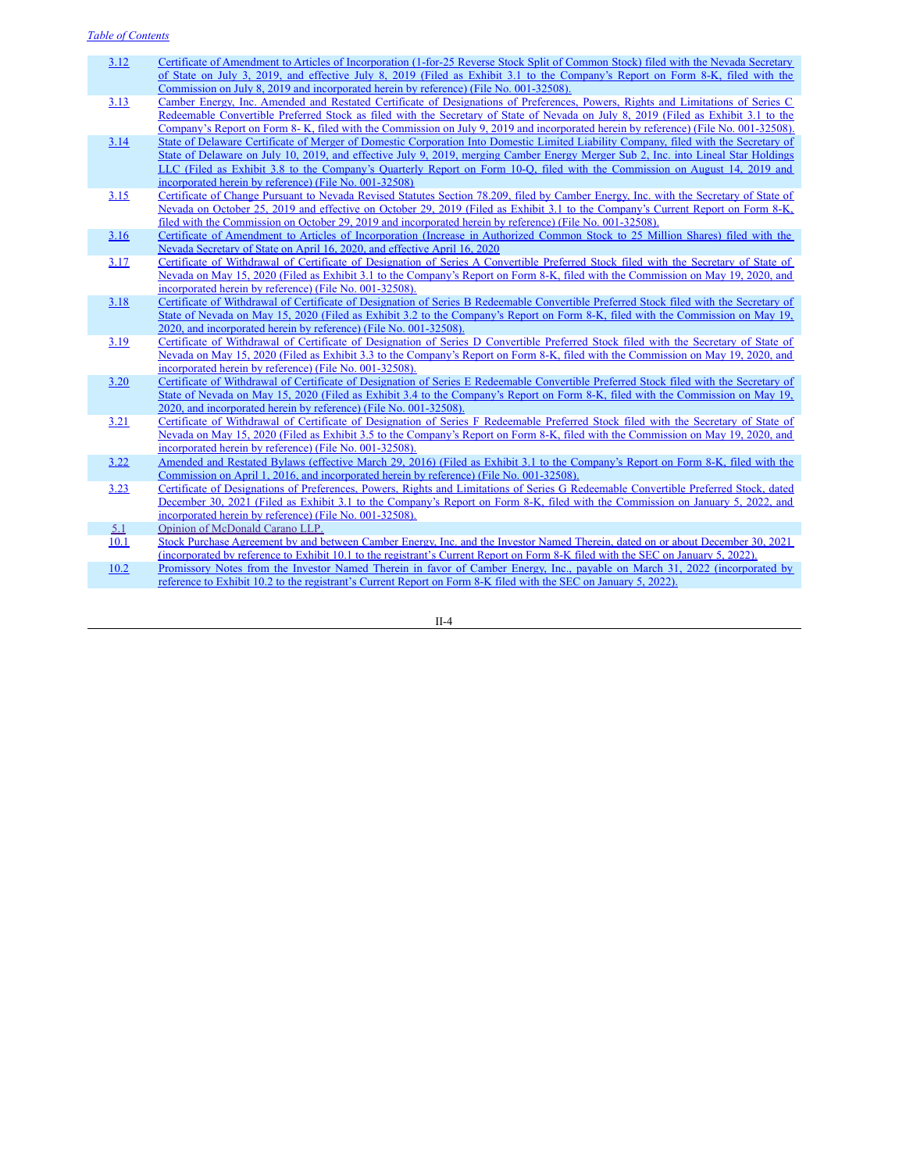- [3.12](http://www.sec.gov/Archives/edgar/data/1309082/000158069519000267/ex3-1.htm) Certificate of Amendment to Articles of [Incorporation](http://www.sec.gov/Archives/edgar/data/1309082/000158069519000267/ex3-1.htm) (1-for-25 Reverse Stock Split of Common Stock) filed with the Nevada Secretary of State on July 3, 2019, and effective July 8, 2019 (Filed as Exhibit 3.1 to the Company's Report on Form 8-K, filed with the Commission on July 8, 2019 and incorporated herein by reference) (File No. 001-32508).
- [3.13](http://www.sec.gov/Archives/edgar/data/1309082/000158069519000270/ex3-1.htm) Camber Energy, Inc. Amended and Restated Certificate of [Designations](http://www.sec.gov/Archives/edgar/data/1309082/000158069519000270/ex3-1.htm) of Preferences, Powers, Rights and Limitations of Series C Redeemable Convertible Preferred Stock as filed with the Secretary of State of Nevada on July 8, 2019 (Filed as Exhibit 3.1 to the Company's Report on Form 8- K, filed with the Commission on July 9, 2019 and incorporated herein by reference) (File No. 001-32508).
- [3.14](http://www.sec.gov/Archives/edgar/data/1309082/000158069519000331/ex3-8.htm) State of Delaware Certificate of Merger of Domestic Corporation Into Domestic Limited Liability Company, filed with the Secretary of State of Delaware on July 10, 2019, and effective July 9, 2019, merging Camber Energy Merger Sub 2, Inc. into Lineal Star Holdings LLC (Filed as Exhibit 3.8 to the Company's Quarterly Report on Form 10-Q, filed with the [Commission](http://www.sec.gov/Archives/edgar/data/1309082/000158069519000331/ex3-8.htm) on August 14, 2019 and incorporated herein by reference) (File No. 001-32508)
- [3.15](http://www.sec.gov/Archives/edgar/data/1309082/000158069519000434/ex3-1.htm) Certificate of Change Pursuant to Nevada Revised Statutes Section 78.209, filed by Camber Energy, Inc. with the Secretary of State of Nevada on October 25, 2019 and effective on October 29, 2019 (Filed as Exhibit 3.1 to the Company's Current Report on Form 8-K, filed with the [Commission](http://www.sec.gov/Archives/edgar/data/1309082/000158069519000434/ex3-1.htm) on October 29, 2019 and incorporated herein by reference) (File No. 001-32508).
- [3.16](http://www.sec.gov/Archives/edgar/data/1309082/000158069520000173/ex3-1.htm) Certificate of Amendment to Articles of [Incorporation](http://www.sec.gov/Archives/edgar/data/1309082/000158069520000173/ex3-1.htm) (Increase in Authorized Common Stock to 25 Million Shares) filed with the Nevada Secretary of State on April 16, 2020, and effective April 16, 2020
- [3.17](http://www.sec.gov/Archives/edgar/data/1309082/000158069520000204/ex3-1.htm) Certificate of Withdrawal of Certificate of Designation of Series A Convertible Preferred Stock filed with the Secretary of State of Nevada on May 15, 2020 (Filed as Exhibit 3.1 to the Company's Report on Form 8-K, filed with the [Commission](http://www.sec.gov/Archives/edgar/data/1309082/000158069520000204/ex3-1.htm) on May 19, 2020, and incorporated herein by reference) (File No. 001-32508).
- [3.18](http://www.sec.gov/Archives/edgar/data/1309082/000158069520000204/ex3-2.htm) Certificate of Withdrawal of Certificate of Designation of Series B Redeemable Convertible Preferred Stock filed with the Secretary of State of Nevada on May 15, 2020 (Filed as Exhibit 3.2 to the Company's Report on Form 8-K, filed with the [Commission](http://www.sec.gov/Archives/edgar/data/1309082/000158069520000204/ex3-2.htm) on May 19, 2020, and incorporated herein by reference) (File No. 001-32508).
- [3.19](http://www.sec.gov/Archives/edgar/data/1309082/000158069520000204/ex3-3.htm) Certificate of Withdrawal of Certificate of Designation of Series D Convertible Preferred Stock filed with the Secretary of State of Nevada on May 15, 2020 (Filed as Exhibit 3.3 to the Company's Report on Form 8-K, filed with the [Commission](http://www.sec.gov/Archives/edgar/data/1309082/000158069520000204/ex3-3.htm) on May 19, 2020, and incorporated herein by reference) (File No. 001-32508).
- [3.20](http://www.sec.gov/Archives/edgar/data/1309082/000158069520000204/ex3-4.htm) Certificate of Withdrawal of Certificate of Designation of Series E Redeemable Convertible Preferred Stock filed with the Secretary of State of Nevada on May 15, 2020 (Filed as Exhibit 3.4 to the Company's Report on Form 8-K, filed with the [Commission](http://www.sec.gov/Archives/edgar/data/1309082/000158069520000204/ex3-4.htm) on May 19, 2020, and incorporated herein by reference) (File No. 001-32508).
- [3.21](http://www.sec.gov/Archives/edgar/data/1309082/000158069520000204/ex3-5.htm) Certificate of Withdrawal of Certificate of Designation of Series F Redeemable Preferred Stock filed with the Secretary of State of Nevada on May 15, 2020 (Filed as Exhibit 3.5 to the Company's Report on Form 8-K, filed with the [Commission](http://www.sec.gov/Archives/edgar/data/1309082/000158069520000204/ex3-5.htm) on May 19, 2020, and incorporated herein by reference) (File No. 001-32508).
- [3.22](http://www.sec.gov/Archives/edgar/data/1309082/000158069516000310/ex3-1.htm) Amended and Restated Bylaws (effective March 29, 2016) (Filed as Exhibit 3.1 to the Company's Report on Form 8-K, filed with the [Commission](http://www.sec.gov/Archives/edgar/data/1309082/000158069516000310/ex3-1.htm) on April 1, 2016, and incorporated herein by reference) (File No. 001-32508).
- [3.23](http://www.sec.gov/Archives/edgar/data/1309082/000147793222000099/cei_ex31.htm) Certificate of [Designations](http://www.sec.gov/Archives/edgar/data/1309082/000147793222000099/cei_ex31.htm) of Preferences, Powers, Rights and Limitations of Series G Redeemable Convertible Preferred Stock, dated December 30, 2021 (Filed as Exhibit 3.1 to the Company's Report on Form 8-K, filed with the Commission on January 5, 2022, and incorporated herein by reference) (File No. 001-32508).
- [5.1](#page-32-0) Opinion of [McDonald](#page-32-0) Carano LLP.
- [10.1](http://www.sec.gov/Archives/edgar/data/1309082/000147793222000099/cei_ex101.htm) Stock Purchase Agreement by and between Camber Energy, Inc. and the Investor Named Therein, dated on or about December 30, 2021 [\(incorporated](http://www.sec.gov/Archives/edgar/data/1309082/000147793222000099/cei_ex101.htm) by reference to Exhibit 10.1 to the registrant's Current Report on Form 8-K filed with the SEC on January 5, 2022).
- [10.2](http://www.sec.gov/Archives/edgar/data/1309082/000147793222000099/cei_ex102.htm) Promissory Notes from the Investor Named Therein in favor of Camber Energy, Inc., payable on March 31, 2022 [\(incorporated](http://www.sec.gov/Archives/edgar/data/1309082/000147793222000099/cei_ex102.htm) by reference to Exhibit 10.2 to the registrant's Current Report on Form 8-K filed with the SEC on January 5, 2022).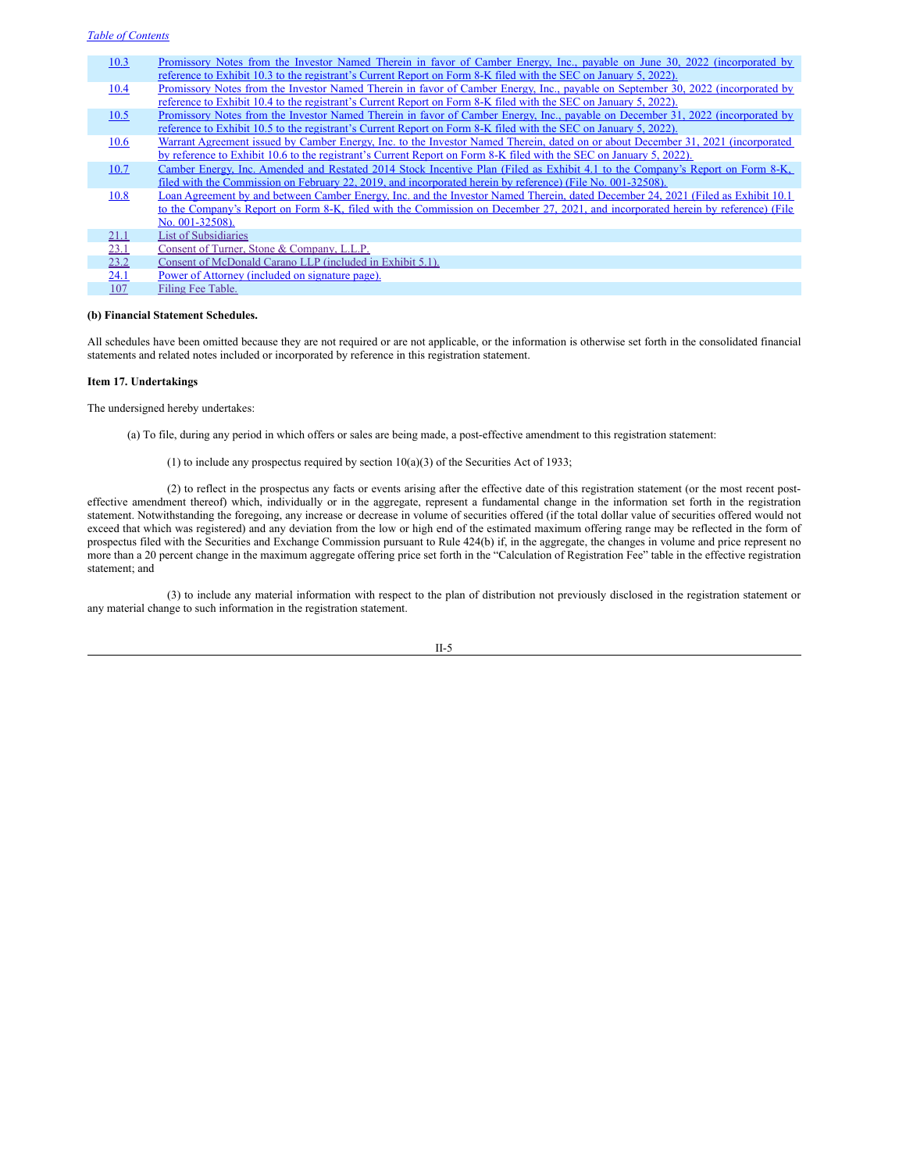| 10.3 | Promissory Notes from the Investor Named Therein in favor of Camber Energy, Inc., payable on June 30, 2022 (incorporated by       |
|------|-----------------------------------------------------------------------------------------------------------------------------------|
|      | reference to Exhibit 10.3 to the registrant's Current Report on Form 8-K filed with the SEC on January 5, 2022).                  |
| 10.4 | Promissory Notes from the Investor Named Therein in favor of Camber Energy, Inc., payable on September 30, 2022 (incorporated by  |
|      | reference to Exhibit 10.4 to the registrant's Current Report on Form 8-K filed with the SEC on January 5, 2022).                  |
| 10.5 | Promissory Notes from the Investor Named Therein in favor of Camber Energy, Inc., payable on December 31, 2022 (incorporated by   |
|      | reference to Exhibit 10.5 to the registrant's Current Report on Form 8-K filed with the SEC on January 5, 2022).                  |
| 10.6 | Warrant Agreement issued by Camber Energy, Inc. to the Investor Named Therein, dated on or about December 31, 2021 (incorporated  |
|      | by reference to Exhibit 10.6 to the registrant's Current Report on Form 8-K filed with the SEC on January 5, 2022).               |
| 10.7 | Camber Energy, Inc. Amended and Restated 2014 Stock Incentive Plan (Filed as Exhibit 4.1 to the Company's Report on Form 8-K,     |
|      | filed with the Commission on February 22, 2019, and incorporated herein by reference) (File No. 001-32508).                       |
| 10.8 | Loan Agreement by and between Camber Energy, Inc. and the Investor Named Therein, dated December 24, 2021 (Filed as Exhibit 10.1) |
|      | to the Company's Report on Form 8-K, filed with the Commission on December 27, 2021, and incorporated herein by reference) (File  |
|      | No. 001-32508).                                                                                                                   |
| 21.1 | <b>List of Subsidiaries</b>                                                                                                       |
| 23.1 | Consent of Turner, Stone & Company, L.L.P.                                                                                        |
| 23.2 | Consent of McDonald Carano LLP (included in Exhibit 5.1).                                                                         |
| 24.1 | Power of Attorney (included on signature page).                                                                                   |
| 107  | Filing Fee Table.                                                                                                                 |
|      |                                                                                                                                   |

# **(b) Financial Statement Schedules.**

All schedules have been omitted because they are not required or are not applicable, or the information is otherwise set forth in the consolidated financial statements and related notes included or incorporated by reference in this registration statement.

#### **Item 17. Undertakings**

The undersigned hereby undertakes:

(a) To file, during any period in which offers or sales are being made, a post-effective amendment to this registration statement:

(1) to include any prospectus required by section  $10(a)(3)$  of the Securities Act of 1933;

(2) to reflect in the prospectus any facts or events arising after the effective date of this registration statement (or the most recent posteffective amendment thereof) which, individually or in the aggregate, represent a fundamental change in the information set forth in the registration statement. Notwithstanding the foregoing, any increase or decrease in volume of securities offered (if the total dollar value of securities offered would not exceed that which was registered) and any deviation from the low or high end of the estimated maximum offering range may be reflected in the form of prospectus filed with the Securities and Exchange Commission pursuant to Rule 424(b) if, in the aggregate, the changes in volume and price represent no more than a 20 percent change in the maximum aggregate offering price set forth in the "Calculation of Registration Fee" table in the effective registration statement; and

(3) to include any material information with respect to the plan of distribution not previously disclosed in the registration statement or any material change to such information in the registration statement.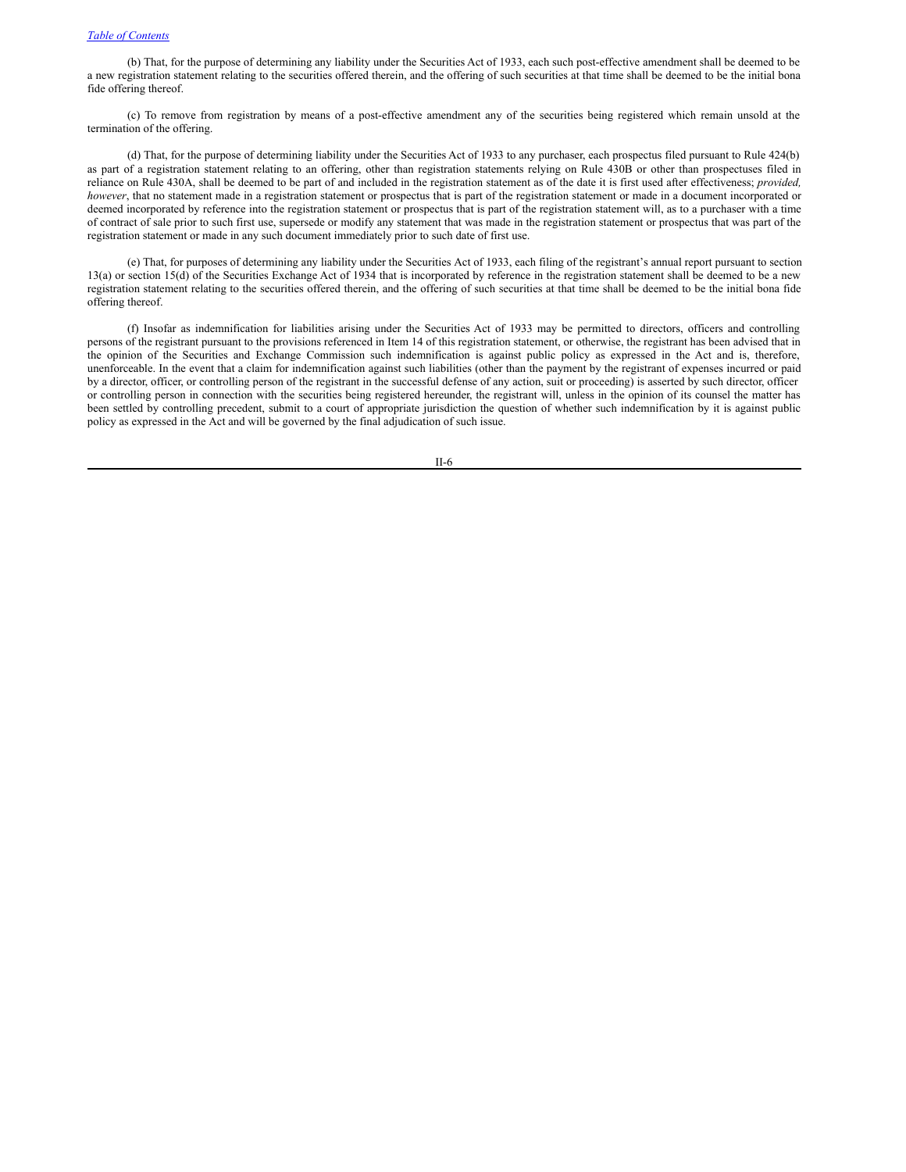(b) That, for the purpose of determining any liability under the Securities Act of 1933, each such post-effective amendment shall be deemed to be a new registration statement relating to the securities offered therein, and the offering of such securities at that time shall be deemed to be the initial bona fide offering thereof.

(c) To remove from registration by means of a post-effective amendment any of the securities being registered which remain unsold at the termination of the offering.

(d) That, for the purpose of determining liability under the Securities Act of 1933 to any purchaser, each prospectus filed pursuant to Rule 424(b) as part of a registration statement relating to an offering, other than registration statements relying on Rule 430B or other than prospectuses filed in reliance on Rule 430A, shall be deemed to be part of and included in the registration statement as of the date it is first used after effectiveness; *provided, however*, that no statement made in a registration statement or prospectus that is part of the registration statement or made in a document incorporated or deemed incorporated by reference into the registration statement or prospectus that is part of the registration statement will, as to a purchaser with a time of contract of sale prior to such first use, supersede or modify any statement that was made in the registration statement or prospectus that was part of the registration statement or made in any such document immediately prior to such date of first use.

(e) That, for purposes of determining any liability under the Securities Act of 1933, each filing of the registrant's annual report pursuant to section 13(a) or section 15(d) of the Securities Exchange Act of 1934 that is incorporated by reference in the registration statement shall be deemed to be a new registration statement relating to the securities offered therein, and the offering of such securities at that time shall be deemed to be the initial bona fide offering thereof.

(f) Insofar as indemnification for liabilities arising under the Securities Act of 1933 may be permitted to directors, officers and controlling persons of the registrant pursuant to the provisions referenced in Item 14 of this registration statement, or otherwise, the registrant has been advised that in the opinion of the Securities and Exchange Commission such indemnification is against public policy as expressed in the Act and is, therefore, unenforceable. In the event that a claim for indemnification against such liabilities (other than the payment by the registrant of expenses incurred or paid by a director, officer, or controlling person of the registrant in the successful defense of any action, suit or proceeding) is asserted by such director, officer or controlling person in connection with the securities being registered hereunder, the registrant will, unless in the opinion of its counsel the matter has been settled by controlling precedent, submit to a court of appropriate jurisdiction the question of whether such indemnification by it is against public policy as expressed in the Act and will be governed by the final adjudication of such issue.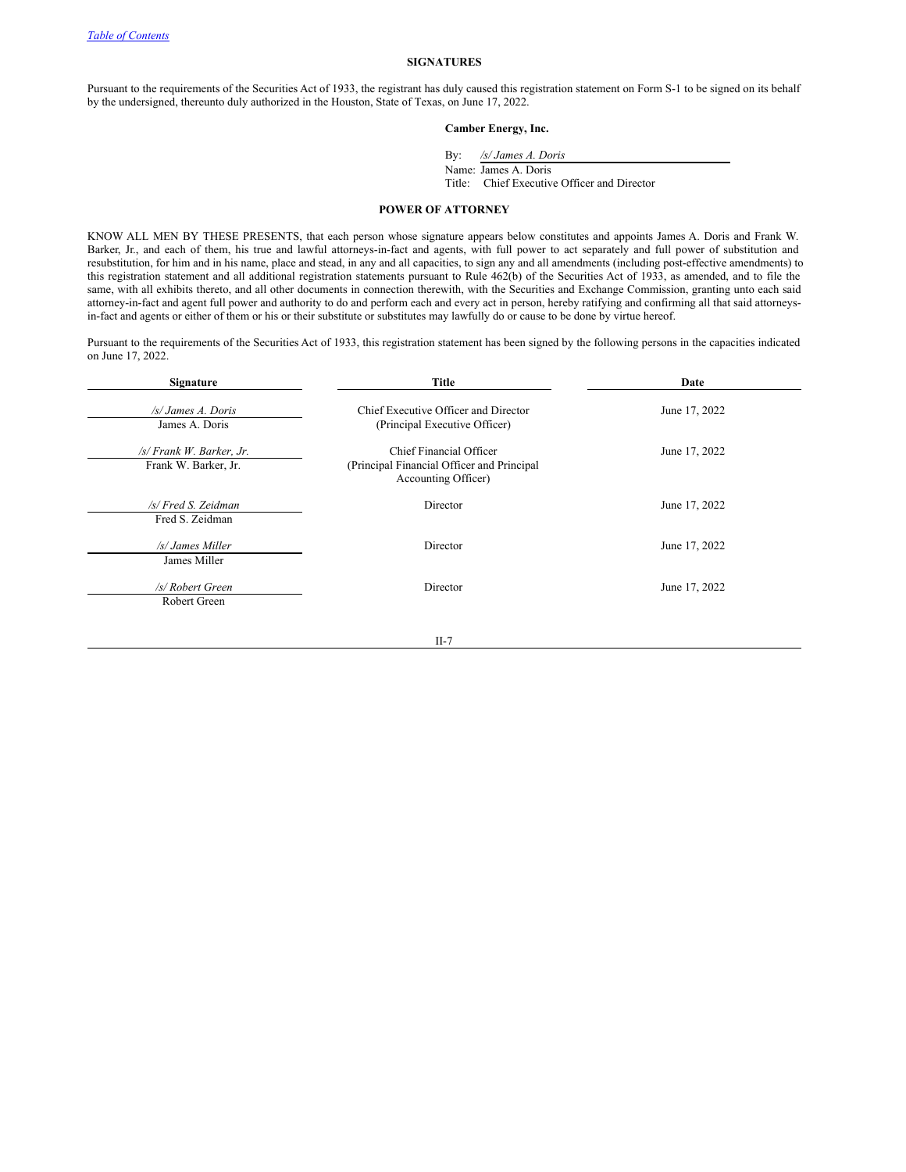#### **SIGNATURES**

Pursuant to the requirements of the Securities Act of 1933, the registrant has duly caused this registration statement on Form S-1 to be signed on its behalf by the undersigned, thereunto duly authorized in the Houston, State of Texas, on June 17, 2022.

# **Camber Energy, Inc.**

By: */s/ James A. Doris*

Name: James A. Doris Title: Chief Executive Officer and Director

# <span id="page-30-0"></span>**POWER OF ATTORNEY**

KNOW ALL MEN BY THESE PRESENTS, that each person whose signature appears below constitutes and appoints James A. Doris and Frank W. Barker, Jr., and each of them, his true and lawful attorneys-in-fact and agents, with full power to act separately and full power of substitution and resubstitution, for him and in his name, place and stead, in any and all capacities, to sign any and all amendments (including post-effective amendments) to this registration statement and all additional registration statements pursuant to Rule 462(b) of the Securities Act of 1933, as amended, and to file the same, with all exhibits thereto, and all other documents in connection therewith, with the Securities and Exchange Commission, granting unto each said attorney-in-fact and agent full power and authority to do and perform each and every act in person, hereby ratifying and confirming all that said attorneysin-fact and agents or either of them or his or their substitute or substitutes may lawfully do or cause to be done by virtue hereof.

Pursuant to the requirements of the Securities Act of 1933, this registration statement has been signed by the following persons in the capacities indicated on June 17, 2022.

| Signature                                               | Title                                                                                        | Date          |  |  |  |
|---------------------------------------------------------|----------------------------------------------------------------------------------------------|---------------|--|--|--|
| /s/ James A. Doris<br>James A. Doris                    | Chief Executive Officer and Director<br>(Principal Executive Officer)                        | June 17, 2022 |  |  |  |
| $\sqrt{s}$ Frank W. Barker, Jr.<br>Frank W. Barker, Jr. | Chief Financial Officer<br>(Principal Financial Officer and Principal<br>Accounting Officer) | June 17, 2022 |  |  |  |
| /s/ Fred S. Zeidman<br>Fred S. Zeidman                  | Director                                                                                     | June 17, 2022 |  |  |  |
| /s/ James Miller<br>James Miller                        | Director                                                                                     | June 17, 2022 |  |  |  |
| /s/ Robert Green<br>Robert Green                        | Director                                                                                     | June 17, 2022 |  |  |  |
|                                                         | $II-7$                                                                                       |               |  |  |  |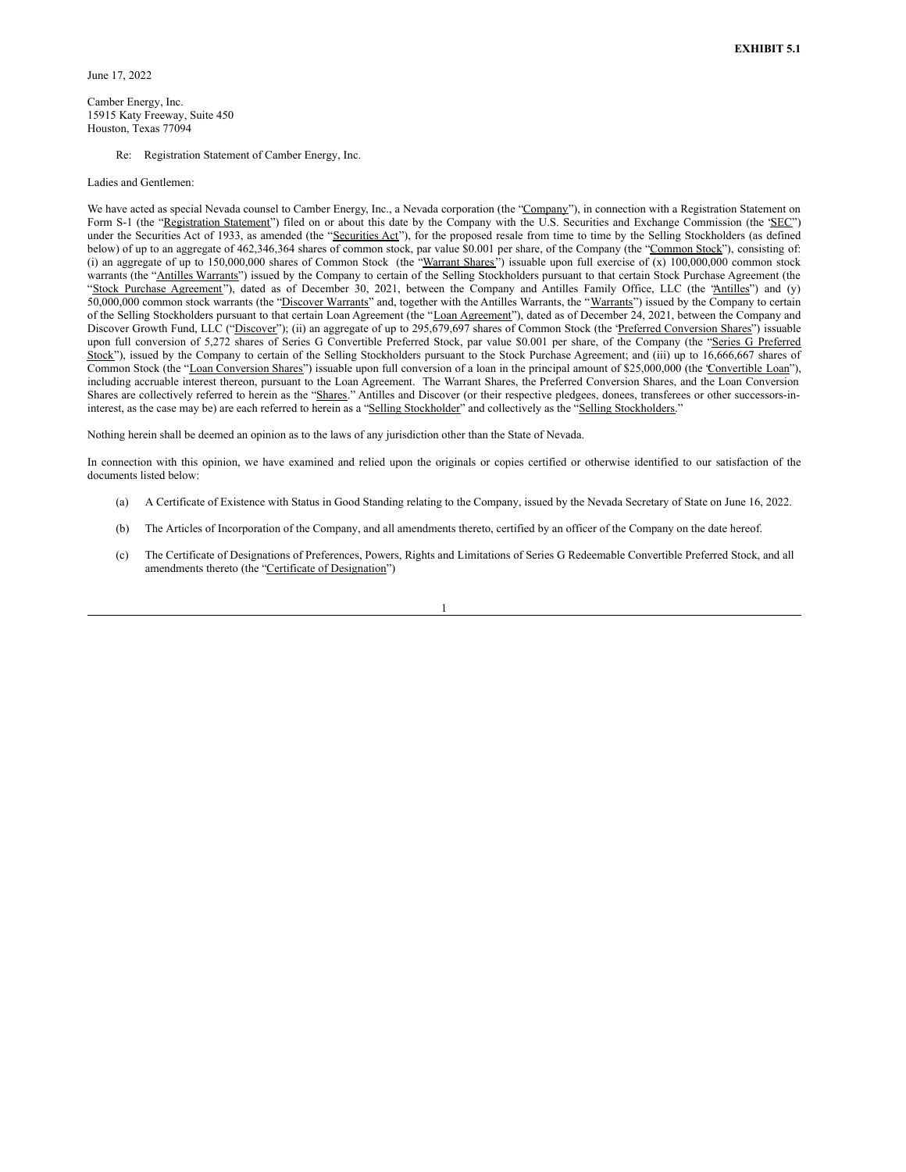Camber Energy, Inc. 15915 Katy Freeway, Suite 450 Houston, Texas 77094

Re: Registration Statement of Camber Energy, Inc.

#### Ladies and Gentlemen:

We have acted as special Nevada counsel to Camber Energy, Inc., a Nevada corporation (the "Company"), in connection with a Registration Statement on Form S-1 (the "Registration Statement") filed on or about this date by the Company with the U.S. Securities and Exchange Commission (the 'SEC") under the Securities Act of 1933, as amended (the "Securities Act"), for the proposed resale from time to time by the Selling Stockholders (as defined below) of up to an aggregate of 462,346,364 shares of common stock, par value \$0.001 per share, of the Company (the "Common Stock"), consisting of: (i) an aggregate of up to  $150,000,000$  shares of Common Stock (the "Warrant Shares") issuable upon full exercise of (x)  $100,000,000$  common stock warrants (the "Antilles Warrants") issued by the Company to certain of the Selling Stockholders pursuant to that certain Stock Purchase Agreement (the "Stock Purchase Agreement"), dated as of December 30, 2021, between the Company and Antilles Family Office, LLC (the "Antilles") and (y) 50,000,000 common stock warrants (the "Discover Warrants" and, together with the Antilles Warrants, the "Warrants") issued by the Company to certain of the Selling Stockholders pursuant to that certain Loan Agreement (the "Loan Agreement"), dated as of December 24, 2021, between the Company and Discover Growth Fund, LLC ("Discover"); (ii) an aggregate of up to 295,679,697 shares of Common Stock (the 'Preferred Conversion Shares") issuable upon full conversion of 5,272 shares of Series G Convertible Preferred Stock, par value \$0.001 per share, of the Company (the "Series G Preferred Stock"), issued by the Company to certain of the Selling Stockholders pursuant to the Stock Purchase Agreement; and (iii) up to 16,666,667 shares of Common Stock (the "Loan Conversion Shares") issuable upon full conversion of a loan in the principal amount of \$25,000,000 (the 'Convertible Loan''), including accruable interest thereon, pursuant to the Loan Agreement. The Warrant Shares, the Preferred Conversion Shares, and the Loan Conversion Shares are collectively referred to herein as the "Shares." Antilles and Discover (or their respective pledgees, donees, transferees or other successors-ininterest, as the case may be) are each referred to herein as a "Selling Stockholder" and collectively as the "Selling Stockholders."

Nothing herein shall be deemed an opinion as to the laws of any jurisdiction other than the State of Nevada.

In connection with this opinion, we have examined and relied upon the originals or copies certified or otherwise identified to our satisfaction of the documents listed below:

- (a) A Certificate of Existence with Status in Good Standing relating to the Company, issued by the Nevada Secretary of State on June 16, 2022.
- (b) The Articles of Incorporation of the Company, and all amendments thereto, certified by an officer of the Company on the date hereof.
- (c) The Certificate of Designations of Preferences, Powers, Rights and Limitations of Series G Redeemable Convertible Preferred Stock, and all amendments thereto (the "Certificate of Designation")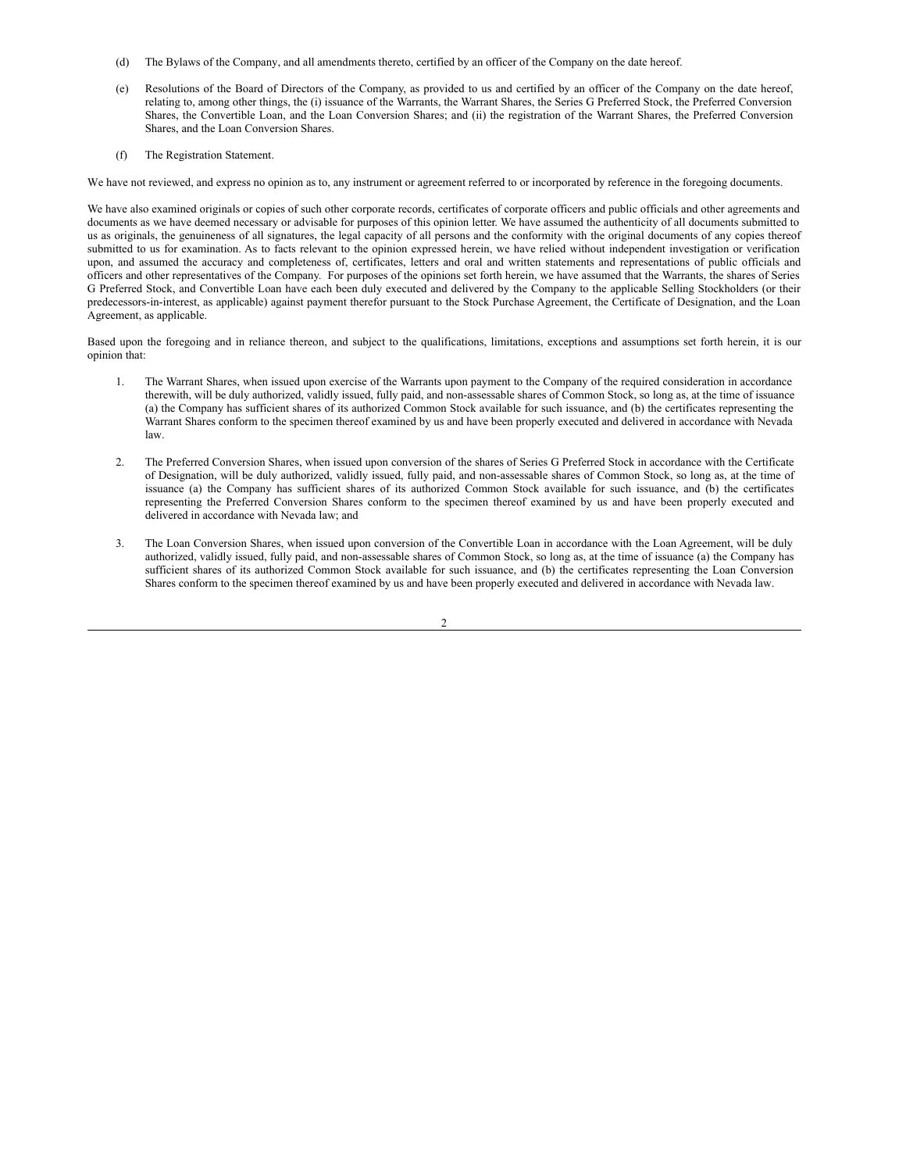- <span id="page-32-0"></span>(d) The Bylaws of the Company, and all amendments thereto, certified by an officer of the Company on the date hereof.
- (e) Resolutions of the Board of Directors of the Company, as provided to us and certified by an officer of the Company on the date hereof, relating to, among other things, the (i) issuance of the Warrants, the Warrant Shares, the Series G Preferred Stock, the Preferred Conversion Shares, the Convertible Loan, and the Loan Conversion Shares; and (ii) the registration of the Warrant Shares, the Preferred Conversion Shares, and the Loan Conversion Shares.
- (f) The Registration Statement.

We have not reviewed, and express no opinion as to, any instrument or agreement referred to or incorporated by reference in the foregoing documents.

We have also examined originals or copies of such other corporate records, certificates of corporate officers and public officials and other agreements and documents as we have deemed necessary or advisable for purposes of this opinion letter. We have assumed the authenticity of all documents submitted to us as originals, the genuineness of all signatures, the legal capacity of all persons and the conformity with the original documents of any copies thereof submitted to us for examination. As to facts relevant to the opinion expressed herein, we have relied without independent investigation or verification upon, and assumed the accuracy and completeness of, certificates, letters and oral and written statements and representations of public officials and officers and other representatives of the Company. For purposes of the opinions set forth herein, we have assumed that the Warrants, the shares of Series G Preferred Stock, and Convertible Loan have each been duly executed and delivered by the Company to the applicable Selling Stockholders (or their predecessors-in-interest, as applicable) against payment therefor pursuant to the Stock Purchase Agreement, the Certificate of Designation, and the Loan Agreement, as applicable.

Based upon the foregoing and in reliance thereon, and subject to the qualifications, limitations, exceptions and assumptions set forth herein, it is our opinion that:

- 1. The Warrant Shares, when issued upon exercise of the Warrants upon payment to the Company of the required consideration in accordance therewith, will be duly authorized, validly issued, fully paid, and non-assessable shares of Common Stock, so long as, at the time of issuance (a) the Company has sufficient shares of its authorized Common Stock available for such issuance, and (b) the certificates representing the Warrant Shares conform to the specimen thereof examined by us and have been properly executed and delivered in accordance with Nevada law.
- 2. The Preferred Conversion Shares, when issued upon conversion of the shares of Series G Preferred Stock in accordance with the Certificate of Designation, will be duly authorized, validly issued, fully paid, and non-assessable shares of Common Stock, so long as, at the time of issuance (a) the Company has sufficient shares of its authorized Common Stock available for such issuance, and (b) the certificates representing the Preferred Conversion Shares conform to the specimen thereof examined by us and have been properly executed and delivered in accordance with Nevada law; and
- 3. The Loan Conversion Shares, when issued upon conversion of the Convertible Loan in accordance with the Loan Agreement, will be duly authorized, validly issued, fully paid, and non-assessable shares of Common Stock, so long as, at the time of issuance (a) the Company has sufficient shares of its authorized Common Stock available for such issuance, and (b) the certificates representing the Loan Conversion Shares conform to the specimen thereof examined by us and have been properly executed and delivered in accordance with Nevada law.

 $\overline{\mathcal{L}}$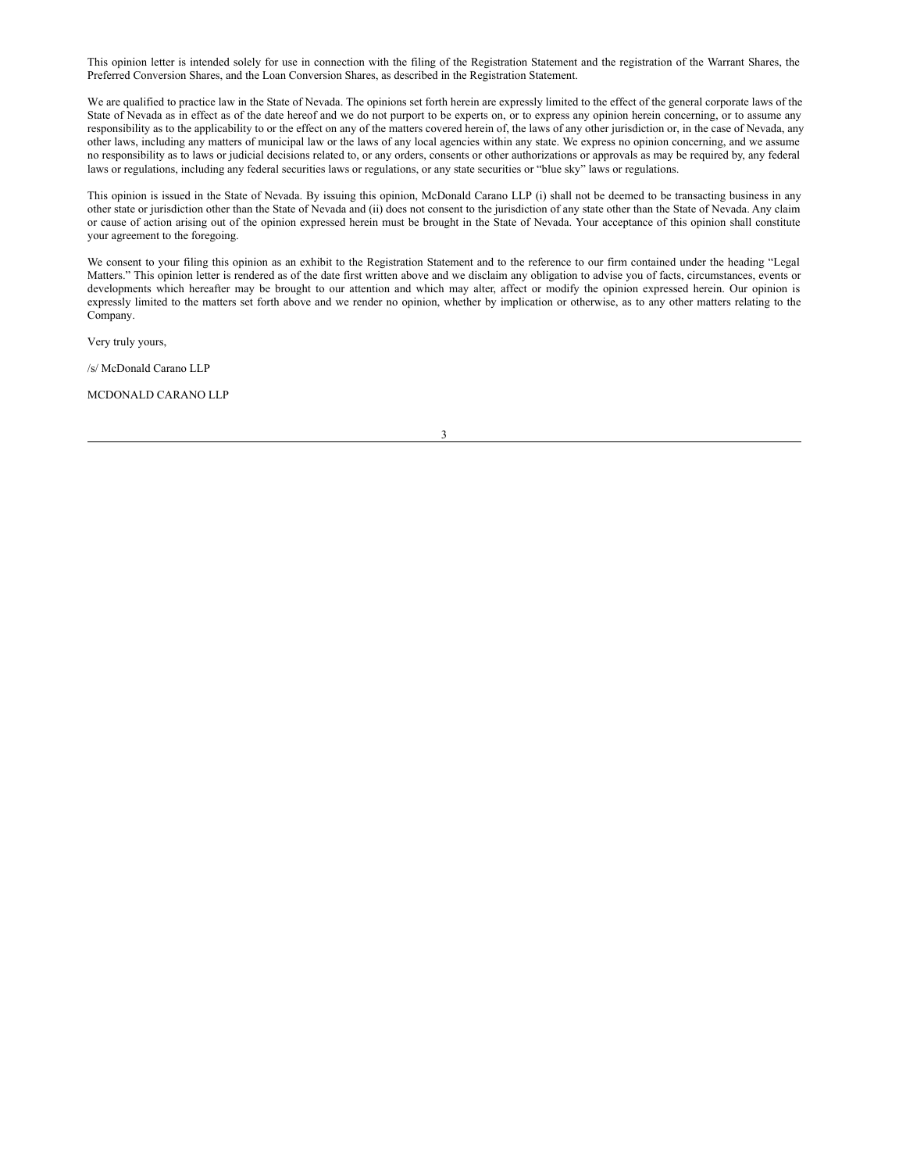This opinion letter is intended solely for use in connection with the filing of the Registration Statement and the registration of the Warrant Shares, the Preferred Conversion Shares, and the Loan Conversion Shares, as described in the Registration Statement.

We are qualified to practice law in the State of Nevada. The opinions set forth herein are expressly limited to the effect of the general corporate laws of the State of Nevada as in effect as of the date hereof and we do not purport to be experts on, or to express any opinion herein concerning, or to assume any responsibility as to the applicability to or the effect on any of the matters covered herein of, the laws of any other jurisdiction or, in the case of Nevada, any other laws, including any matters of municipal law or the laws of any local agencies within any state. We express no opinion concerning, and we assume no responsibility as to laws or judicial decisions related to, or any orders, consents or other authorizations or approvals as may be required by, any federal laws or regulations, including any federal securities laws or regulations, or any state securities or "blue sky" laws or regulations.

This opinion is issued in the State of Nevada. By issuing this opinion, McDonald Carano LLP (i) shall not be deemed to be transacting business in any other state or jurisdiction other than the State of Nevada and (ii) does not consent to the jurisdiction of any state other than the State of Nevada. Any claim or cause of action arising out of the opinion expressed herein must be brought in the State of Nevada. Your acceptance of this opinion shall constitute your agreement to the foregoing.

We consent to your filing this opinion as an exhibit to the Registration Statement and to the reference to our firm contained under the heading "Legal Matters." This opinion letter is rendered as of the date first written above and we disclaim any obligation to advise you of facts, circumstances, events or developments which hereafter may be brought to our attention and which may alter, affect or modify the opinion expressed herein. Our opinion is expressly limited to the matters set forth above and we render no opinion, whether by implication or otherwise, as to any other matters relating to the Company.

Very truly yours,

/s/ McDonald Carano LLP

MCDONALD CARANO LLP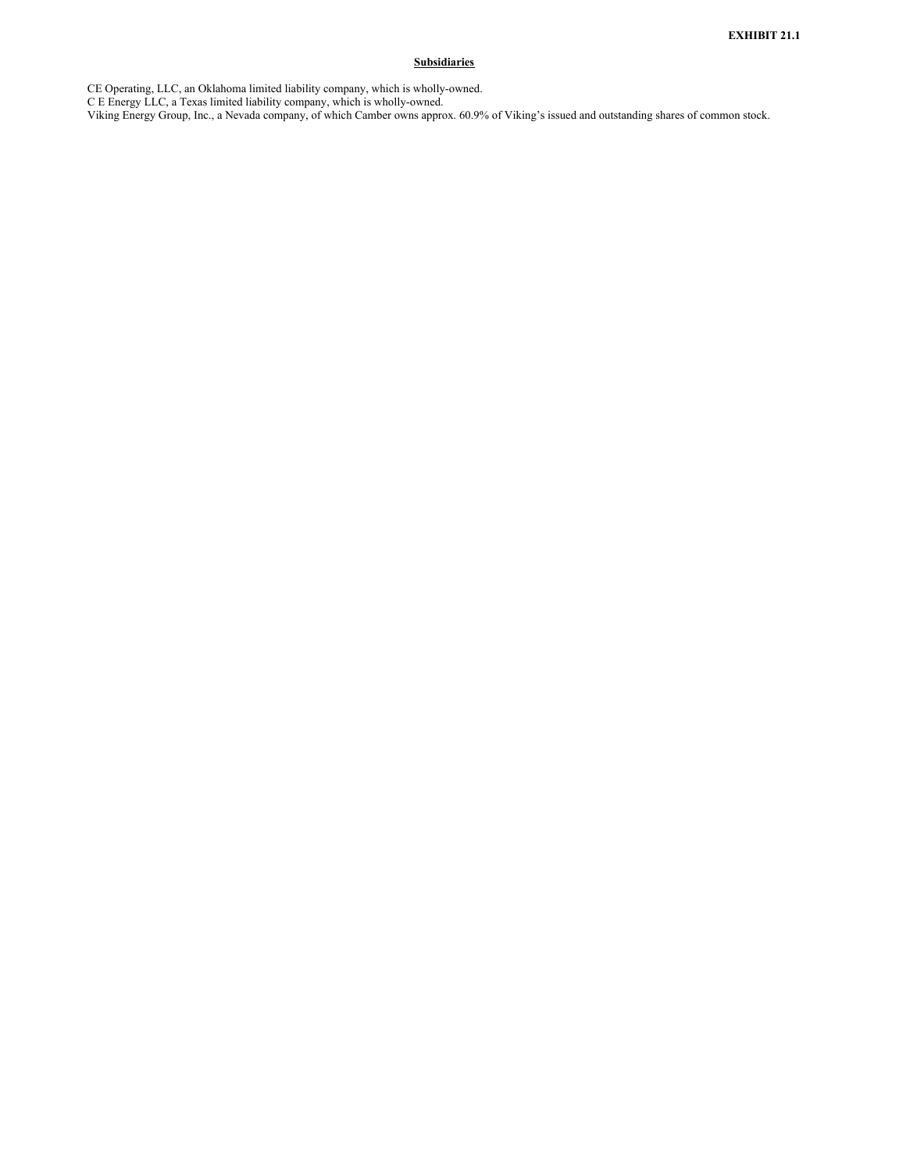# **Subsidiaries**

<span id="page-34-0"></span>CE Operating, LLC, an Oklahoma limited liability company, which is wholly-owned.

C E Energy LLC, a Texas limited liability company, which is wholly-owned.

Viking Energy Group, Inc., a Nevada company, of which Camber owns approx. 60.9% of Viking's issued and outstanding shares of common stock.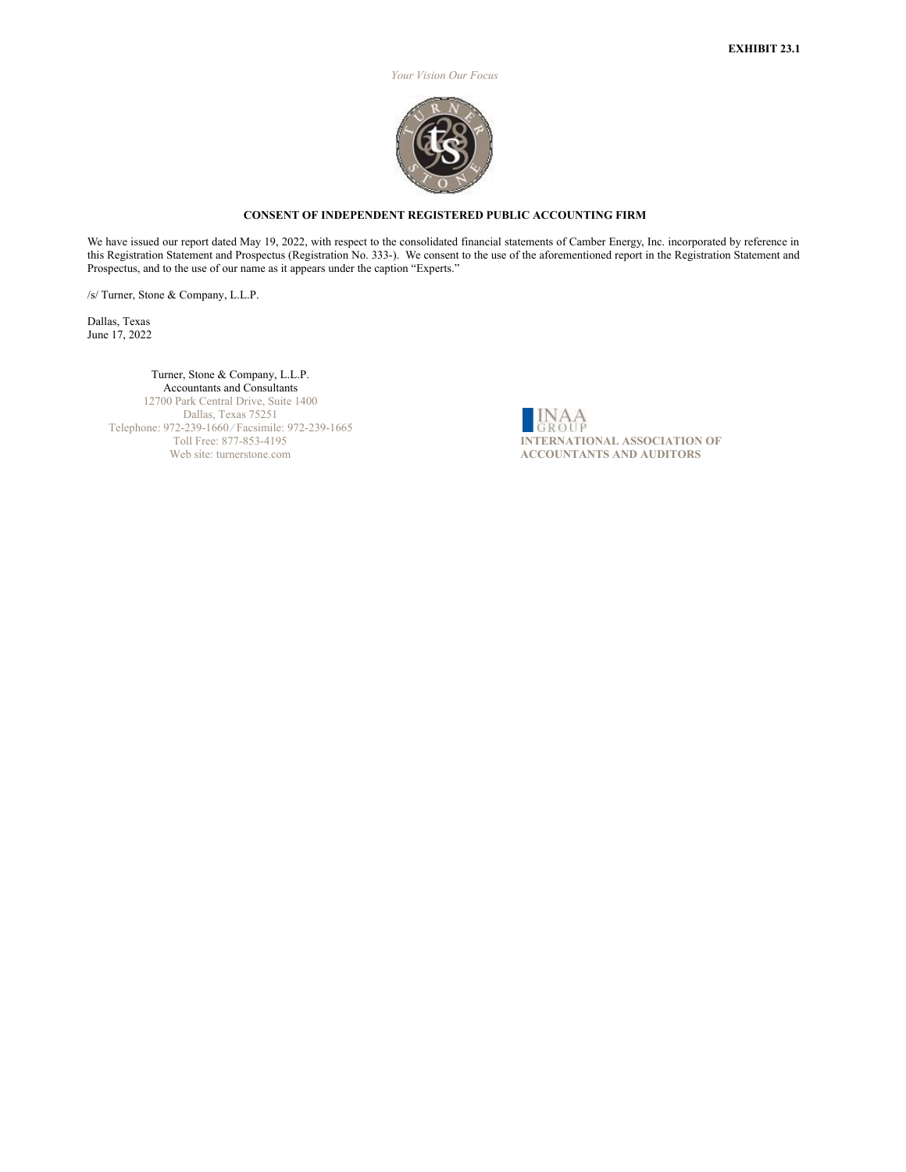*Your Vision Our Focus*



# **CONSENT OF INDEPENDENT REGISTERED PUBLIC ACCOUNTING FIRM**

<span id="page-35-0"></span>We have issued our report dated May 19, 2022, with respect to the consolidated financial statements of Camber Energy, Inc. incorporated by reference in this Registration Statement and Prospectus (Registration No. 333-). We consent to the use of the aforementioned report in the Registration Statement and Prospectus, and to the use of our name as it appears under the caption "Experts."

/s/ Turner, Stone & Company, L.L.P.

Dallas, Texas June 17, 2022

# Turner, Stone & Company, L.L.P. Accountants and Consultants

12700 Park Central Drive, Suite 1400 Dallas, Texas 75251 Telephone: 972-239-1660 ⁄ Facsimile: 972-239-1665 Toll Free: 877-853-4195 Web site: turnerstone.com